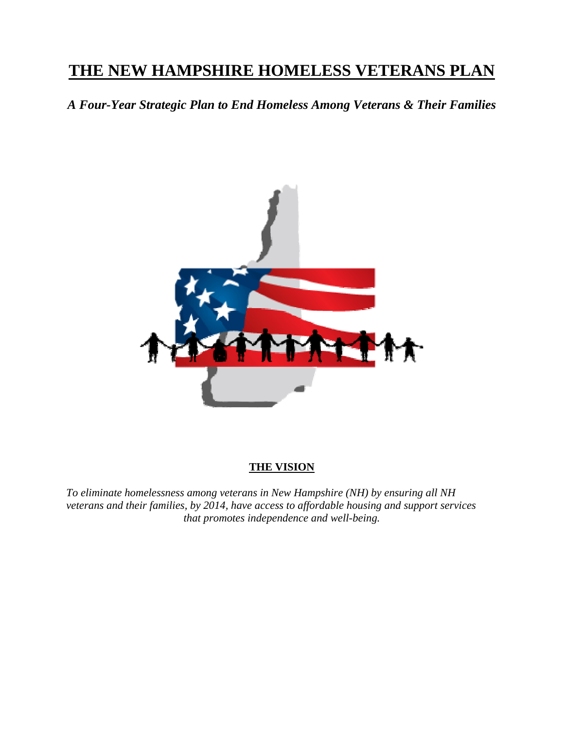# **THE NEW HAMPSHIRE HOMELESS VETERANS PLAN**

*A Four-Year Strategic Plan to End Homeless Among Veterans & Their Families*



#### **THE VISION**

*To eliminate homelessness among veterans in New Hampshire (NH) by ensuring all NH veterans and their families, by 2014, have access to affordable housing and support services that promotes independence and well-being.*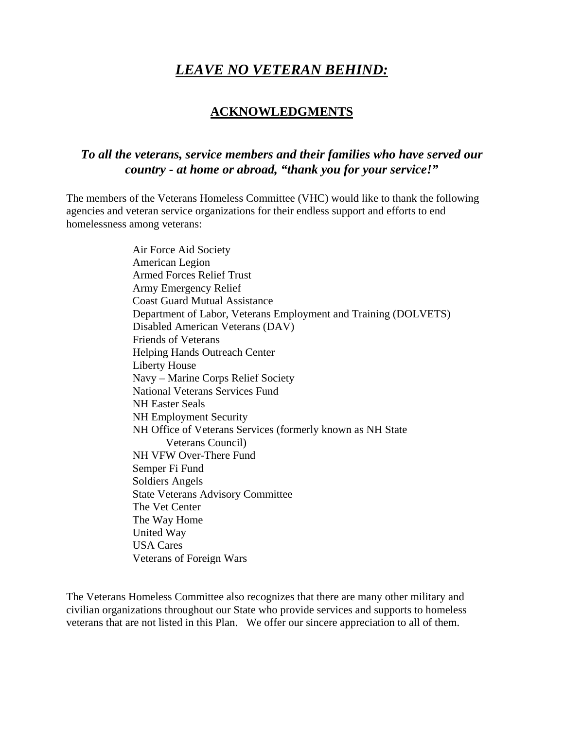## *LEAVE NO VETERAN BEHIND:*

### **ACKNOWLEDGMENTS**

### *To all the veterans, service members and their families who have served our country - at home or abroad, "thank you for your service!"*

The members of the Veterans Homeless Committee (VHC) would like to thank the following agencies and veteran service organizations for their endless support and efforts to end homelessness among veterans:

> Air Force Aid Society American Legion Armed Forces Relief Trust Army Emergency Relief Coast Guard Mutual Assistance Department of Labor, Veterans Employment and Training (DOLVETS) Disabled American Veterans (DAV) Friends of Veterans Helping Hands Outreach Center Liberty House Navy – Marine Corps Relief Society National Veterans Services Fund NH Easter Seals NH Employment Security NH Office of Veterans Services (formerly known as NH State Veterans Council) NH VFW Over-There Fund Semper Fi Fund Soldiers Angels State Veterans Advisory Committee The Vet Center The Way Home United Way USA Cares Veterans of Foreign Wars

The Veterans Homeless Committee also recognizes that there are many other military and civilian organizations throughout our State who provide services and supports to homeless veterans that are not listed in this Plan. We offer our sincere appreciation to all of them.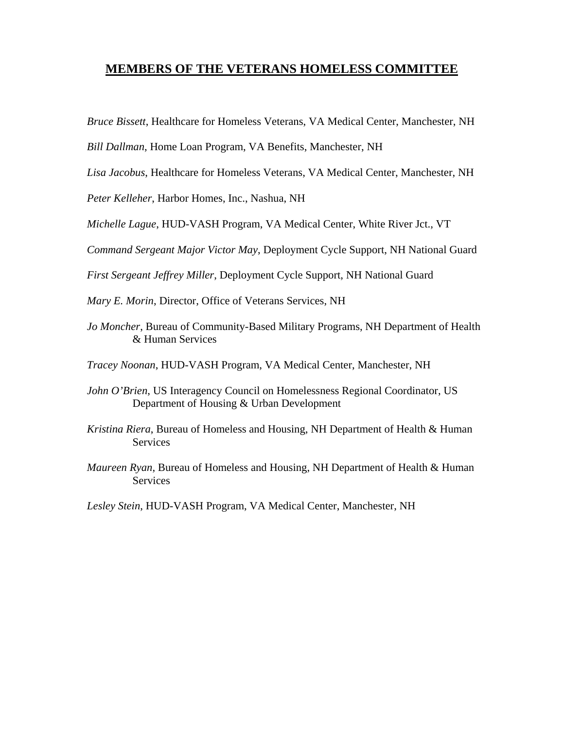#### **MEMBERS OF THE VETERANS HOMELESS COMMITTEE**

*Bruce Bissett*, Healthcare for Homeless Veterans, VA Medical Center, Manchester, NH

*Bill Dallman*, Home Loan Program, VA Benefits, Manchester, NH

*Lisa Jacobus*, Healthcare for Homeless Veterans, VA Medical Center, Manchester, NH

*Peter Kelleher*, Harbor Homes, Inc., Nashua, NH

*Michelle Lague*, HUD-VASH Program, VA Medical Center, White River Jct., VT

*Command Sergeant Major Victor May*, Deployment Cycle Support, NH National Guard

*First Sergeant Jeffrey Miller*, Deployment Cycle Support, NH National Guard

*Mary E. Morin*, Director, Office of Veterans Services, NH

*Jo Moncher*, Bureau of Community-Based Military Programs, NH Department of Health & Human Services

*Tracey Noonan*, HUD-VASH Program, VA Medical Center, Manchester, NH

- *John O'Brien*, US Interagency Council on Homelessness Regional Coordinator, US Department of Housing & Urban Development
- *Kristina Riera*, Bureau of Homeless and Housing, NH Department of Health & Human **Services**
- *Maureen Ryan*, Bureau of Homeless and Housing, NH Department of Health & Human Services

*Lesley Stein*, HUD-VASH Program, VA Medical Center, Manchester, NH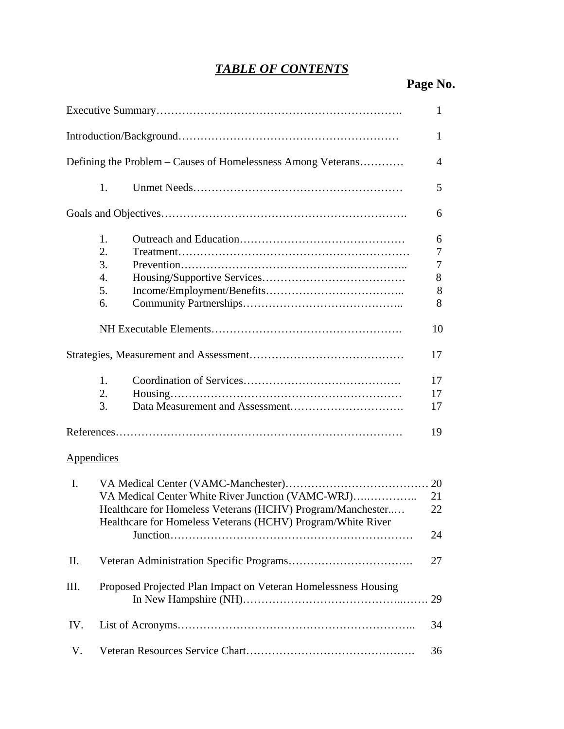# *TABLE OF CONTENTS*

 **Page No.** 

|                |                                                                                                                           | 1  |
|----------------|---------------------------------------------------------------------------------------------------------------------------|----|
|                |                                                                                                                           | 1  |
|                | Defining the Problem – Causes of Homelessness Among Veterans                                                              | 4  |
|                | 1.                                                                                                                        | 5  |
|                |                                                                                                                           | 6  |
|                | 1.                                                                                                                        | 6  |
|                | 2.                                                                                                                        | 7  |
|                | 3.                                                                                                                        | 7  |
|                | $\overline{4}$ .                                                                                                          | 8  |
|                | 5.                                                                                                                        | 8  |
|                | 6.                                                                                                                        | 8  |
|                |                                                                                                                           | 10 |
|                |                                                                                                                           | 17 |
|                | 1.                                                                                                                        | 17 |
|                | 2.                                                                                                                        | 17 |
|                | 3.                                                                                                                        | 17 |
|                |                                                                                                                           | 19 |
| Appendices     |                                                                                                                           |    |
| $\mathbf{I}$ . |                                                                                                                           |    |
|                | VA Medical Center White River Junction (VAMC-WRJ)                                                                         | 21 |
|                | Healthcare for Homeless Veterans (HCHV) Program/Manchester<br>Healthcare for Homeless Veterans (HCHV) Program/White River | 22 |
|                |                                                                                                                           | 24 |
| П.             |                                                                                                                           | 27 |
| III.           | Proposed Projected Plan Impact on Veteran Homelessness Housing                                                            |    |
| IV.            |                                                                                                                           | 34 |
| V.             |                                                                                                                           | 36 |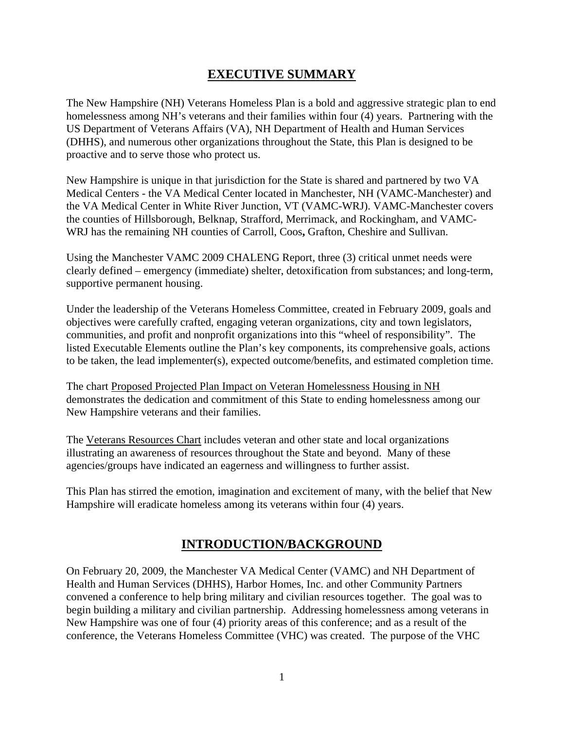## **EXECUTIVE SUMMARY**

The New Hampshire (NH) Veterans Homeless Plan is a bold and aggressive strategic plan to end homelessness among NH's veterans and their families within four (4) years. Partnering with the US Department of Veterans Affairs (VA), NH Department of Health and Human Services (DHHS), and numerous other organizations throughout the State, this Plan is designed to be proactive and to serve those who protect us.

New Hampshire is unique in that jurisdiction for the State is shared and partnered by two VA Medical Centers - the VA Medical Center located in Manchester, NH (VAMC-Manchester) and the VA Medical Center in White River Junction, VT (VAMC-WRJ). VAMC-Manchester covers the counties of Hillsborough, Belknap, Strafford, Merrimack, and Rockingham, and VAMC-WRJ has the remaining NH counties of Carroll, Coos, Grafton, Cheshire and Sullivan.

Using the Manchester VAMC 2009 CHALENG Report, three (3) critical unmet needs were clearly defined – emergency (immediate) shelter, detoxification from substances; and long-term, supportive permanent housing.

Under the leadership of the Veterans Homeless Committee, created in February 2009, goals and objectives were carefully crafted, engaging veteran organizations, city and town legislators, communities, and profit and nonprofit organizations into this "wheel of responsibility". The listed Executable Elements outline the Plan's key components, its comprehensive goals, actions to be taken, the lead implementer(s), expected outcome/benefits, and estimated completion time.

The chart Proposed Projected Plan Impact on Veteran Homelessness Housing in NH demonstrates the dedication and commitment of this State to ending homelessness among our New Hampshire veterans and their families.

The Veterans Resources Chart includes veteran and other state and local organizations illustrating an awareness of resources throughout the State and beyond. Many of these agencies/groups have indicated an eagerness and willingness to further assist.

This Plan has stirred the emotion, imagination and excitement of many, with the belief that New Hampshire will eradicate homeless among its veterans within four (4) years.

### **INTRODUCTION/BACKGROUND**

On February 20, 2009, the Manchester VA Medical Center (VAMC) and NH Department of Health and Human Services (DHHS), Harbor Homes, Inc. and other Community Partners convened a conference to help bring military and civilian resources together. The goal was to begin building a military and civilian partnership. Addressing homelessness among veterans in New Hampshire was one of four (4) priority areas of this conference; and as a result of the conference, the Veterans Homeless Committee (VHC) was created. The purpose of the VHC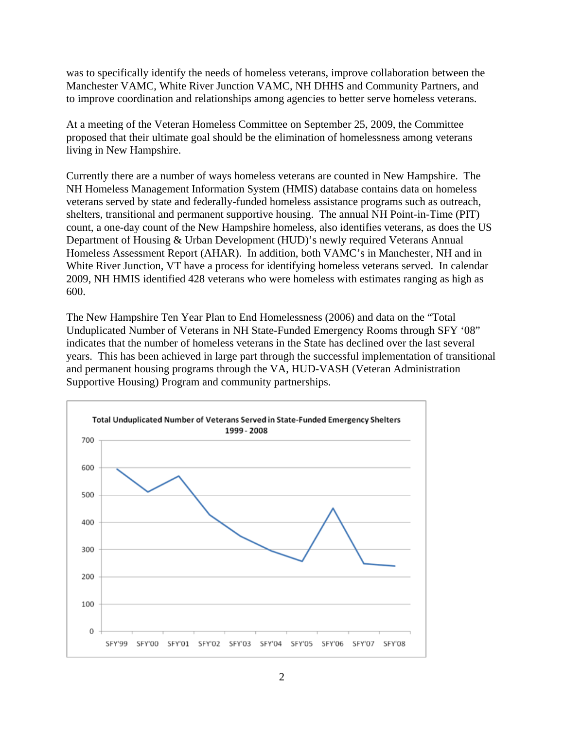was to specifically identify the needs of homeless veterans, improve collaboration between the Manchester VAMC, White River Junction VAMC, NH DHHS and Community Partners, and to improve coordination and relationships among agencies to better serve homeless veterans.

At a meeting of the Veteran Homeless Committee on September 25, 2009, the Committee proposed that their ultimate goal should be the elimination of homelessness among veterans living in New Hampshire.

Currently there are a number of ways homeless veterans are counted in New Hampshire. The NH Homeless Management Information System (HMIS) database contains data on homeless veterans served by state and federally-funded homeless assistance programs such as outreach, shelters, transitional and permanent supportive housing. The annual NH Point-in-Time (PIT) count, a one-day count of the New Hampshire homeless, also identifies veterans, as does the US Department of Housing & Urban Development (HUD)'s newly required Veterans Annual Homeless Assessment Report (AHAR). In addition, both VAMC's in Manchester, NH and in White River Junction, VT have a process for identifying homeless veterans served. In calendar 2009, NH HMIS identified 428 veterans who were homeless with estimates ranging as high as 600.

The New Hampshire Ten Year Plan to End Homelessness (2006) and data on the "Total Unduplicated Number of Veterans in NH State-Funded Emergency Rooms through SFY '08" indicates that the number of homeless veterans in the State has declined over the last several years. This has been achieved in large part through the successful implementation of transitional and permanent housing programs through the VA, HUD-VASH (Veteran Administration Supportive Housing) Program and community partnerships.

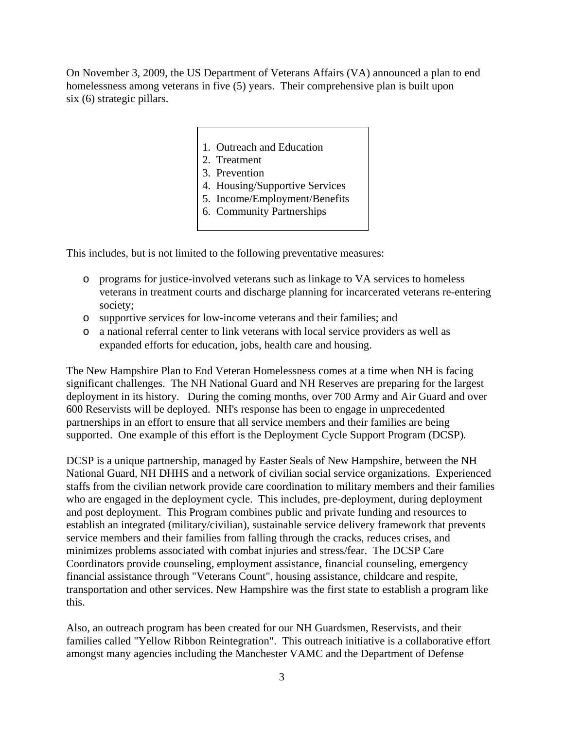On November 3, 2009, the US Department of Veterans Affairs (VA) announced a plan to end homelessness among veterans in five (5) years. Their comprehensive plan is built upon six (6) strategic pillars.

- 1. Outreach and Education
- 2. Treatment
- 3. Prevention
- 4. Housing/Supportive Services
- 5. Income/Employment/Benefits
- 6. Community Partnerships

This includes, but is not limited to the following preventative measures:

- o programs for justice-involved veterans such as linkage to VA services to homeless veterans in treatment courts and discharge planning for incarcerated veterans re-entering society;
- o supportive services for low-income veterans and their families; and
- o a national referral center to link veterans with local service providers as well as expanded efforts for education, jobs, health care and housing.

The New Hampshire Plan to End Veteran Homelessness comes at a time when NH is facing significant challenges. The NH National Guard and NH Reserves are preparing for the largest deployment in its history. During the coming months, over 700 Army and Air Guard and over 600 Reservists will be deployed. NH's response has been to engage in unprecedented partnerships in an effort to ensure that all service members and their families are being supported. One example of this effort is the Deployment Cycle Support Program (DCSP)*.* 

DCSP is a unique partnership, managed by Easter Seals of New Hampshire, between the NH National Guard, NH DHHS and a network of civilian social service organizations. Experienced staffs from the civilian network provide care coordination to military members and their families who are engaged in the deployment cycle. This includes, pre-deployment, during deployment and post deployment. This Program combines public and private funding and resources to establish an integrated (military/civilian), sustainable service delivery framework that prevents service members and their families from falling through the cracks, reduces crises, and minimizes problems associated with combat injuries and stress/fear. The DCSP Care Coordinators provide counseling, employment assistance, financial counseling, emergency financial assistance through "Veterans Count", housing assistance, childcare and respite, transportation and other services. New Hampshire was the first state to establish a program like this.

Also, an outreach program has been created for our NH Guardsmen, Reservists, and their families called "Yellow Ribbon Reintegration". This outreach initiative is a collaborative effort amongst many agencies including the Manchester VAMC and the Department of Defense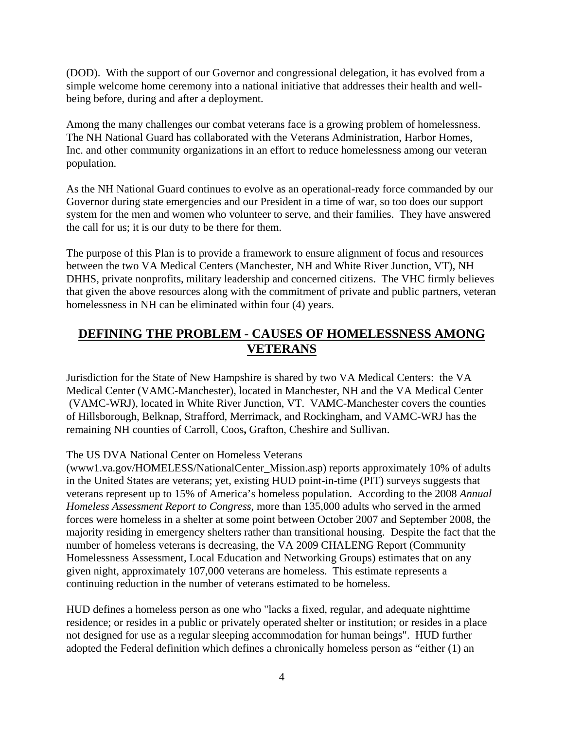(DOD). With the support of our Governor and congressional delegation, it has evolved from a simple welcome home ceremony into a national initiative that addresses their health and wellbeing before, during and after a deployment.

Among the many challenges our combat veterans face is a growing problem of homelessness. The NH National Guard has collaborated with the Veterans Administration, Harbor Homes, Inc. and other community organizations in an effort to reduce homelessness among our veteran population.

As the NH National Guard continues to evolve as an operational-ready force commanded by our Governor during state emergencies and our President in a time of war, so too does our support system for the men and women who volunteer to serve, and their families. They have answered the call for us; it is our duty to be there for them.

The purpose of this Plan is to provide a framework to ensure alignment of focus and resources between the two VA Medical Centers (Manchester, NH and White River Junction, VT), NH DHHS, private nonprofits, military leadership and concerned citizens. The VHC firmly believes that given the above resources along with the commitment of private and public partners, veteran homelessness in NH can be eliminated within four (4) years.

## **DEFINING THE PROBLEM - CAUSES OF HOMELESSNESS AMONG VETERANS**

Jurisdiction for the State of New Hampshire is shared by two VA Medical Centers: the VA Medical Center (VAMC-Manchester), located in Manchester, NH and the VA Medical Center (VAMC-WRJ), located in White River Junction, VT. VAMC-Manchester covers the counties of Hillsborough, Belknap, Strafford, Merrimack, and Rockingham, and VAMC-WRJ has the remaining NH counties of Carroll, Coos**,** Grafton, Cheshire and Sullivan.

#### The US DVA National Center on Homeless Veterans

(www1.va.gov/HOMELESS/NationalCenter\_Mission.asp) reports approximately 10% of adults in the United States are veterans; yet, existing HUD point-in-time (PIT) surveys suggests that veterans represent up to 15% of America's homeless population. According to the 2008 *Annual Homeless Assessment Report to Congress*, more than 135,000 adults who served in the armed forces were homeless in a shelter at some point between October 2007 and September 2008, the majority residing in emergency shelters rather than transitional housing. Despite the fact that the number of homeless veterans is decreasing, the VA 2009 CHALENG Report (Community Homelessness Assessment, Local Education and Networking Groups) estimates that on any given night, approximately 107,000 veterans are homeless. This estimate represents a continuing reduction in the number of veterans estimated to be homeless.

HUD defines a homeless person as one who "lacks a fixed, regular, and adequate nighttime residence; or resides in a public or privately operated shelter or institution; or resides in a place not designed for use as a regular sleeping accommodation for human beings". HUD further adopted the Federal definition which defines a chronically homeless person as "either (1) an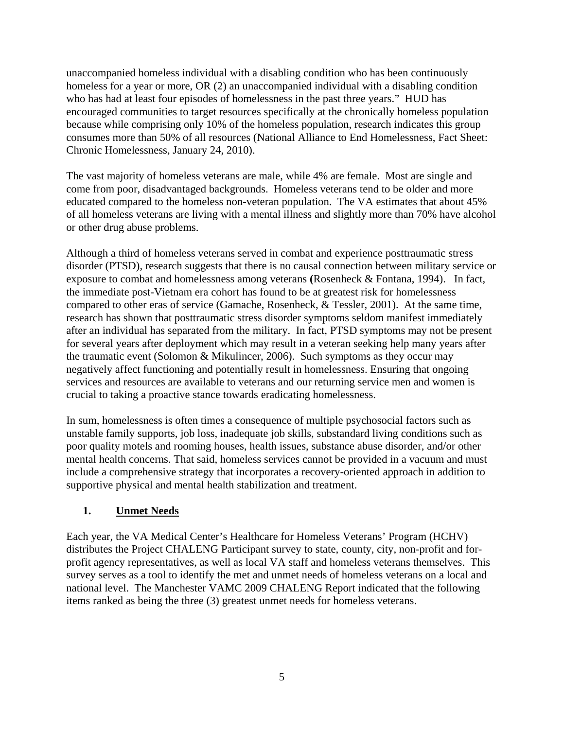unaccompanied homeless individual with a disabling condition who has been continuously homeless for a year or more, OR (2) an unaccompanied individual with a disabling condition who has had at least four episodes of homelessness in the past three years." HUD has encouraged communities to target resources specifically at the chronically homeless population because while comprising only 10% of the homeless population, research indicates this group consumes more than 50% of all resources (National Alliance to End Homelessness, Fact Sheet: Chronic Homelessness, January 24, 2010).

The vast majority of homeless veterans are male, while 4% are female. Most are single and come from poor, disadvantaged backgrounds. Homeless veterans tend to be older and more educated compared to the homeless non-veteran population. The VA estimates that about 45% of all homeless veterans are living with a mental illness and slightly more than 70% have alcohol or other drug abuse problems.

Although a third of homeless veterans served in combat and experience posttraumatic stress disorder (PTSD), research suggests that there is no causal connection between military service or exposure to combat and homelessness among veterans **(**Rosenheck & Fontana, 1994). In fact, the immediate post-Vietnam era cohort has found to be at greatest risk for homelessness compared to other eras of service (Gamache, Rosenheck, & Tessler, 2001). At the same time, research has shown that posttraumatic stress disorder symptoms seldom manifest immediately after an individual has separated from the military. In fact, PTSD symptoms may not be present for several years after deployment which may result in a veteran seeking help many years after the traumatic event (Solomon & Mikulincer, 2006). Such symptoms as they occur may negatively affect functioning and potentially result in homelessness. Ensuring that ongoing services and resources are available to veterans and our returning service men and women is crucial to taking a proactive stance towards eradicating homelessness.

In sum, homelessness is often times a consequence of multiple psychosocial factors such as unstable family supports, job loss, inadequate job skills, substandard living conditions such as poor quality motels and rooming houses, health issues, substance abuse disorder, and/or other mental health concerns. That said, homeless services cannot be provided in a vacuum and must include a comprehensive strategy that incorporates a recovery-oriented approach in addition to supportive physical and mental health stabilization and treatment.

#### **1. Unmet Needs**

Each year, the VA Medical Center's Healthcare for Homeless Veterans' Program (HCHV) distributes the Project CHALENG Participant survey to state, county, city, non-profit and forprofit agency representatives, as well as local VA staff and homeless veterans themselves. This survey serves as a tool to identify the met and unmet needs of homeless veterans on a local and national level. The Manchester VAMC 2009 CHALENG Report indicated that the following items ranked as being the three (3) greatest unmet needs for homeless veterans.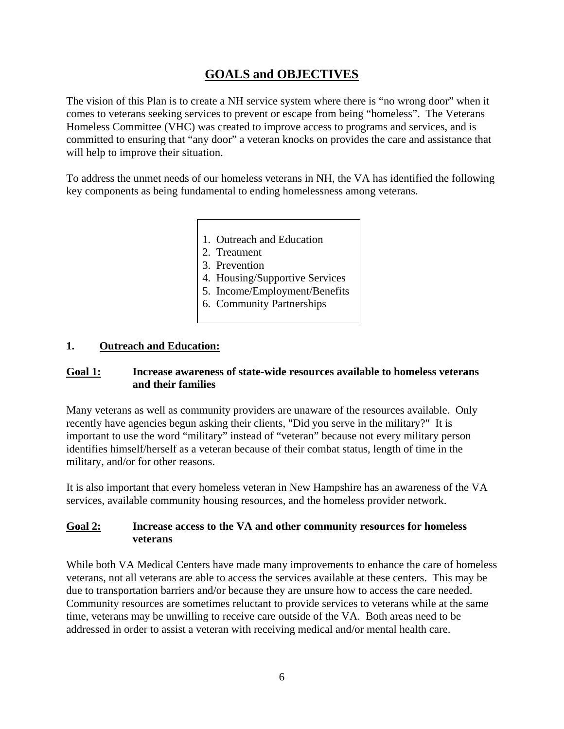## **GOALS and OBJECTIVES**

The vision of this Plan is to create a NH service system where there is "no wrong door" when it comes to veterans seeking services to prevent or escape from being "homeless". The Veterans Homeless Committee (VHC) was created to improve access to programs and services, and is committed to ensuring that "any door" a veteran knocks on provides the care and assistance that will help to improve their situation.

To address the unmet needs of our homeless veterans in NH, the VA has identified the following key components as being fundamental to ending homelessness among veterans.

- 1. Outreach and Education
- 2. Treatment
- 3. Prevention
- 4. Housing/Supportive Services
- 5. Income/Employment/Benefits
- 6. Community Partnerships

#### **1. Outreach and Education:**

#### **Goal 1: Increase awareness of state-wide resources available to homeless veterans and their families**

Many veterans as well as community providers are unaware of the resources available. Only recently have agencies begun asking their clients, "Did you serve in the military?" It is important to use the word "military" instead of "veteran" because not every military person identifies himself/herself as a veteran because of their combat status, length of time in the military, and/or for other reasons.

It is also important that every homeless veteran in New Hampshire has an awareness of the VA services, available community housing resources, and the homeless provider network.

#### **Goal 2: Increase access to the VA and other community resources for homeless veterans**

While both VA Medical Centers have made many improvements to enhance the care of homeless veterans, not all veterans are able to access the services available at these centers. This may be due to transportation barriers and/or because they are unsure how to access the care needed. Community resources are sometimes reluctant to provide services to veterans while at the same time, veterans may be unwilling to receive care outside of the VA. Both areas need to be addressed in order to assist a veteran with receiving medical and/or mental health care.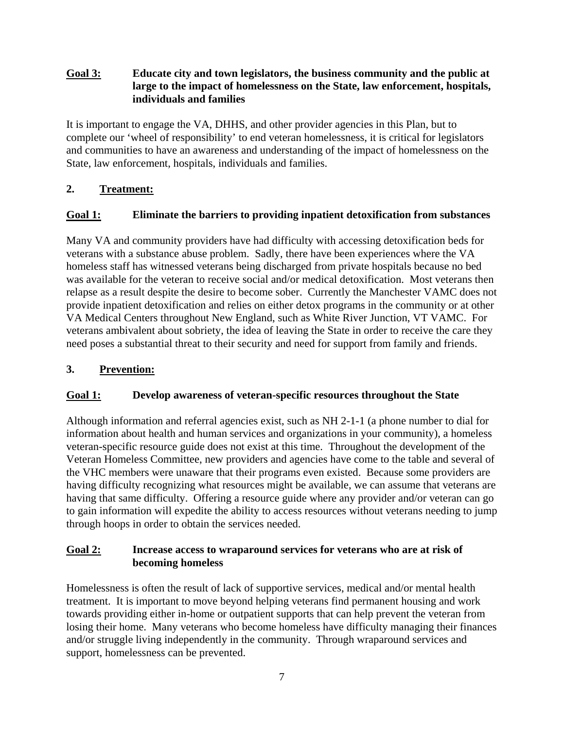#### **Goal 3: Educate city and town legislators, the business community and the public at large to the impact of homelessness on the State, law enforcement, hospitals, individuals and families**

It is important to engage the VA, DHHS, and other provider agencies in this Plan, but to complete our 'wheel of responsibility' to end veteran homelessness, it is critical for legislators and communities to have an awareness and understanding of the impact of homelessness on the State, law enforcement, hospitals, individuals and families.

#### **2. Treatment:**

#### **Goal 1: Eliminate the barriers to providing inpatient detoxification from substances**

Many VA and community providers have had difficulty with accessing detoxification beds for veterans with a substance abuse problem. Sadly, there have been experiences where the VA homeless staff has witnessed veterans being discharged from private hospitals because no bed was available for the veteran to receive social and/or medical detoxification. Most veterans then relapse as a result despite the desire to become sober. Currently the Manchester VAMC does not provide inpatient detoxification and relies on either detox programs in the community or at other VA Medical Centers throughout New England, such as White River Junction, VT VAMC. For veterans ambivalent about sobriety, the idea of leaving the State in order to receive the care they need poses a substantial threat to their security and need for support from family and friends.

#### **3. Prevention:**

#### **Goal 1: Develop awareness of veteran-specific resources throughout the State**

Although information and referral agencies exist, such as NH 2-1-1 (a phone number to dial for information about health and human services and organizations in your community), a homeless veteran-specific resource guide does not exist at this time. Throughout the development of the Veteran Homeless Committee, new providers and agencies have come to the table and several of the VHC members were unaware that their programs even existed. Because some providers are having difficulty recognizing what resources might be available, we can assume that veterans are having that same difficulty. Offering a resource guide where any provider and/or veteran can go to gain information will expedite the ability to access resources without veterans needing to jump through hoops in order to obtain the services needed.

#### **Goal 2: Increase access to wraparound services for veterans who are at risk of becoming homeless**

Homelessness is often the result of lack of supportive services, medical and/or mental health treatment. It is important to move beyond helping veterans find permanent housing and work towards providing either in-home or outpatient supports that can help prevent the veteran from losing their home. Many veterans who become homeless have difficulty managing their finances and/or struggle living independently in the community. Through wraparound services and support, homelessness can be prevented.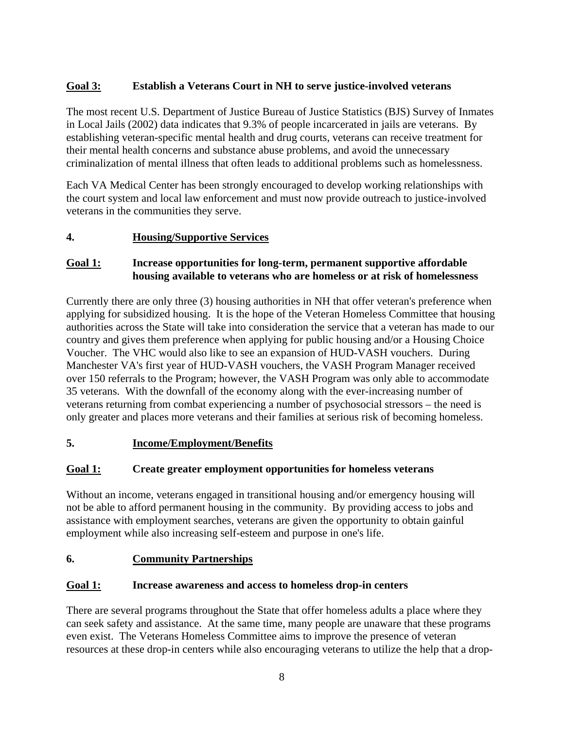#### **Goal 3: Establish a Veterans Court in NH to serve justice-involved veterans**

The most recent U.S. Department of Justice Bureau of Justice Statistics (BJS) Survey of Inmates in Local Jails (2002) data indicates that 9.3% of people incarcerated in jails are veterans. By establishing veteran-specific mental health and drug courts, veterans can receive treatment for their mental health concerns and substance abuse problems, and avoid the unnecessary criminalization of mental illness that often leads to additional problems such as homelessness.

Each VA Medical Center has been strongly encouraged to develop working relationships with the court system and local law enforcement and must now provide outreach to justice-involved veterans in the communities they serve.

#### **4. Housing/Supportive Services**

#### **Goal 1: Increase opportunities for long-term, permanent supportive affordable housing available to veterans who are homeless or at risk of homelessness**

Currently there are only three (3) housing authorities in NH that offer veteran's preference when applying for subsidized housing. It is the hope of the Veteran Homeless Committee that housing authorities across the State will take into consideration the service that a veteran has made to our country and gives them preference when applying for public housing and/or a Housing Choice Voucher. The VHC would also like to see an expansion of HUD-VASH vouchers. During Manchester VA's first year of HUD-VASH vouchers, the VASH Program Manager received over 150 referrals to the Program; however, the VASH Program was only able to accommodate 35 veterans. With the downfall of the economy along with the ever-increasing number of veterans returning from combat experiencing a number of psychosocial stressors – the need is only greater and places more veterans and their families at serious risk of becoming homeless.

#### **5. Income/Employment/Benefits**

#### **Goal 1: Create greater employment opportunities for homeless veterans**

Without an income, veterans engaged in transitional housing and/or emergency housing will not be able to afford permanent housing in the community. By providing access to jobs and assistance with employment searches, veterans are given the opportunity to obtain gainful employment while also increasing self-esteem and purpose in one's life.

#### **6. Community Partnerships**

#### **Goal 1: Increase awareness and access to homeless drop-in centers**

There are several programs throughout the State that offer homeless adults a place where they can seek safety and assistance. At the same time, many people are unaware that these programs even exist. The Veterans Homeless Committee aims to improve the presence of veteran resources at these drop-in centers while also encouraging veterans to utilize the help that a drop-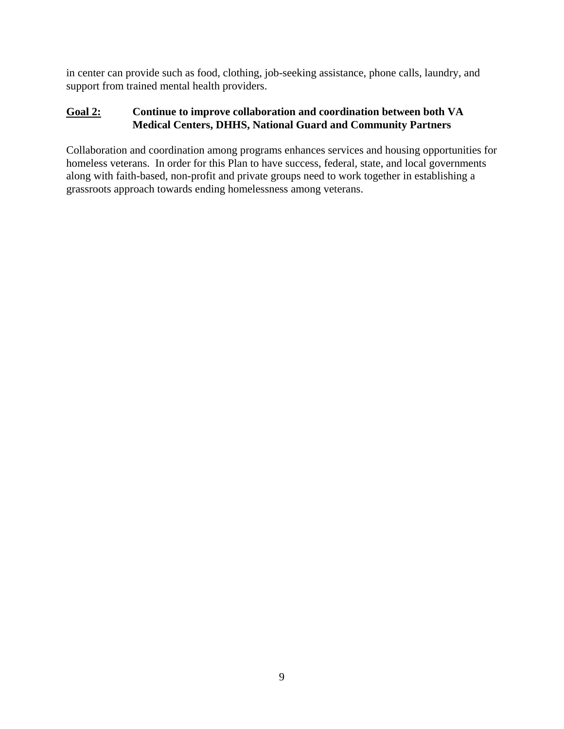in center can provide such as food, clothing, job-seeking assistance, phone calls, laundry, and support from trained mental health providers.

#### **Goal 2: Continue to improve collaboration and coordination between both VA Medical Centers, DHHS, National Guard and Community Partners**

Collaboration and coordination among programs enhances services and housing opportunities for homeless veterans. In order for this Plan to have success, federal, state, and local governments along with faith-based, non-profit and private groups need to work together in establishing a grassroots approach towards ending homelessness among veterans.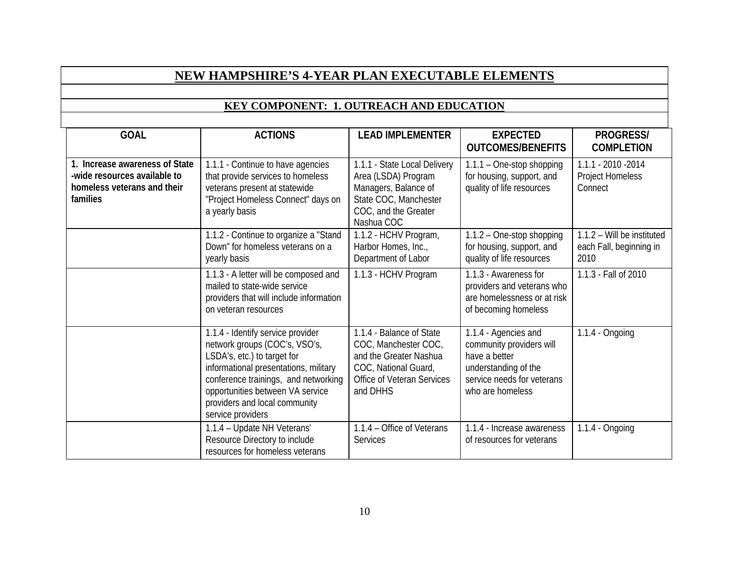## **NEW HAMPSHIRE'S 4-YEAR PLAN EXECUTABLE ELEMENTS**

#### **KEY COMPONENT: 1. OUTREACH AND EDUCATION**

| <b>GOAL</b>                                                                                               | <b>ACTIONS</b>                                                                                                                                                                                                                                                               | <b>LEAD IMPLEMENTER</b>                                                                                                                      | <b>EXPECTED</b><br><b>OUTCOMES/BENEFITS</b>                                                                                                 | PROGRESS/<br><b>COMPLETION</b>                                |
|-----------------------------------------------------------------------------------------------------------|------------------------------------------------------------------------------------------------------------------------------------------------------------------------------------------------------------------------------------------------------------------------------|----------------------------------------------------------------------------------------------------------------------------------------------|---------------------------------------------------------------------------------------------------------------------------------------------|---------------------------------------------------------------|
| 1. Increase awareness of State<br>-wide resources available to<br>homeless veterans and their<br>families | 1.1.1 - Continue to have agencies<br>that provide services to homeless<br>veterans present at statewide<br>"Project Homeless Connect" days on<br>a yearly basis                                                                                                              | 1.1.1 - State Local Delivery<br>Area (LSDA) Program<br>Managers, Balance of<br>State COC, Manchester<br>COC, and the Greater<br>Nashua COC   | 1.1.1 - One-stop shopping<br>for housing, support, and<br>quality of life resources                                                         | 1.1.1 - 2010 - 2014<br><b>Project Homeless</b><br>Connect     |
|                                                                                                           | 1.1.2 - Continue to organize a "Stand<br>Down" for homeless veterans on a<br>yearly basis<br>1.1.3 - A letter will be composed and<br>mailed to state-wide service<br>providers that will include information<br>on veteran resources                                        |                                                                                                                                              | $1.1.2 - One-stop shopping$<br>for housing, support, and<br>quality of life resources                                                       | 1.1.2 - Will be instituted<br>each Fall, beginning in<br>2010 |
|                                                                                                           |                                                                                                                                                                                                                                                                              |                                                                                                                                              | 1.1.3 - Awareness for<br>providers and veterans who<br>are homelessness or at risk<br>of becoming homeless                                  | 1.1.3 - Fall of 2010                                          |
|                                                                                                           | 1.1.4 - Identify service provider<br>network groups (COC's, VSO's,<br>LSDA's, etc.) to target for<br>informational presentations, military<br>conference trainings, and networking<br>opportunities between VA service<br>providers and local community<br>service providers | 1.1.4 - Balance of State<br>COC, Manchester COC,<br>and the Greater Nashua<br>COC, National Guard,<br>Office of Veteran Services<br>and DHHS | 1.1.4 - Agencies and<br>community providers will<br>have a better<br>understanding of the<br>service needs for veterans<br>who are homeless | $1.1.4 - Ongoing$                                             |
|                                                                                                           | 1.1.4 - Update NH Veterans'<br>Resource Directory to include<br>resources for homeless veterans                                                                                                                                                                              | 1.1.4 - Office of Veterans<br><b>Services</b>                                                                                                | 1.1.4 - Increase awareness<br>of resources for veterans                                                                                     | $1.1.4 - Ongoing$                                             |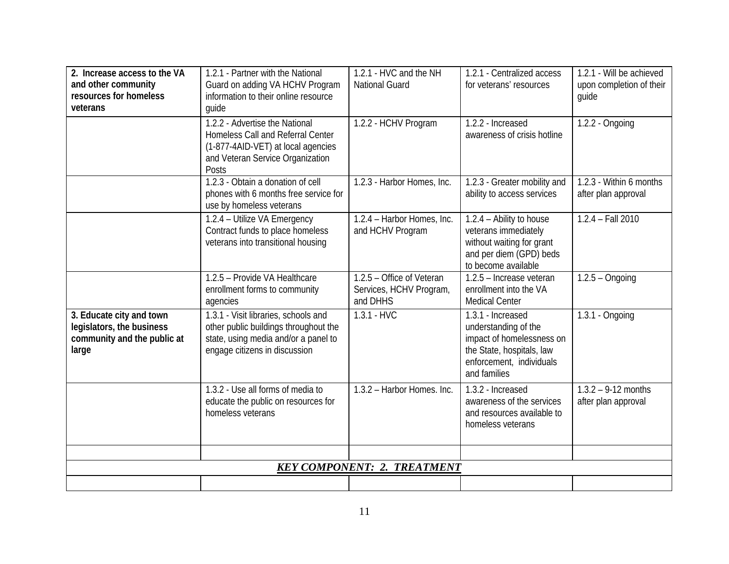| 2. Increase access to the VA<br>and other community<br>resources for homeless<br>veterans     | 1.2.1 - Partner with the National<br>Guard on adding VA HCHV Program<br>information to their online resource<br>quide                                  | 1.2.1 - HVC and the NH<br><b>National Guard</b>                  | 1.2.1 - Centralized access<br>for veterans' resources                                                                                           | 1.2.1 - Will be achieved<br>upon completion of their<br>quide |
|-----------------------------------------------------------------------------------------------|--------------------------------------------------------------------------------------------------------------------------------------------------------|------------------------------------------------------------------|-------------------------------------------------------------------------------------------------------------------------------------------------|---------------------------------------------------------------|
|                                                                                               | 1.2.2 - Advertise the National<br>Homeless Call and Referral Center<br>(1-877-4AID-VET) at local agencies<br>and Veteran Service Organization<br>Posts | 1.2.2 - HCHV Program                                             | 1.2.2 - Increased<br>awareness of crisis hotline                                                                                                | 1.2.2 - Ongoing                                               |
|                                                                                               | 1.2.3 - Obtain a donation of cell<br>phones with 6 months free service for<br>use by homeless veterans                                                 | 1.2.3 - Harbor Homes, Inc.                                       | 1.2.3 - Greater mobility and<br>ability to access services                                                                                      | 1.2.3 - Within 6 months<br>after plan approval                |
|                                                                                               | 1.2.4 - Utilize VA Emergency<br>Contract funds to place homeless<br>veterans into transitional housing                                                 | 1.2.4 - Harbor Homes, Inc.<br>and HCHV Program                   | 1.2.4 - Ability to house<br>veterans immediately<br>without waiting for grant<br>and per diem (GPD) beds<br>to become available                 | $1.2.4 - Fall 2010$                                           |
|                                                                                               | 1.2.5 - Provide VA Healthcare<br>enrollment forms to community<br>agencies                                                                             | 1.2.5 - Office of Veteran<br>Services, HCHV Program,<br>and DHHS | 1.2.5 - Increase veteran<br>enrollment into the VA<br><b>Medical Center</b>                                                                     | $1.2.5 - Ongoing$                                             |
| 3. Educate city and town<br>legislators, the business<br>community and the public at<br>large | 1.3.1 - Visit libraries, schools and<br>other public buildings throughout the<br>state, using media and/or a panel to<br>engage citizens in discussion | $1.3.1 - HVC$                                                    | 1.3.1 - Increased<br>understanding of the<br>impact of homelessness on<br>the State, hospitals, law<br>enforcement, individuals<br>and families | 1.3.1 - Ongoing                                               |
|                                                                                               | 1.3.2 - Use all forms of media to<br>educate the public on resources for<br>homeless veterans                                                          | 1.3.2 - Harbor Homes, Inc.                                       | 1.3.2 - Increased<br>awareness of the services<br>and resources available to<br>homeless veterans                                               | $1.3.2 - 9.12$ months<br>after plan approval                  |
|                                                                                               |                                                                                                                                                        |                                                                  |                                                                                                                                                 |                                                               |
|                                                                                               |                                                                                                                                                        | <b>KEY COMPONENT: 2. TREATMENT</b>                               |                                                                                                                                                 |                                                               |
|                                                                                               |                                                                                                                                                        |                                                                  |                                                                                                                                                 |                                                               |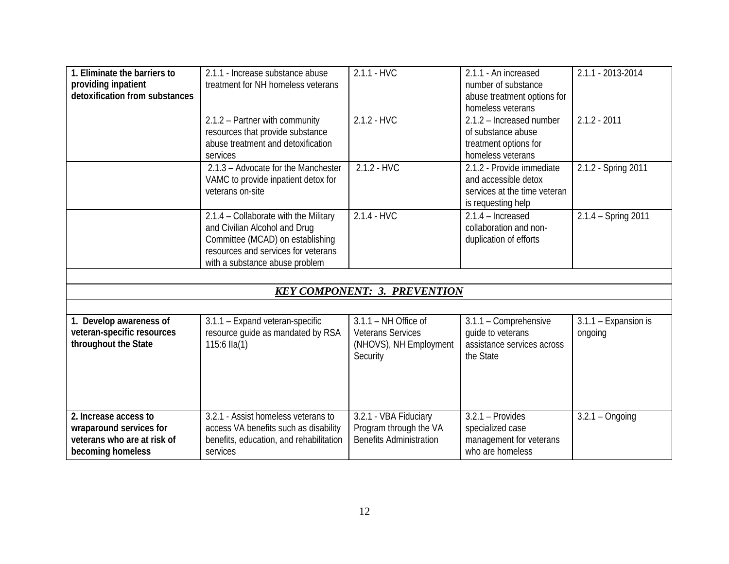| 1. Eliminate the barriers to<br>providing inpatient<br>detoxification from substances                | 2.1.1 - Increase substance abuse<br>treatment for NH homeless veterans                                                                                                              | $2.1.1 - HVC$                                                                            | 2.1.1 - An increased<br>number of substance<br>abuse treatment options for<br>homeless veterans         | 2.1.1 - 2013-2014               |
|------------------------------------------------------------------------------------------------------|-------------------------------------------------------------------------------------------------------------------------------------------------------------------------------------|------------------------------------------------------------------------------------------|---------------------------------------------------------------------------------------------------------|---------------------------------|
|                                                                                                      | 2.1.2 - Partner with community<br>resources that provide substance<br>abuse treatment and detoxification<br>services                                                                | $2.1.2 - HVC$                                                                            | 2.1.2 - Increased number<br>of substance abuse<br>treatment options for<br>homeless veterans            | $2.1.2 - 2011$                  |
|                                                                                                      | 2.1.3 - Advocate for the Manchester<br>VAMC to provide inpatient detox for<br>veterans on-site                                                                                      | $2.1.2 - HVC$                                                                            | 2.1.2 - Provide immediate<br>and accessible detox<br>services at the time veteran<br>is requesting help | 2.1.2 - Spring 2011             |
|                                                                                                      | 2.1.4 - Collaborate with the Military<br>and Civilian Alcohol and Drug<br>Committee (MCAD) on establishing<br>resources and services for veterans<br>with a substance abuse problem | $2.1.4 - HVC$                                                                            | $2.1.4 -$ Increased<br>collaboration and non-<br>duplication of efforts                                 | 2.1.4 - Spring 2011             |
|                                                                                                      |                                                                                                                                                                                     |                                                                                          |                                                                                                         |                                 |
|                                                                                                      |                                                                                                                                                                                     | <b>KEY COMPONENT: 3. PREVENTION</b>                                                      |                                                                                                         |                                 |
|                                                                                                      |                                                                                                                                                                                     |                                                                                          |                                                                                                         |                                 |
| 1. Develop awareness of<br>veteran-specific resources<br>throughout the State                        | 3.1.1 - Expand veteran-specific<br>resource guide as mandated by RSA<br>115:6 $Ila(1)$                                                                                              | $3.1.1 - NH$ Office of<br><b>Veterans Services</b><br>(NHOVS), NH Employment<br>Security | 3.1.1 - Comprehensive<br>quide to veterans<br>assistance services across<br>the State                   | 3.1.1 - Expansion is<br>ongoing |
| 2. Increase access to<br>wraparound services for<br>veterans who are at risk of<br>becoming homeless | 3.2.1 - Assist homeless veterans to<br>access VA benefits such as disability<br>benefits, education, and rehabilitation<br>services                                                 | 3.2.1 - VBA Fiduciary<br>Program through the VA<br><b>Benefits Administration</b>        | $3.2.1 -$ Provides<br>specialized case<br>management for veterans<br>who are homeless                   | $3.2.1 -$ Ongoing               |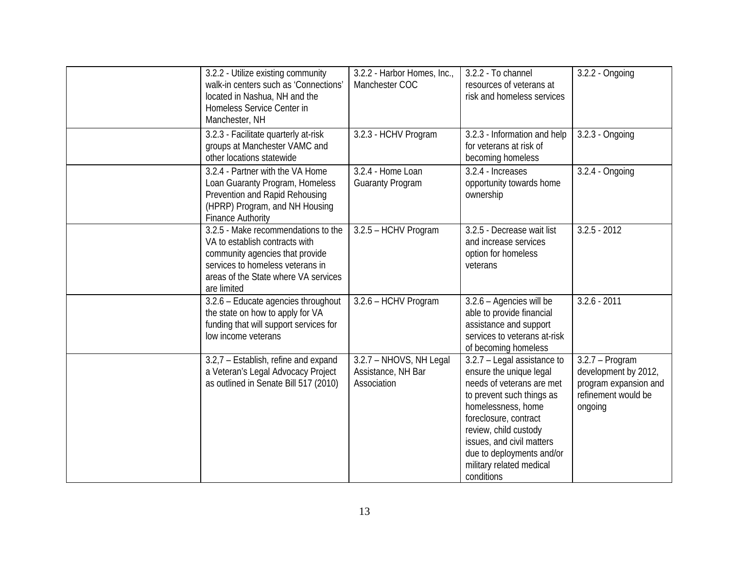| 3.2.2 - Utilize existing community<br>walk-in centers such as 'Connections'<br>located in Nashua, NH and the<br>Homeless Service Center in<br>Manchester, NH                                        | 3.2.2 - Harbor Homes, Inc.,<br>Manchester COC                | 3.2.2 - To channel<br>resources of veterans at<br>risk and homeless services                                                                                                                                                                                                                 | 3.2.2 - Ongoing                                                                                      |
|-----------------------------------------------------------------------------------------------------------------------------------------------------------------------------------------------------|--------------------------------------------------------------|----------------------------------------------------------------------------------------------------------------------------------------------------------------------------------------------------------------------------------------------------------------------------------------------|------------------------------------------------------------------------------------------------------|
| 3.2.3 - Facilitate quarterly at-risk<br>groups at Manchester VAMC and<br>other locations statewide                                                                                                  | 3.2.3 - HCHV Program                                         | 3.2.3 - Information and help<br>for veterans at risk of<br>becoming homeless                                                                                                                                                                                                                 | 3.2.3 - Ongoing                                                                                      |
| 3.2.4 - Partner with the VA Home<br>Loan Guaranty Program, Homeless<br>Prevention and Rapid Rehousing<br>(HPRP) Program, and NH Housing<br><b>Finance Authority</b>                                 | 3.2.4 - Home Loan<br><b>Guaranty Program</b>                 | 3.2.4 - Increases<br>opportunity towards home<br>ownership                                                                                                                                                                                                                                   | 3.2.4 - Ongoing                                                                                      |
| 3.2.5 - Make recommendations to the<br>VA to establish contracts with<br>community agencies that provide<br>services to homeless veterans in<br>areas of the State where VA services<br>are limited | 3.2.5 - HCHV Program                                         | 3.2.5 - Decrease wait list<br>and increase services<br>option for homeless<br>veterans                                                                                                                                                                                                       | $3.2.5 - 2012$                                                                                       |
| 3.2.6 - Educate agencies throughout<br>the state on how to apply for VA<br>funding that will support services for<br>low income veterans                                                            | 3.2.6 - HCHV Program                                         | 3.2.6 - Agencies will be<br>able to provide financial<br>assistance and support<br>services to veterans at-risk<br>of becoming homeless                                                                                                                                                      | $3.2.6 - 2011$                                                                                       |
| 3.2,7 - Establish, refine and expand<br>a Veteran's Legal Advocacy Project<br>as outlined in Senate Bill 517 (2010)                                                                                 | 3.2.7 - NHOVS, NH Legal<br>Assistance, NH Bar<br>Association | 3.2.7 - Legal assistance to<br>ensure the unique legal<br>needs of veterans are met<br>to prevent such things as<br>homelessness, home<br>foreclosure, contract<br>review, child custody<br>issues, and civil matters<br>due to deployments and/or<br>military related medical<br>conditions | $3.2.7 - Program$<br>development by 2012,<br>program expansion and<br>refinement would be<br>ongoing |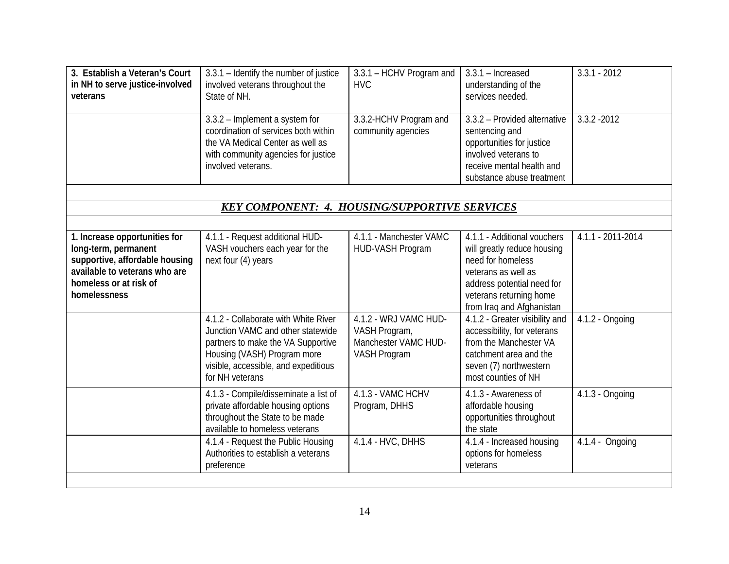| 3. Establish a Veteran's Court<br>in NH to serve justice-involved<br>veterans                                                                                      | 3.3.1 - Identify the number of justice<br>involved veterans throughout the<br>State of NH.                                                                                                                | 3.3.1 - HCHV Program and<br><b>HVC</b>                                                | $3.3.1 -$ Increased<br>understanding of the<br>services needed.                                                                                                                              | $3.3.1 - 2012$    |
|--------------------------------------------------------------------------------------------------------------------------------------------------------------------|-----------------------------------------------------------------------------------------------------------------------------------------------------------------------------------------------------------|---------------------------------------------------------------------------------------|----------------------------------------------------------------------------------------------------------------------------------------------------------------------------------------------|-------------------|
|                                                                                                                                                                    | 3.3.2 - Implement a system for<br>coordination of services both within<br>the VA Medical Center as well as<br>with community agencies for justice<br>involved veterans.                                   | 3.3.2-HCHV Program and<br>community agencies                                          | 3.3.2 - Provided alternative<br>sentencing and<br>opportunities for justice<br>involved veterans to<br>receive mental health and<br>substance abuse treatment                                | $3.3.2 - 2012$    |
|                                                                                                                                                                    |                                                                                                                                                                                                           |                                                                                       |                                                                                                                                                                                              |                   |
|                                                                                                                                                                    | <b>KEY COMPONENT: 4. HOUSING/SUPPORTIVE SERVICES</b>                                                                                                                                                      |                                                                                       |                                                                                                                                                                                              |                   |
| 1. Increase opportunities for<br>long-term, permanent<br>supportive, affordable housing<br>available to veterans who are<br>homeless or at risk of<br>homelessness | 4.1.1 - Request additional HUD-<br>VASH vouchers each year for the<br>next four (4) years                                                                                                                 | 4.1.1 - Manchester VAMC<br>HUD-VASH Program                                           | 4.1.1 - Additional vouchers<br>will greatly reduce housing<br>need for homeless<br>veterans as well as<br>address potential need for<br>veterans returning home<br>from Iraq and Afghanistan | 4.1.1 - 2011-2014 |
|                                                                                                                                                                    | 4.1.2 - Collaborate with White River<br>Junction VAMC and other statewide<br>partners to make the VA Supportive<br>Housing (VASH) Program more<br>visible, accessible, and expeditious<br>for NH veterans | 4.1.2 - WRJ VAMC HUD-<br>VASH Program,<br>Manchester VAMC HUD-<br><b>VASH Program</b> | 4.1.2 - Greater visibility and<br>accessibility, for veterans<br>from the Manchester VA<br>catchment area and the<br>seven (7) northwestern<br>most counties of NH                           | $4.1.2 - Ongoing$ |
|                                                                                                                                                                    | 4.1.3 - Compile/disseminate a list of<br>private affordable housing options<br>throughout the State to be made<br>available to homeless veterans                                                          | 4.1.3 - VAMC HCHV<br>Program, DHHS                                                    | 4.1.3 - Awareness of<br>affordable housing<br>opportunities throughout<br>the state                                                                                                          | 4.1.3 - Ongoing   |
|                                                                                                                                                                    | 4.1.4 - Request the Public Housing<br>Authorities to establish a veterans<br>preference                                                                                                                   | 4.1.4 - HVC, DHHS                                                                     | 4.1.4 - Increased housing<br>options for homeless<br>veterans                                                                                                                                | 4.1.4 - Ongoing   |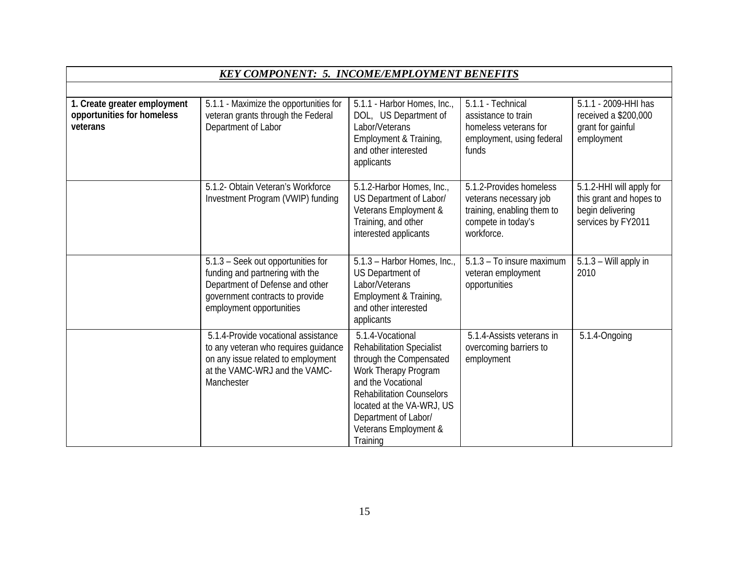|                                                                        | <b>KEY COMPONENT: 5. INCOME/EMPLOYMENT BENEFITS</b>                                                                                                                     |                                                                                                                                                                                                                                                             |                                                                                                                     |                                                                                               |
|------------------------------------------------------------------------|-------------------------------------------------------------------------------------------------------------------------------------------------------------------------|-------------------------------------------------------------------------------------------------------------------------------------------------------------------------------------------------------------------------------------------------------------|---------------------------------------------------------------------------------------------------------------------|-----------------------------------------------------------------------------------------------|
|                                                                        |                                                                                                                                                                         |                                                                                                                                                                                                                                                             |                                                                                                                     |                                                                                               |
| 1. Create greater employment<br>opportunities for homeless<br>veterans | 5.1.1 - Maximize the opportunities for<br>veteran grants through the Federal<br>Department of Labor                                                                     | 5.1.1 - Harbor Homes, Inc.,<br>DOL, US Department of<br>Labor/Veterans<br>Employment & Training,<br>and other interested<br>applicants                                                                                                                      | 5.1.1 - Technical<br>assistance to train<br>homeless veterans for<br>employment, using federal<br>funds             | 5.1.1 - 2009-HHI has<br>received a \$200,000<br>grant for gainful<br>employment               |
|                                                                        | 5.1.2- Obtain Veteran's Workforce<br>Investment Program (VWIP) funding                                                                                                  | 5.1.2-Harbor Homes, Inc.,<br>US Department of Labor/<br>Veterans Employment &<br>Training, and other<br>interested applicants                                                                                                                               | 5.1.2-Provides homeless<br>veterans necessary job<br>training, enabling them to<br>compete in today's<br>workforce. | 5.1.2-HHI will apply for<br>this grant and hopes to<br>begin delivering<br>services by FY2011 |
|                                                                        | 5.1.3 - Seek out opportunities for<br>funding and partnering with the<br>Department of Defense and other<br>government contracts to provide<br>employment opportunities | 5.1.3 - Harbor Homes, Inc.,<br>US Department of<br>Labor/Veterans<br>Employment & Training,<br>and other interested<br>applicants                                                                                                                           | 5.1.3 - To insure maximum<br>veteran employment<br>opportunities                                                    | 5.1.3 - Will apply in<br>2010                                                                 |
|                                                                        | 5.1.4-Provide vocational assistance<br>to any veteran who requires guidance<br>on any issue related to employment<br>at the VAMC-WRJ and the VAMC-<br>Manchester        | 5.1.4-Vocational<br><b>Rehabilitation Specialist</b><br>through the Compensated<br>Work Therapy Program<br>and the Vocational<br><b>Rehabilitation Counselors</b><br>located at the VA-WRJ, US<br>Department of Labor/<br>Veterans Employment &<br>Training | 5.1.4-Assists veterans in<br>overcoming barriers to<br>employment                                                   | 5.1.4-Ongoing                                                                                 |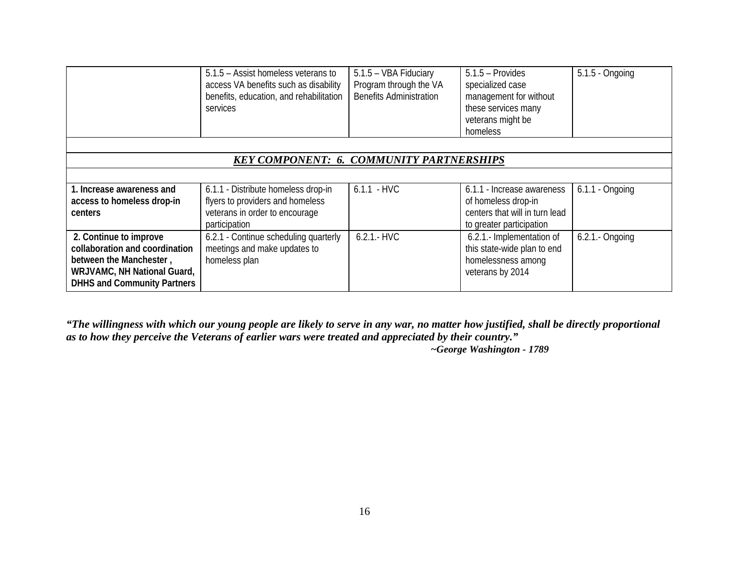|                                                                   | 5.1.5 – Assist homeless veterans to<br>access VA benefits such as disability<br>benefits, education, and rehabilitation<br>services | 5.1.5 - VBA Fiduciary<br>Program through the VA<br><b>Benefits Administration</b> | $5.1.5$ – Provides<br>specialized case<br>management for without<br>these services many<br>veterans might be<br>homeless | 5.1.5 - Ongoing   |  |  |  |
|-------------------------------------------------------------------|-------------------------------------------------------------------------------------------------------------------------------------|-----------------------------------------------------------------------------------|--------------------------------------------------------------------------------------------------------------------------|-------------------|--|--|--|
|                                                                   |                                                                                                                                     |                                                                                   |                                                                                                                          |                   |  |  |  |
| <b>KEY COMPONENT: 6. COMMUNITY PARTNERSHIPS</b>                   |                                                                                                                                     |                                                                                   |                                                                                                                          |                   |  |  |  |
|                                                                   |                                                                                                                                     |                                                                                   |                                                                                                                          |                   |  |  |  |
| 1. Increase awareness and                                         | 6.1.1 - Distribute homeless drop-in                                                                                                 | $6.1.1 - HVC$                                                                     | 6.1.1 - Increase awareness                                                                                               | $6.1.1 -$ Ongoing |  |  |  |
| access to homeless drop-in                                        | flyers to providers and homeless                                                                                                    |                                                                                   | of homeless drop-in                                                                                                      |                   |  |  |  |
| centers                                                           | veterans in order to encourage<br>participation                                                                                     |                                                                                   | centers that will in turn lead<br>to greater participation                                                               |                   |  |  |  |
| 2. Continue to improve                                            | 6.2.1 - Continue scheduling quarterly                                                                                               | $6.2.1 - HVC$                                                                     | 6.2.1.- Implementation of                                                                                                | 6.2.1 .- Ongoing  |  |  |  |
| collaboration and coordination                                    | meetings and make updates to                                                                                                        |                                                                                   | this state-wide plan to end                                                                                              |                   |  |  |  |
| between the Manchester,                                           | homeless plan                                                                                                                       |                                                                                   | homelessness among                                                                                                       |                   |  |  |  |
| WRJVAMC, NH National Guard,<br><b>DHHS and Community Partners</b> |                                                                                                                                     |                                                                                   | veterans by 2014                                                                                                         |                   |  |  |  |

*"The willingness with which our young people are likely to serve in any war, no matter how justified, shall be directly proportional as to how they perceive the Veterans of earlier wars were treated and appreciated by their country."* 

*~George Washington - 1789*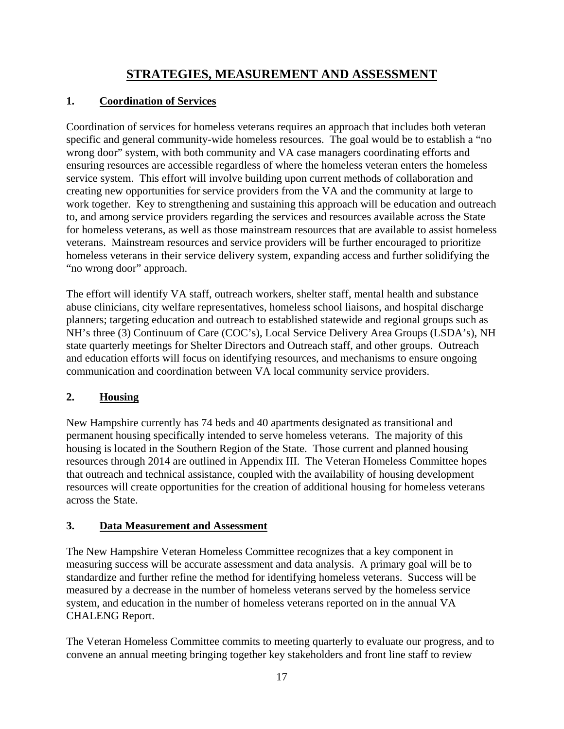## **STRATEGIES, MEASUREMENT AND ASSESSMENT**

#### **1. Coordination of Services**

Coordination of services for homeless veterans requires an approach that includes both veteran specific and general community-wide homeless resources. The goal would be to establish a "no wrong door" system, with both community and VA case managers coordinating efforts and ensuring resources are accessible regardless of where the homeless veteran enters the homeless service system. This effort will involve building upon current methods of collaboration and creating new opportunities for service providers from the VA and the community at large to work together. Key to strengthening and sustaining this approach will be education and outreach to, and among service providers regarding the services and resources available across the State for homeless veterans, as well as those mainstream resources that are available to assist homeless veterans. Mainstream resources and service providers will be further encouraged to prioritize homeless veterans in their service delivery system, expanding access and further solidifying the "no wrong door" approach.

The effort will identify VA staff, outreach workers, shelter staff, mental health and substance abuse clinicians, city welfare representatives, homeless school liaisons, and hospital discharge planners; targeting education and outreach to established statewide and regional groups such as NH's three (3) Continuum of Care (COC's), Local Service Delivery Area Groups (LSDA's), NH state quarterly meetings for Shelter Directors and Outreach staff, and other groups. Outreach and education efforts will focus on identifying resources, and mechanisms to ensure ongoing communication and coordination between VA local community service providers.

#### **2. Housing**

New Hampshire currently has 74 beds and 40 apartments designated as transitional and permanent housing specifically intended to serve homeless veterans. The majority of this housing is located in the Southern Region of the State. Those current and planned housing resources through 2014 are outlined in Appendix III. The Veteran Homeless Committee hopes that outreach and technical assistance, coupled with the availability of housing development resources will create opportunities for the creation of additional housing for homeless veterans across the State.

#### **3. Data Measurement and Assessment**

The New Hampshire Veteran Homeless Committee recognizes that a key component in measuring success will be accurate assessment and data analysis. A primary goal will be to standardize and further refine the method for identifying homeless veterans. Success will be measured by a decrease in the number of homeless veterans served by the homeless service system, and education in the number of homeless veterans reported on in the annual VA CHALENG Report.

The Veteran Homeless Committee commits to meeting quarterly to evaluate our progress, and to convene an annual meeting bringing together key stakeholders and front line staff to review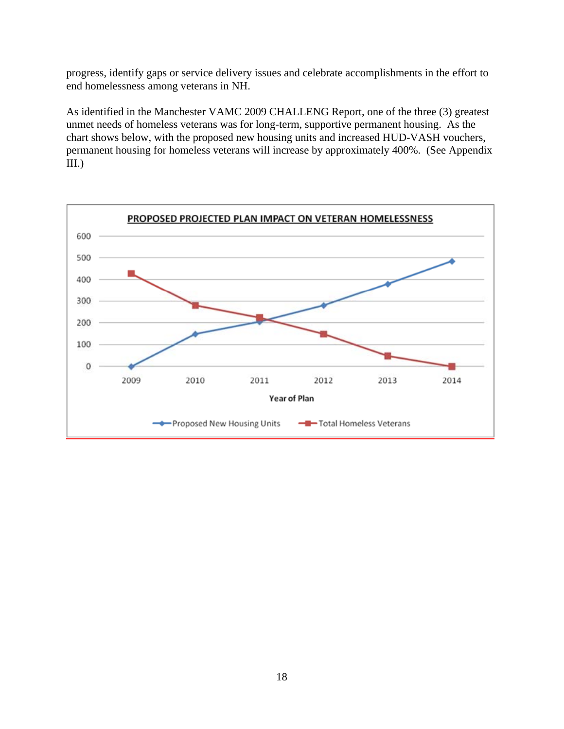progress, identify gaps or service delivery issues and celebrate accomplishments in the effort to end homelessness among veterans in NH.

As identified in the Manchester VAMC 2009 CHALLENG Report, one of the three (3) greatest unmet needs of homeless veterans was for long-term, supportive permanent housing. As the chart shows below, with the proposed new housing units and increased HUD-VASH vouchers, permanent housing for homeless veterans will increase by approximately 400%. (See Appendix III.)

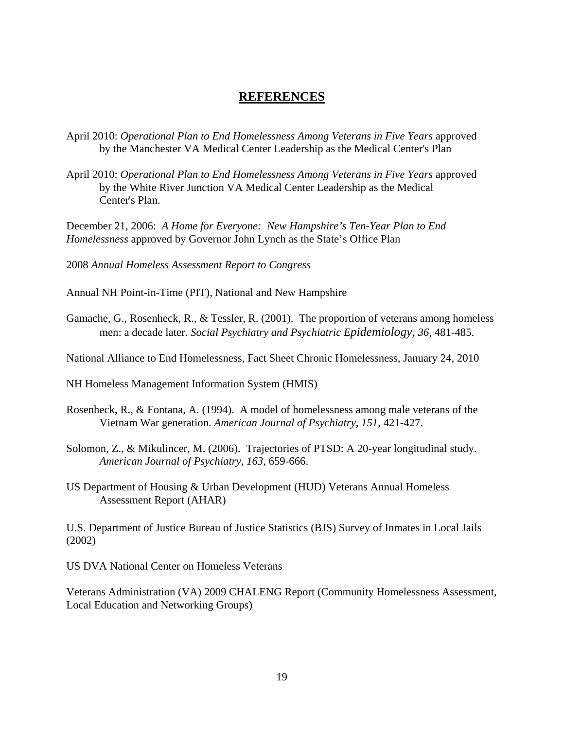#### **REFERENCES**

- April 2010: *Operational Plan to End Homelessness Among Veterans in Five Years* approved by the Manchester VA Medical Center Leadership as the Medical Center's Plan
- April 2010: *Operational Plan to End Homelessness Among Veterans in Five Years* approved by the White River Junction VA Medical Center Leadership as the Medical Center's Plan.

December 21, 2006: *A Home for Everyone: New Hampshire's Ten-Year Plan to End Homelessness* approved by Governor John Lynch as the State's Office Plan

2008 *Annual Homeless Assessment Report to Congress*

Annual NH Point-in-Time (PIT), National and New Hampshire

Gamache, G., Rosenheck, R., & Tessler, R. (2001). The proportion of veterans among homeless men: a decade later. *Social Psychiatry and Psychiatric Epidemiology, 36*, 481-485.

National Alliance to End Homelessness, Fact Sheet Chronic Homelessness, January 24, 2010

NH Homeless Management Information System (HMIS)

- Rosenheck, R., & Fontana, A. (1994). A model of homelessness among male veterans of the Vietnam War generation. *American Journal of Psychiatry, 151*, 421-427.
- Solomon, Z., & Mikulincer, M. (2006). Trajectories of PTSD: A 20-year longitudinal study. *American Journal of Psychiatry, 163,* 659-666.
- US Department of Housing & Urban Development (HUD) Veterans Annual Homeless Assessment Report (AHAR)

U.S. Department of Justice Bureau of Justice Statistics (BJS) Survey of Inmates in Local Jails (2002)

US DVA National Center on Homeless Veterans

Veterans Administration (VA) 2009 CHALENG Report (Community Homelessness Assessment, Local Education and Networking Groups)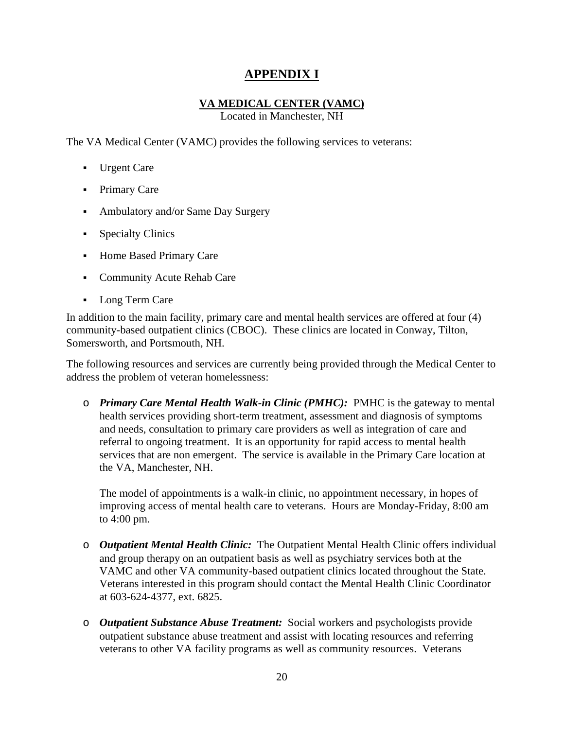## **APPENDIX I**

#### **VA MEDICAL CENTER (VAMC)**

Located in Manchester, NH

The VA Medical Center (VAMC) provides the following services to veterans:

- Urgent Care
- Primary Care
- Ambulatory and/or Same Day Surgery
- Specialty Clinics
- Home Based Primary Care
- Community Acute Rehab Care
- Long Term Care

In addition to the main facility, primary care and mental health services are offered at four (4) community-based outpatient clinics (CBOC). These clinics are located in Conway, Tilton, Somersworth, and Portsmouth, NH.

The following resources and services are currently being provided through the Medical Center to address the problem of veteran homelessness:

o *Primary Care Mental Health Walk-in Clinic (PMHC):*PMHC is the gateway to mental health services providing short-term treatment, assessment and diagnosis of symptoms and needs, consultation to primary care providers as well as integration of care and referral to ongoing treatment. It is an opportunity for rapid access to mental health services that are non emergent. The service is available in the Primary Care location at the VA, Manchester, NH.

The model of appointments is a walk-in clinic, no appointment necessary, in hopes of improving access of mental health care to veterans. Hours are Monday-Friday, 8:00 am to 4:00 pm.

- o *Outpatient Mental Health Clinic:* The Outpatient Mental Health Clinic offers individual and group therapy on an outpatient basis as well as psychiatry services both at the VAMC and other VA community-based outpatient clinics located throughout the State. Veterans interested in this program should contact the Mental Health Clinic Coordinator at 603-624-4377, ext. 6825.
- o *Outpatient Substance Abuse Treatment:* Social workers and psychologists provide outpatient substance abuse treatment and assist with locating resources and referring veterans to other VA facility programs as well as community resources.Veterans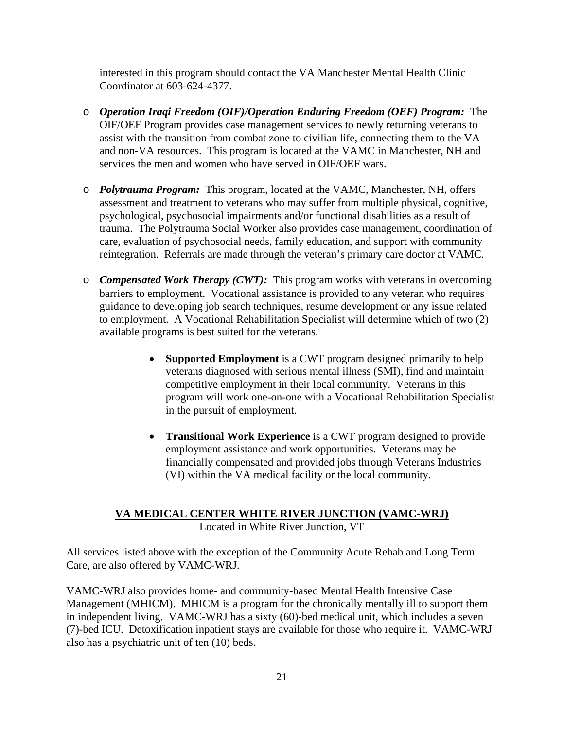interested in this program should contact the VA Manchester Mental Health Clinic Coordinator at 603-624-4377.

- o *Operation Iraqi Freedom (OIF)/Operation Enduring Freedom (OEF) Program:* The OIF/OEF Program provides case management services to newly returning veterans to assist with the transition from combat zone to civilian life, connecting them to the VA and non-VA resources. This program is located at the VAMC in Manchester, NH and services the men and women who have served in OIF/OEF wars.
- o *Polytrauma Program:* This program, located at the VAMC, Manchester, NH, offers assessment and treatment to veterans who may suffer from multiple physical, cognitive, psychological, psychosocial impairments and/or functional disabilities as a result of trauma. The Polytrauma Social Worker also provides case management, coordination of care, evaluation of psychosocial needs, family education, and support with community reintegration. Referrals are made through the veteran's primary care doctor at VAMC.
- o *Compensated Work Therapy (CWT):* This program works with veterans in overcoming barriers to employment. Vocational assistance is provided to any veteran who requires guidance to developing job search techniques, resume development or any issue related to employment. A Vocational Rehabilitation Specialist will determine which of two (2) available programs is best suited for the veterans.
	- **Supported Employment** is a CWT program designed primarily to help veterans diagnosed with serious mental illness (SMI), find and maintain competitive employment in their local community. Veterans in this program will work one-on-one with a Vocational Rehabilitation Specialist in the pursuit of employment.
	- **Transitional Work Experience** is a CWT program designed to provide employment assistance and work opportunities. Veterans may be financially compensated and provided jobs through Veterans Industries (VI) within the VA medical facility or the local community.

# **VA MEDICAL CENTER WHITE RIVER JUNCTION (VAMC-WRJ)**

Located in White River Junction, VT

All services listed above with the exception of the Community Acute Rehab and Long Term Care, are also offered by VAMC-WRJ.

VAMC-WRJ also provides home- and community-based Mental Health Intensive Case Management (MHICM). MHICM is a program for the chronically mentally ill to support them in independent living. VAMC-WRJ has a sixty (60)-bed medical unit, which includes a seven (7)-bed ICU. Detoxification inpatient stays are available for those who require it. VAMC-WRJ also has a psychiatric unit of ten (10) beds.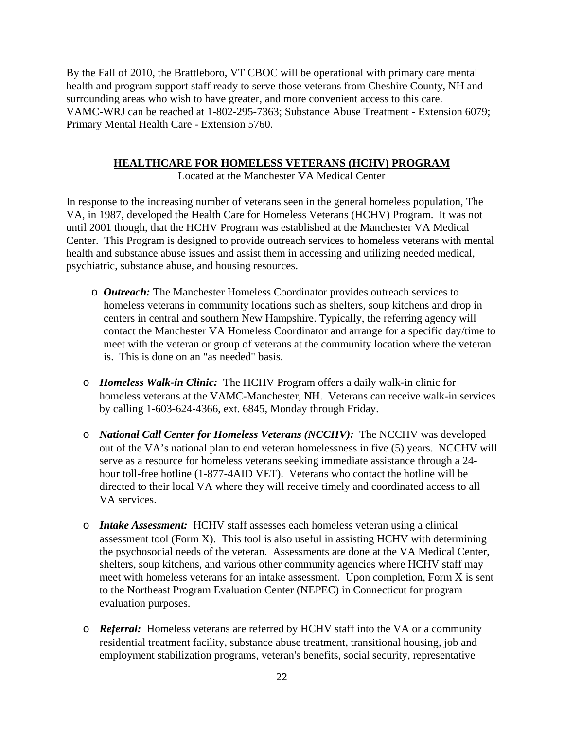By the Fall of 2010, the Brattleboro, VT CBOC will be operational with primary care mental health and program support staff ready to serve those veterans from Cheshire County, NH and surrounding areas who wish to have greater, and more convenient access to this care. VAMC-WRJ can be reached at 1-802-295-7363; Substance Abuse Treatment - Extension 6079; Primary Mental Health Care - Extension 5760.

#### **HEALTHCARE FOR HOMELESS VETERANS (HCHV) PROGRAM**

Located at the Manchester VA Medical Center

In response to the increasing number of veterans seen in the general homeless population, The VA, in 1987, developed the Health Care for Homeless Veterans (HCHV) Program. It was not until 2001 though, that the HCHV Program was established at the Manchester VA Medical Center. This Program is designed to provide outreach services to homeless veterans with mental health and substance abuse issues and assist them in accessing and utilizing needed medical, psychiatric, substance abuse, and housing resources.

- o *Outreach:* The Manchester Homeless Coordinator provides outreach services to homeless veterans in community locations such as shelters, soup kitchens and drop in centers in central and southern New Hampshire. Typically, the referring agency will contact the Manchester VA Homeless Coordinator and arrange for a specific day/time to meet with the veteran or group of veterans at the community location where the veteran is. This is done on an "as needed" basis.
- o *Homeless Walk-in Clinic:* The HCHV Program offers a daily walk-in clinic for homeless veterans at the VAMC-Manchester, NH. Veterans can receive walk-in services by calling 1-603-624-4366, ext. 6845, Monday through Friday.
- o *National Call Center for Homeless Veterans (NCCHV):* The NCCHV was developed out of the VA's national plan to end veteran homelessness in five (5) years. NCCHV will serve as a resource for homeless veterans seeking immediate assistance through a 24 hour toll-free hotline (1-877-4AID VET). Veterans who contact the hotline will be directed to their local VA where they will receive timely and coordinated access to all VA services.
- o *Intake Assessment:* HCHV staff assesses each homeless veteran using a clinical assessment tool (Form X). This tool is also useful in assisting HCHV with determining the psychosocial needs of the veteran. Assessments are done at the VA Medical Center, shelters, soup kitchens, and various other community agencies where HCHV staff may meet with homeless veterans for an intake assessment. Upon completion, Form X is sent to the Northeast Program Evaluation Center (NEPEC) in Connecticut for program evaluation purposes.
- o *Referral:* Homeless veterans are referred by HCHV staff into the VA or a community residential treatment facility, substance abuse treatment, transitional housing, job and employment stabilization programs, veteran's benefits, social security, representative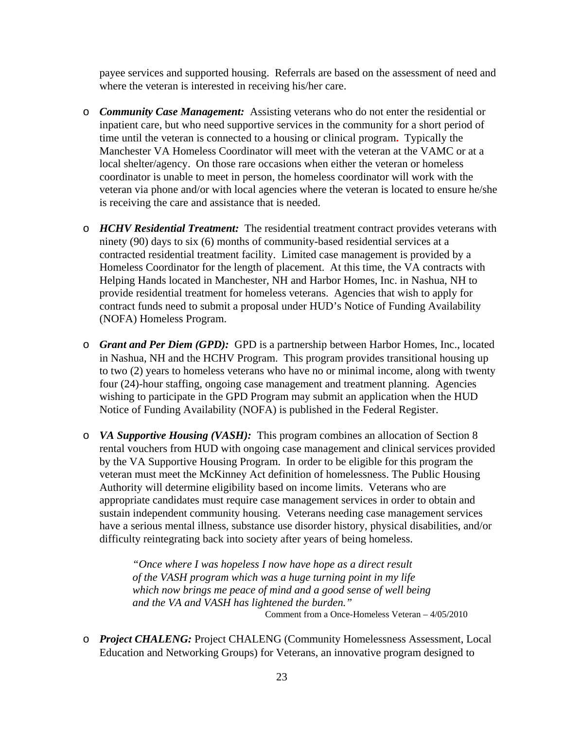payee services and supported housing. Referrals are based on the assessment of need and where the veteran is interested in receiving his/her care.

- o *Community Case Management:* Assisting veterans who do not enter the residential or inpatient care, but who need supportive services in the community for a short period of time until the veteran is connected to a housing or clinical program**.** Typically the Manchester VA Homeless Coordinator will meet with the veteran at the VAMC or at a local shelter/agency. On those rare occasions when either the veteran or homeless coordinator is unable to meet in person, the homeless coordinator will work with the veteran via phone and/or with local agencies where the veteran is located to ensure he/she is receiving the care and assistance that is needed.
- o *HCHV Residential Treatment:* The residential treatment contract provides veterans with ninety (90) days to six (6) months of community-based residential services at a contracted residential treatment facility. Limited case management is provided by a Homeless Coordinator for the length of placement. At this time, the VA contracts with Helping Hands located in Manchester, NH and Harbor Homes, Inc. in Nashua, NH to provide residential treatment for homeless veterans. Agencies that wish to apply for contract funds need to submit a proposal under HUD's Notice of Funding Availability (NOFA) Homeless Program.
- o *Grant and Per Diem (GPD):* GPD is a partnership between Harbor Homes, Inc., located in Nashua, NH and the HCHV Program. This program provides transitional housing up to two (2) years to homeless veterans who have no or minimal income, along with twenty four (24)-hour staffing, ongoing case management and treatment planning. Agencies wishing to participate in the GPD Program may submit an application when the HUD Notice of Funding Availability (NOFA) is published in the Federal Register.
- o *VA Supportive Housing (VASH):* This program combines an allocation of Section 8 rental vouchers from HUD with ongoing case management and clinical services provided by the VA Supportive Housing Program. In order to be eligible for this program the veteran must meet the McKinney Act definition of homelessness. The Public Housing Authority will determine eligibility based on income limits. Veterans who are appropriate candidates must require case management services in order to obtain and sustain independent community housing. Veterans needing case management services have a serious mental illness, substance use disorder history, physical disabilities, and/or difficulty reintegrating back into society after years of being homeless.

*"Once where I was hopeless I now have hope as a direct result of the VASH program which was a huge turning point in my life which now brings me peace of mind and a good sense of well being and the VA and VASH has lightened the burden."*  Comment from a Once-Homeless Veteran – 4/05/2010

o *Project CHALENG:* Project CHALENG (Community Homelessness Assessment, Local Education and Networking Groups) for Veterans, an innovative program designed to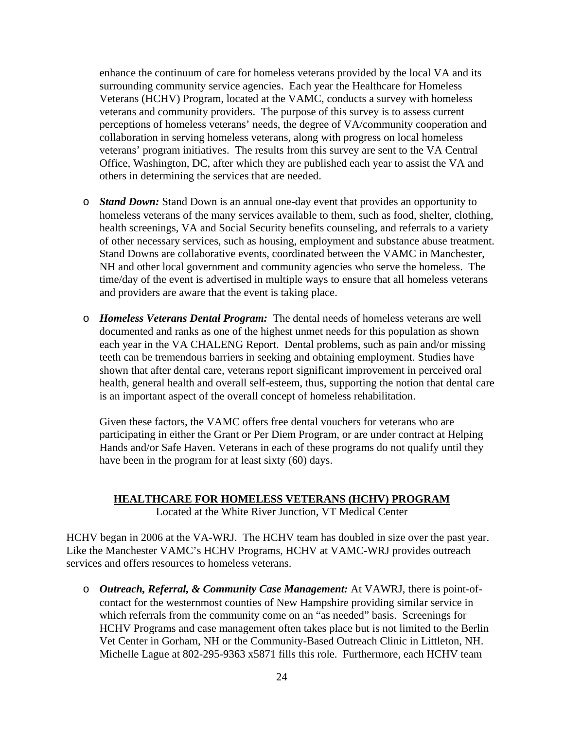enhance the continuum of care for homeless veterans provided by the local VA and its surrounding community service agencies. Each year the Healthcare for Homeless Veterans (HCHV) Program, located at the VAMC, conducts a survey with homeless veterans and community providers. The purpose of this survey is to assess current perceptions of homeless veterans' needs, the degree of VA/community cooperation and collaboration in serving homeless veterans, along with progress on local homeless veterans' program initiatives. The results from this survey are sent to the VA Central Office, Washington, DC, after which they are published each year to assist the VA and others in determining the services that are needed.

- o *Stand Down:* Stand Down is an annual one-day event that provides an opportunity to homeless veterans of the many services available to them, such as food, shelter, clothing, health screenings, VA and Social Security benefits counseling, and referrals to a variety of other necessary services, such as housing, employment and substance abuse treatment. Stand Downs are collaborative events, coordinated between the VAMC in Manchester, NH and other local government and community agencies who serve the homeless. The time/day of the event is advertised in multiple ways to ensure that all homeless veterans and providers are aware that the event is taking place.
- o *Homeless Veterans Dental Program:* The dental needs of homeless veterans are well documented and ranks as one of the highest unmet needs for this population as shown each year in the VA CHALENG Report. Dental problems, such as pain and/or missing teeth can be tremendous barriers in seeking and obtaining employment. Studies have shown that after dental care, veterans report significant improvement in perceived oral health, general health and overall self-esteem, thus, supporting the notion that dental care is an important aspect of the overall concept of homeless rehabilitation.

Given these factors, the VAMC offers free dental vouchers for veterans who are participating in either the Grant or Per Diem Program, or are under contract at Helping Hands and/or Safe Haven. Veterans in each of these programs do not qualify until they have been in the program for at least sixty (60) days.

#### **HEALTHCARE FOR HOMELESS VETERANS (HCHV) PROGRAM**

Located at the White River Junction, VT Medical Center

HCHV began in 2006 at the VA-WRJ. The HCHV team has doubled in size over the past year. Like the Manchester VAMC's HCHV Programs, HCHV at VAMC-WRJ provides outreach services and offers resources to homeless veterans.

o *Outreach, Referral, & Community Case Management:* At VAWRJ, there is point-ofcontact for the westernmost counties of New Hampshire providing similar service in which referrals from the community come on an "as needed" basis. Screenings for HCHV Programs and case management often takes place but is not limited to the Berlin Vet Center in Gorham, NH or the Community-Based Outreach Clinic in Littleton, NH. Michelle Lague at 802-295-9363 x5871 fills this role. Furthermore, each HCHV team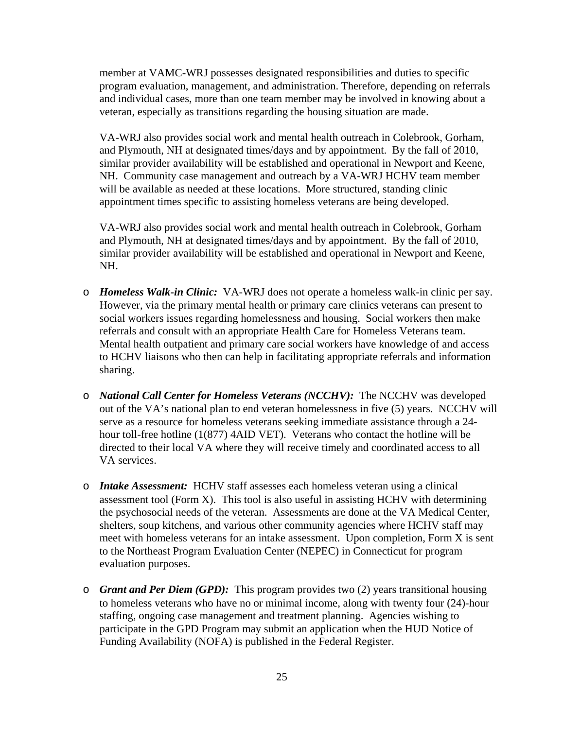member at VAMC-WRJ possesses designated responsibilities and duties to specific program evaluation, management, and administration. Therefore, depending on referrals and individual cases, more than one team member may be involved in knowing about a veteran, especially as transitions regarding the housing situation are made.

VA-WRJ also provides social work and mental health outreach in Colebrook, Gorham, and Plymouth, NH at designated times/days and by appointment. By the fall of 2010, similar provider availability will be established and operational in Newport and Keene, NH. Community case management and outreach by a VA-WRJ HCHV team member will be available as needed at these locations. More structured, standing clinic appointment times specific to assisting homeless veterans are being developed.

VA-WRJ also provides social work and mental health outreach in Colebrook, Gorham and Plymouth, NH at designated times/days and by appointment. By the fall of 2010, similar provider availability will be established and operational in Newport and Keene, NH.

- o *Homeless Walk-in Clinic:* VA-WRJ does not operate a homeless walk-in clinic per say. However, via the primary mental health or primary care clinics veterans can present to social workers issues regarding homelessness and housing. Social workers then make referrals and consult with an appropriate Health Care for Homeless Veterans team. Mental health outpatient and primary care social workers have knowledge of and access to HCHV liaisons who then can help in facilitating appropriate referrals and information sharing.
- o *National Call Center for Homeless Veterans (NCCHV):* The NCCHV was developed out of the VA's national plan to end veteran homelessness in five (5) years. NCCHV will serve as a resource for homeless veterans seeking immediate assistance through a 24 hour toll-free hotline (1(877) 4AID VET). Veterans who contact the hotline will be directed to their local VA where they will receive timely and coordinated access to all VA services.
- o *Intake Assessment:* HCHV staff assesses each homeless veteran using a clinical assessment tool (Form X). This tool is also useful in assisting HCHV with determining the psychosocial needs of the veteran. Assessments are done at the VA Medical Center, shelters, soup kitchens, and various other community agencies where HCHV staff may meet with homeless veterans for an intake assessment. Upon completion, Form X is sent to the Northeast Program Evaluation Center (NEPEC) in Connecticut for program evaluation purposes.
- o *Grant and Per Diem (GPD):* This program provides two (2) years transitional housing to homeless veterans who have no or minimal income, along with twenty four (24)-hour staffing, ongoing case management and treatment planning. Agencies wishing to participate in the GPD Program may submit an application when the HUD Notice of Funding Availability (NOFA) is published in the Federal Register.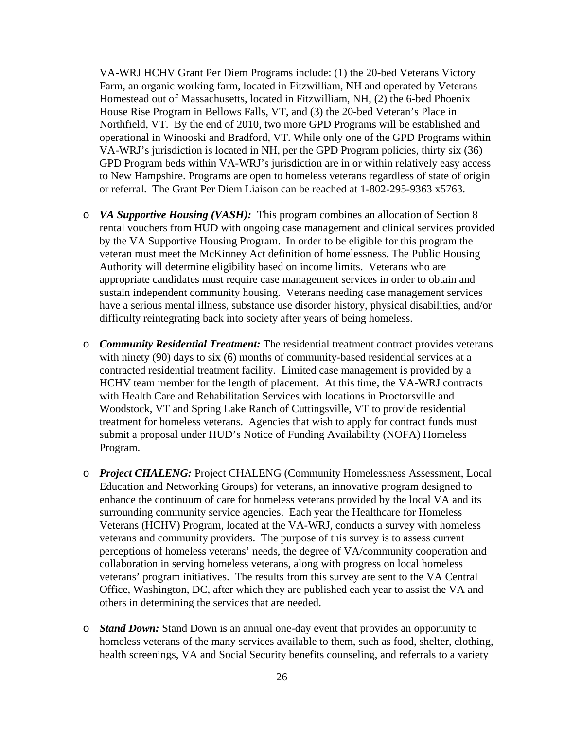VA-WRJ HCHV Grant Per Diem Programs include: (1) the 20-bed Veterans Victory Farm, an organic working farm, located in Fitzwilliam, NH and operated by Veterans Homestead out of Massachusetts, located in Fitzwilliam, NH, (2) the 6-bed Phoenix House Rise Program in Bellows Falls, VT, and (3) the 20-bed Veteran's Place in Northfield, VT. By the end of 2010, two more GPD Programs will be established and operational in Winooski and Bradford, VT. While only one of the GPD Programs within VA-WRJ's jurisdiction is located in NH, per the GPD Program policies, thirty six (36) GPD Program beds within VA-WRJ's jurisdiction are in or within relatively easy access to New Hampshire. Programs are open to homeless veterans regardless of state of origin or referral. The Grant Per Diem Liaison can be reached at 1-802-295-9363 x5763.

- o *VA Supportive Housing (VASH):* This program combines an allocation of Section 8 rental vouchers from HUD with ongoing case management and clinical services provided by the VA Supportive Housing Program. In order to be eligible for this program the veteran must meet the McKinney Act definition of homelessness. The Public Housing Authority will determine eligibility based on income limits. Veterans who are appropriate candidates must require case management services in order to obtain and sustain independent community housing. Veterans needing case management services have a serious mental illness, substance use disorder history, physical disabilities, and/or difficulty reintegrating back into society after years of being homeless.
- o *Community Residential Treatment:* The residential treatment contract provides veterans with ninety (90) days to six (6) months of community-based residential services at a contracted residential treatment facility. Limited case management is provided by a HCHV team member for the length of placement. At this time, the VA-WRJ contracts with Health Care and Rehabilitation Services with locations in Proctorsville and Woodstock, VT and Spring Lake Ranch of Cuttingsville, VT to provide residential treatment for homeless veterans. Agencies that wish to apply for contract funds must submit a proposal under HUD's Notice of Funding Availability (NOFA) Homeless Program.
- o *Project CHALENG:* Project CHALENG (Community Homelessness Assessment, Local Education and Networking Groups) for veterans, an innovative program designed to enhance the continuum of care for homeless veterans provided by the local VA and its surrounding community service agencies. Each year the Healthcare for Homeless Veterans (HCHV) Program, located at the VA-WRJ, conducts a survey with homeless veterans and community providers. The purpose of this survey is to assess current perceptions of homeless veterans' needs, the degree of VA/community cooperation and collaboration in serving homeless veterans, along with progress on local homeless veterans' program initiatives. The results from this survey are sent to the VA Central Office, Washington, DC, after which they are published each year to assist the VA and others in determining the services that are needed.
- o *Stand Down:* Stand Down is an annual one-day event that provides an opportunity to homeless veterans of the many services available to them, such as food, shelter, clothing, health screenings, VA and Social Security benefits counseling, and referrals to a variety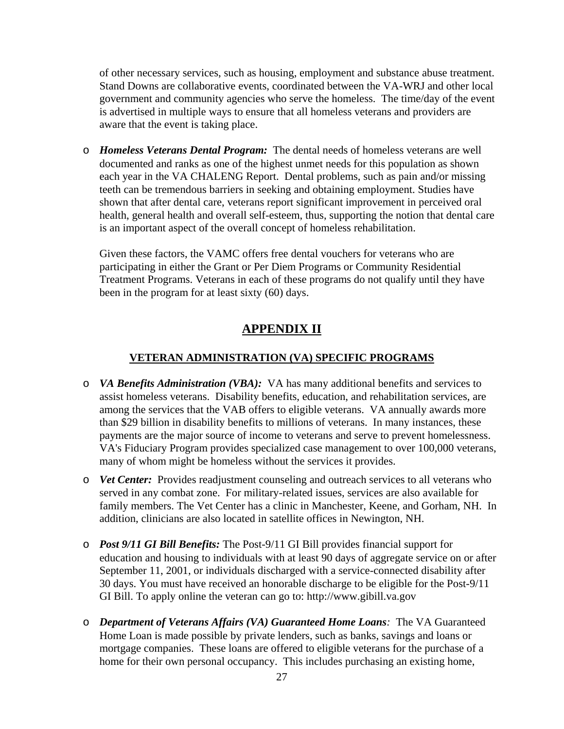of other necessary services, such as housing, employment and substance abuse treatment. Stand Downs are collaborative events, coordinated between the VA-WRJ and other local government and community agencies who serve the homeless. The time/day of the event is advertised in multiple ways to ensure that all homeless veterans and providers are aware that the event is taking place.

o *Homeless Veterans Dental Program:* The dental needs of homeless veterans are well documented and ranks as one of the highest unmet needs for this population as shown each year in the VA CHALENG Report. Dental problems, such as pain and/or missing teeth can be tremendous barriers in seeking and obtaining employment. Studies have shown that after dental care, veterans report significant improvement in perceived oral health, general health and overall self-esteem, thus, supporting the notion that dental care is an important aspect of the overall concept of homeless rehabilitation.

Given these factors, the VAMC offers free dental vouchers for veterans who are participating in either the Grant or Per Diem Programs or Community Residential Treatment Programs. Veterans in each of these programs do not qualify until they have been in the program for at least sixty (60) days.

### **APPENDIX II**

#### **VETERAN ADMINISTRATION (VA) SPECIFIC PROGRAMS**

- o *VA Benefits Administration (VBA):* VA has many additional benefits and services to assist homeless veterans. Disability benefits, education, and rehabilitation services, are among the services that the VAB offers to eligible veterans. VA annually awards more than \$29 billion in disability benefits to millions of veterans. In many instances, these payments are the major source of income to veterans and serve to prevent homelessness. VA's Fiduciary Program provides specialized case management to over 100,000 veterans, many of whom might be homeless without the services it provides.
- o *Vet Center:*Provides readjustment counseling and outreach services to all veterans who served in any combat zone. For military-related issues, services are also available for family members. The Vet Center has a clinic in Manchester, Keene, and Gorham, NH. In addition, clinicians are also located in satellite offices in Newington, NH.
- o *Post 9/11 GI Bill Benefits:* The Post-9/11 GI Bill provides financial support for education and housing to individuals with at least 90 days of aggregate service on or after September 11, 2001, or individuals discharged with a service-connected disability after 30 days. You must have received an honorable discharge to be eligible for the Post-9/11 GI Bill. To apply online the veteran can go to: http://www.gibill.va.gov
- o *Department of Veterans Affairs (VA) Guaranteed Home Loans:* The VA Guaranteed Home Loan is made possible by private lenders, such as banks, savings and loans or mortgage companies. These loans are offered to eligible veterans for the purchase of a home for their own personal occupancy. This includes purchasing an existing home,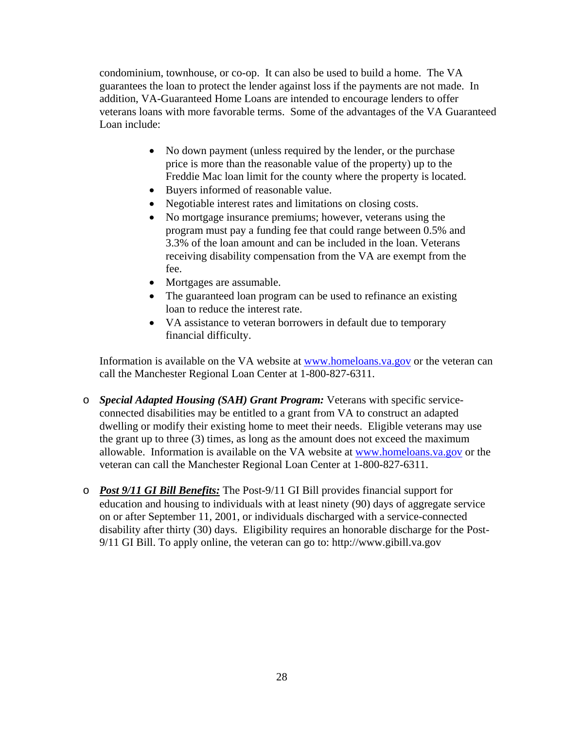condominium, townhouse, or co-op. It can also be used to build a home. The VA guarantees the loan to protect the lender against loss if the payments are not made. In addition, VA-Guaranteed Home Loans are intended to encourage lenders to offer veterans loans with more favorable terms. Some of the advantages of the VA Guaranteed Loan include:

- No down payment (unless required by the lender, or the purchase price is more than the reasonable value of the property) up to the Freddie Mac loan limit for the county where the property is located.
- Buyers informed of reasonable value.
- Negotiable interest rates and limitations on closing costs.
- No mortgage insurance premiums; however, veterans using the program must pay a funding fee that could range between 0.5% and 3.3% of the loan amount and can be included in the loan. Veterans receiving disability compensation from the VA are exempt from the fee.
- Mortgages are assumable.
- The guaranteed loan program can be used to refinance an existing loan to reduce the interest rate.
- VA assistance to veteran borrowers in default due to temporary financial difficulty.

Information is available on the VA website at www.homeloans.va.gov or the veteran can call the Manchester Regional Loan Center at 1-800-827-6311.

- o *Special Adapted Housing (SAH) Grant Program:* Veterans with specific serviceconnected disabilities may be entitled to a grant from VA to construct an adapted dwelling or modify their existing home to meet their needs. Eligible veterans may use the grant up to three (3) times, as long as the amount does not exceed the maximum allowable. Information is available on the VA website at www.homeloans.va.gov or the veteran can call the Manchester Regional Loan Center at 1-800-827-6311.
- o *Post 9/11 GI Bill Benefits:* The Post-9/11 GI Bill provides financial support for education and housing to individuals with at least ninety (90) days of aggregate service on or after September 11, 2001, or individuals discharged with a service-connected disability after thirty (30) days. Eligibility requires an honorable discharge for the Post-9/11 GI Bill. To apply online, the veteran can go to: http://www.gibill.va.gov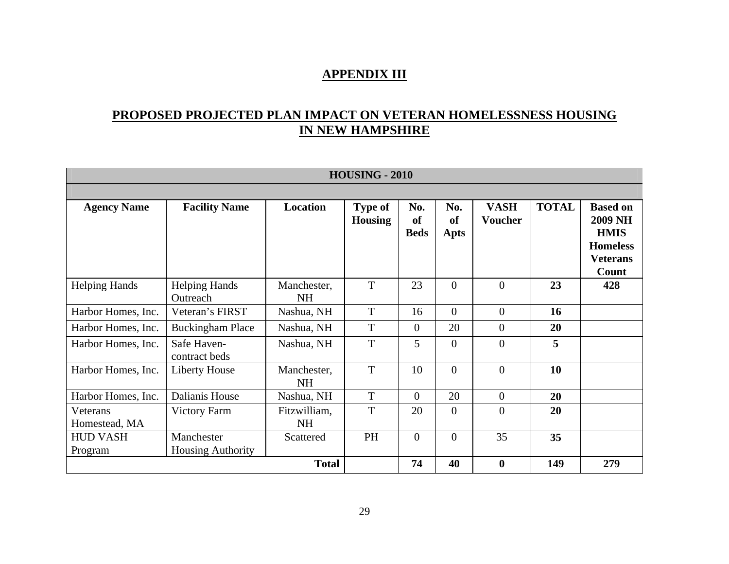#### **APPENDIX III**

## **PROPOSED PROJECTED PLAN IMPACT ON VETERAN HOMELESSNESS HOUSING IN NEW HAMPSHIRE**

|                            | <b>HOUSING - 2010</b>                  |                           |                                  |                                     |                              |                               |              |                                                                                                 |  |  |
|----------------------------|----------------------------------------|---------------------------|----------------------------------|-------------------------------------|------------------------------|-------------------------------|--------------|-------------------------------------------------------------------------------------------------|--|--|
|                            |                                        |                           |                                  |                                     |                              |                               |              |                                                                                                 |  |  |
| <b>Agency Name</b>         | <b>Facility Name</b>                   | Location                  | <b>Type of</b><br><b>Housing</b> | No.<br><sub>of</sub><br><b>Beds</b> | No.<br><sub>of</sub><br>Apts | <b>VASH</b><br><b>Voucher</b> | <b>TOTAL</b> | <b>Based on</b><br><b>2009 NH</b><br><b>HMIS</b><br><b>Homeless</b><br><b>Veterans</b><br>Count |  |  |
| <b>Helping Hands</b>       | <b>Helping Hands</b><br>Outreach       | Manchester,<br><b>NH</b>  | T                                | 23                                  | $\overline{0}$               | $\theta$                      | 23           | 428                                                                                             |  |  |
| Harbor Homes, Inc.         | Veteran's FIRST                        | Nashua, NH                | $\mathbf T$                      | 16                                  | $\overline{0}$               | $\overline{0}$                | 16           |                                                                                                 |  |  |
| Harbor Homes, Inc.         | <b>Buckingham Place</b>                | Nashua, NH                | T                                | $\theta$                            | 20                           | $\overline{0}$                | 20           |                                                                                                 |  |  |
| Harbor Homes, Inc.         | Safe Haven-<br>contract beds           | Nashua, NH                | T                                | 5                                   | $\overline{0}$               | $\overline{0}$                | 5            |                                                                                                 |  |  |
| Harbor Homes, Inc.         | <b>Liberty House</b>                   | Manchester,<br><b>NH</b>  | T                                | 10                                  | $\overline{0}$               | $\overline{0}$                | 10           |                                                                                                 |  |  |
| Harbor Homes, Inc.         | Dalianis House                         | Nashua, NH                | T                                | $\theta$                            | 20                           | $\overline{0}$                | 20           |                                                                                                 |  |  |
| Veterans<br>Homestead, MA  | Victory Farm                           | Fitzwilliam,<br><b>NH</b> | T                                | 20                                  | $\Omega$                     | $\overline{0}$                | 20           |                                                                                                 |  |  |
| <b>HUD VASH</b><br>Program | Manchester<br><b>Housing Authority</b> | Scattered                 | PH                               | $\overline{0}$                      | $\overline{0}$               | 35                            | 35           |                                                                                                 |  |  |
|                            |                                        | <b>Total</b>              |                                  | 74                                  | 40                           | $\boldsymbol{0}$              | 149          | 279                                                                                             |  |  |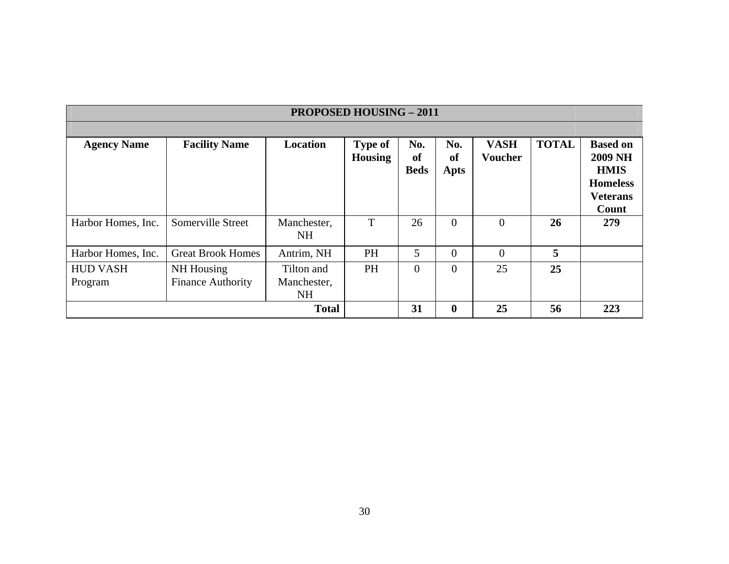| <b>PROPOSED HOUSING - 2011</b> |                                        |                                 |                                  |                          |                   |                               |              |                                                                                                 |
|--------------------------------|----------------------------------------|---------------------------------|----------------------------------|--------------------------|-------------------|-------------------------------|--------------|-------------------------------------------------------------------------------------------------|
|                                |                                        |                                 |                                  |                          |                   |                               |              |                                                                                                 |
| <b>Agency Name</b>             | <b>Facility Name</b>                   | <b>Location</b>                 | <b>Type of</b><br><b>Housing</b> | No.<br>of<br><b>Beds</b> | No.<br>of<br>Apts | <b>VASH</b><br><b>Voucher</b> | <b>TOTAL</b> | <b>Based on</b><br><b>2009 NH</b><br><b>HMIS</b><br><b>Homeless</b><br><b>Veterans</b><br>Count |
| Harbor Homes, Inc.             | Somerville Street                      | Manchester,<br><b>NH</b>        | T                                | 26                       | $\theta$          | $\overline{0}$                | 26           | 279                                                                                             |
| Harbor Homes, Inc.             | <b>Great Brook Homes</b>               | Antrim, NH                      | <b>PH</b>                        | 5                        | $\theta$          | $\Omega$                      | 5            |                                                                                                 |
| <b>HUD VASH</b><br>Program     | NH Housing<br><b>Finance Authority</b> | Tilton and<br>Manchester,<br>NH | <b>PH</b>                        | $\overline{0}$           | $\overline{0}$    | 25                            | 25           |                                                                                                 |
|                                |                                        | <b>Total</b>                    |                                  | 31                       | $\bf{0}$          | 25                            | 56           | 223                                                                                             |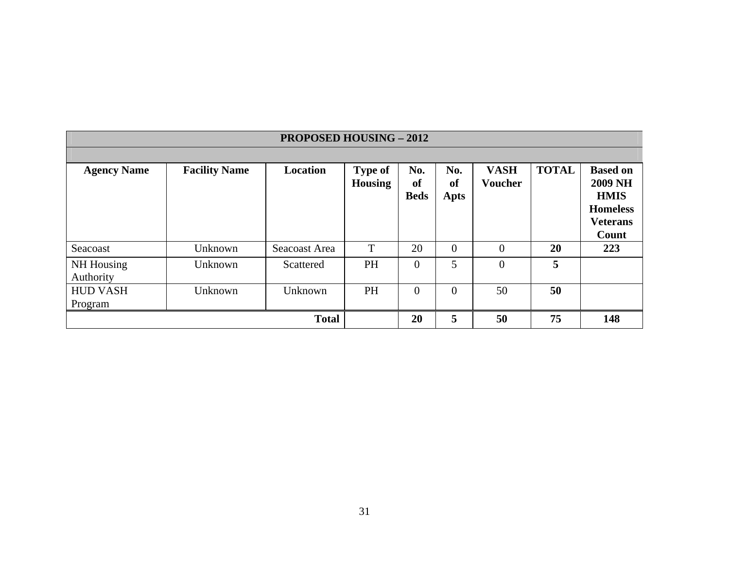|                                | <b>PROPOSED HOUSING - 2012</b> |                 |                           |                          |                                 |                               |              |                                                                                                 |  |  |  |
|--------------------------------|--------------------------------|-----------------|---------------------------|--------------------------|---------------------------------|-------------------------------|--------------|-------------------------------------------------------------------------------------------------|--|--|--|
|                                |                                |                 |                           |                          |                                 |                               |              |                                                                                                 |  |  |  |
| <b>Agency Name</b>             | <b>Facility Name</b>           | <b>Location</b> | <b>Type of</b><br>Housing | No.<br>of<br><b>Beds</b> | No.<br><b>of</b><br><b>Apts</b> | <b>VASH</b><br><b>Voucher</b> | <b>TOTAL</b> | <b>Based on</b><br><b>2009 NH</b><br><b>HMIS</b><br><b>Homeless</b><br><b>Veterans</b><br>Count |  |  |  |
| Seacoast                       | Unknown                        | Seacoast Area   | T                         | 20                       | $\overline{0}$                  | $\overline{0}$                | 20           | 223                                                                                             |  |  |  |
| <b>NH</b> Housing<br>Authority | Unknown                        | Scattered       | <b>PH</b>                 | $\overline{0}$           | 5                               | $\overline{0}$                | 5            |                                                                                                 |  |  |  |
| <b>HUD VASH</b><br>Program     | Unknown                        | Unknown         | PH                        | $\overline{0}$           | $\overline{0}$                  | 50                            | 50           |                                                                                                 |  |  |  |
|                                |                                | <b>Total</b>    |                           | 20                       | 5                               | 50                            | 75           | 148                                                                                             |  |  |  |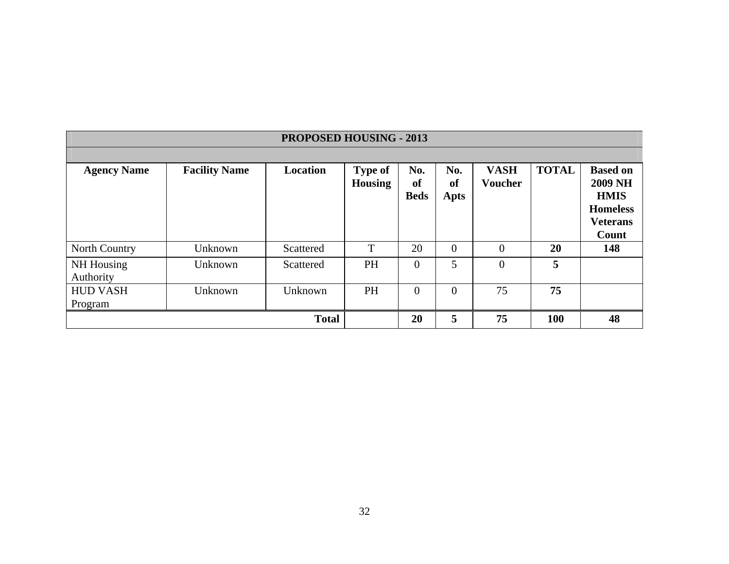|                            | <b>PROPOSED HOUSING - 2013</b> |                 |                                  |                          |                                 |                               |              |                                                                                                 |  |  |
|----------------------------|--------------------------------|-----------------|----------------------------------|--------------------------|---------------------------------|-------------------------------|--------------|-------------------------------------------------------------------------------------------------|--|--|
|                            |                                |                 |                                  |                          |                                 |                               |              |                                                                                                 |  |  |
| <b>Agency Name</b>         | <b>Facility Name</b>           | <b>Location</b> | <b>Type of</b><br><b>Housing</b> | No.<br>of<br><b>Beds</b> | No.<br><b>of</b><br><b>Apts</b> | <b>VASH</b><br><b>Voucher</b> | <b>TOTAL</b> | <b>Based on</b><br><b>2009 NH</b><br><b>HMIS</b><br><b>Homeless</b><br><b>Veterans</b><br>Count |  |  |
| North Country              | Unknown                        | Scattered       | T                                | 20                       | $\overline{0}$                  | $\overline{0}$                | 20           | 148                                                                                             |  |  |
| NH Housing<br>Authority    | Unknown                        | Scattered       | <b>PH</b>                        | $\overline{0}$           | 5                               | $\overline{0}$                | 5            |                                                                                                 |  |  |
| <b>HUD VASH</b><br>Program | Unknown                        | Unknown         | PH                               | $\overline{0}$           | $\overline{0}$                  | 75                            | 75           |                                                                                                 |  |  |
|                            |                                | <b>Total</b>    |                                  | 20                       | 5                               | 75                            | 100          | 48                                                                                              |  |  |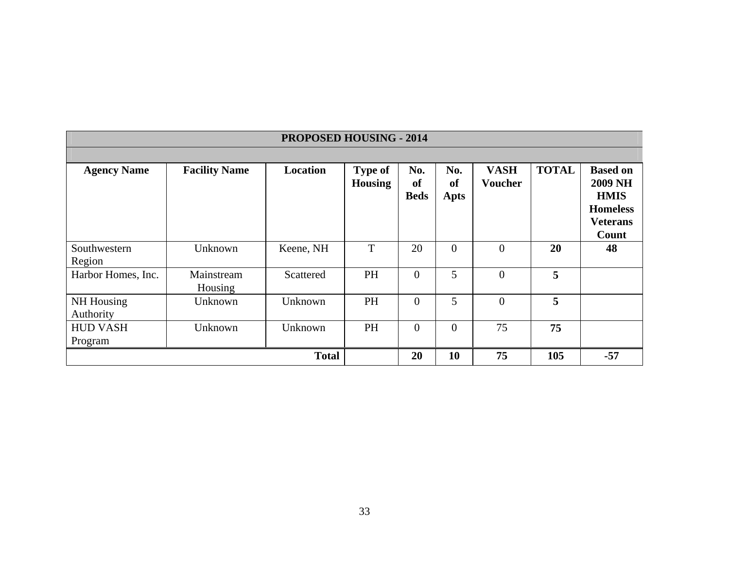|                            |                       | <b>PROPOSED HOUSING - 2014</b> |                                  |                          |                          |                               |              |                                                                                        |
|----------------------------|-----------------------|--------------------------------|----------------------------------|--------------------------|--------------------------|-------------------------------|--------------|----------------------------------------------------------------------------------------|
| <b>Agency Name</b>         | <b>Facility Name</b>  | Location                       | <b>Type of</b><br><b>Housing</b> | No.<br>of<br><b>Beds</b> | No.<br>of<br><b>Apts</b> | <b>VASH</b><br><b>Voucher</b> | <b>TOTAL</b> | <b>Based on</b><br><b>2009 NH</b><br><b>HMIS</b><br><b>Homeless</b><br><b>Veterans</b> |
| Southwestern<br>Region     | Unknown               | Keene, NH                      | T                                | 20                       | $\Omega$                 | $\overline{0}$                | 20           | Count<br>48                                                                            |
| Harbor Homes, Inc.         | Mainstream<br>Housing | Scattered                      | PH                               | $\Omega$                 | 5                        | $\overline{0}$                | 5            |                                                                                        |
| NH Housing<br>Authority    | Unknown               | Unknown                        | <b>PH</b>                        | $\overline{0}$           | 5                        | $\overline{0}$                | 5            |                                                                                        |
| <b>HUD VASH</b><br>Program | Unknown               | Unknown                        | <b>PH</b>                        | $\Omega$                 | $\theta$                 | 75                            | 75           |                                                                                        |
|                            |                       | <b>Total</b>                   |                                  | 20                       | 10                       | 75                            | 105          | $-57$                                                                                  |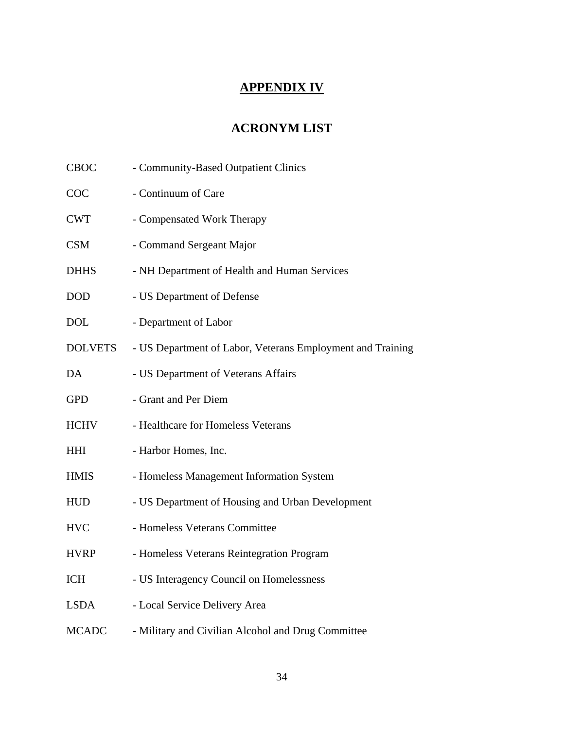## **APPENDIX IV**

## **ACRONYM LIST**

| <b>CBOC</b>    | - Community-Based Outpatient Clinics                       |
|----------------|------------------------------------------------------------|
| COC            | - Continuum of Care                                        |
| <b>CWT</b>     | - Compensated Work Therapy                                 |
| <b>CSM</b>     | - Command Sergeant Major                                   |
| <b>DHHS</b>    | - NH Department of Health and Human Services               |
| DOD            | - US Department of Defense                                 |
| <b>DOL</b>     | - Department of Labor                                      |
| <b>DOLVETS</b> | - US Department of Labor, Veterans Employment and Training |
| DA             | - US Department of Veterans Affairs                        |
| <b>GPD</b>     | - Grant and Per Diem                                       |
| <b>HCHV</b>    | - Healthcare for Homeless Veterans                         |
| <b>HHI</b>     | - Harbor Homes, Inc.                                       |
| <b>HMIS</b>    | - Homeless Management Information System                   |
| <b>HUD</b>     | - US Department of Housing and Urban Development           |
| <b>HVC</b>     | - Homeless Veterans Committee                              |
| <b>HVRP</b>    | - Homeless Veterans Reintegration Program                  |
| <b>ICH</b>     | - US Interagency Council on Homelessness                   |
| <b>LSDA</b>    | - Local Service Delivery Area                              |
| <b>MCADC</b>   | - Military and Civilian Alcohol and Drug Committee         |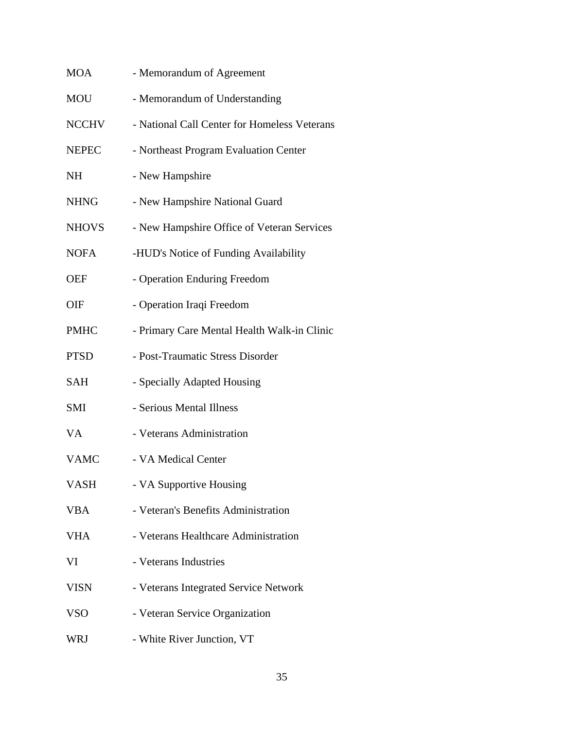| <b>MOA</b>   | - Memorandum of Agreement                    |
|--------------|----------------------------------------------|
| <b>MOU</b>   | - Memorandum of Understanding                |
| <b>NCCHV</b> | - National Call Center for Homeless Veterans |
| <b>NEPEC</b> | - Northeast Program Evaluation Center        |
| <b>NH</b>    | - New Hampshire                              |
| <b>NHNG</b>  | - New Hampshire National Guard               |
| <b>NHOVS</b> | - New Hampshire Office of Veteran Services   |
| <b>NOFA</b>  | -HUD's Notice of Funding Availability        |
| <b>OEF</b>   | - Operation Enduring Freedom                 |
| OIF          | - Operation Iraqi Freedom                    |
| <b>PMHC</b>  | - Primary Care Mental Health Walk-in Clinic  |
| <b>PTSD</b>  | - Post-Traumatic Stress Disorder             |
| <b>SAH</b>   | - Specially Adapted Housing                  |
| <b>SMI</b>   | - Serious Mental Illness                     |
| VA           | - Veterans Administration                    |
| <b>VAMC</b>  | - VA Medical Center                          |
| VASH         | - VA Supportive Housing                      |
| <b>VBA</b>   | - Veteran's Benefits Administration          |
| VHA          | - Veterans Healthcare Administration         |
| VI           | - Veterans Industries                        |
| <b>VISN</b>  | - Veterans Integrated Service Network        |
| <b>VSO</b>   | - Veteran Service Organization               |
| <b>WRJ</b>   | - White River Junction, VT                   |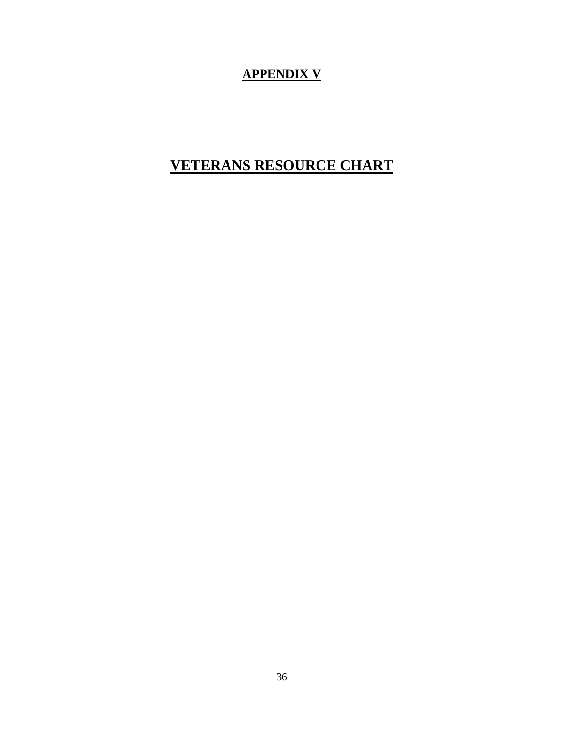## **APPENDIX V**

# **VETERANS RESOURCE CHART**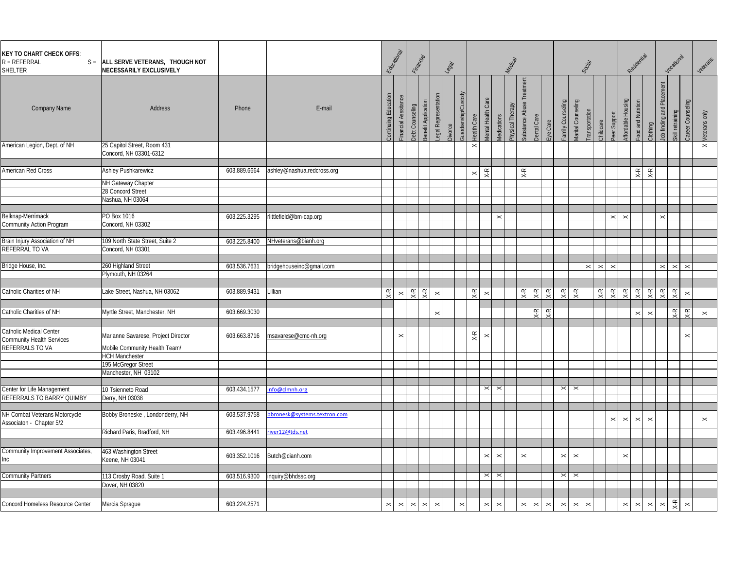| <b>KEY TO CHART CHECK OFFS:</b><br>$R = REFERRAL$<br>SHELTER | S = ALL SERVE VETERANS, THOUGH NOT<br>NECESSARILY EXCLUSIVELY |              |                             |                       | Educational         | Financial                                      |                       | $\frac{1}{3}$ |                                            |                       |                       | Medical          |                                |                               |                       |                       | Social                |                      |                                            | Residential                                    |                                |                                  | Vocational            |                          | Veterans              |
|--------------------------------------------------------------|---------------------------------------------------------------|--------------|-----------------------------|-----------------------|---------------------|------------------------------------------------|-----------------------|---------------|--------------------------------------------|-----------------------|-----------------------|------------------|--------------------------------|-------------------------------|-----------------------|-----------------------|-----------------------|----------------------|--------------------------------------------|------------------------------------------------|--------------------------------|----------------------------------|-----------------------|--------------------------|-----------------------|
| <b>Company Name</b>                                          | <b>Address</b>                                                | Phone        | E-mail                      | continuing Education  | inancial Asssitance | Benefit Application<br>Debt Counseling         | egal Representatio    | Divorce       | <b>Juardianship/Custody</b><br>lealth Care | lental Health Care    | Medications           | Physical Therapy | Substance Abuse                | <b>Dental Care</b><br>ye Care | amily Counseling      | Aarital Counseling    | ransportation         | Childcare            | Peer Support                               | ood and Nutrition<br><b>Affordable Hous</b>    | Clothing                       | $\frac{a}{a}$<br>lob finding and | Skill retraining      | Counsel<br><b>Janeer</b> | Veterans only         |
| American Legion, Dept. of NH                                 | 25 Capitol Street, Room 431                                   |              |                             |                       |                     |                                                |                       |               | $\times$                                   |                       |                       |                  |                                |                               |                       |                       |                       |                      |                                            |                                                |                                |                                  |                       |                          | $\boldsymbol{\times}$ |
|                                                              | Concord, NH 03301-6312                                        |              |                             |                       |                     |                                                |                       |               |                                            |                       |                       |                  |                                |                               |                       |                       |                       |                      |                                            |                                                |                                |                                  |                       |                          |                       |
| American Red Cross                                           | Ashley Pushkarewicz                                           | 603.889.6664 | ashley@nashua.redcross.org  |                       |                     |                                                |                       |               |                                            |                       |                       |                  |                                |                               |                       |                       |                       |                      |                                            |                                                |                                |                                  |                       |                          |                       |
|                                                              |                                                               |              |                             |                       |                     |                                                |                       |               | $\pmb{\times}$                             | $X-R$                 |                       |                  | $X-R$                          |                               |                       |                       |                       |                      |                                            | $\mathsf{X}\text{-}\mathsf{R}$                 | $\mathsf{X}\text{-}\mathsf{R}$ |                                  |                       |                          |                       |
|                                                              | NH Gateway Chapter<br>28 Concord Street                       |              |                             |                       |                     |                                                |                       |               |                                            |                       |                       |                  |                                |                               |                       |                       |                       |                      |                                            |                                                |                                |                                  |                       |                          |                       |
|                                                              | Nashua, NH 03064                                              |              |                             |                       |                     |                                                |                       |               |                                            |                       |                       |                  |                                |                               |                       |                       |                       |                      |                                            |                                                |                                |                                  |                       |                          |                       |
|                                                              |                                                               |              |                             |                       |                     |                                                |                       |               |                                            |                       |                       |                  |                                |                               |                       |                       |                       |                      |                                            |                                                |                                |                                  |                       |                          |                       |
| Belknap-Merrimack                                            | PO Box 1016                                                   | 603.225.3295 | rlittlefield@bm-cap.org     |                       |                     |                                                |                       |               |                                            |                       | $\boldsymbol{\times}$ |                  |                                |                               |                       |                       |                       |                      | $\mathbf{\times}$<br>$\boldsymbol{\times}$ |                                                |                                | $\mathbb{\times}$                |                       |                          |                       |
| Community Action Program                                     | Concord, NH 03302                                             |              |                             |                       |                     |                                                |                       |               |                                            |                       |                       |                  |                                |                               |                       |                       |                       |                      |                                            |                                                |                                |                                  |                       |                          |                       |
|                                                              |                                                               |              |                             |                       |                     |                                                |                       |               |                                            |                       |                       |                  |                                |                               |                       |                       |                       |                      |                                            |                                                |                                |                                  |                       |                          |                       |
| Brain Injury Association of NH                               | 109 North State Street, Suite 2                               | 603.225.8400 | NHveterans@bianh.org        |                       |                     |                                                |                       |               |                                            |                       |                       |                  |                                |                               |                       |                       |                       |                      |                                            |                                                |                                |                                  |                       |                          |                       |
| REFERRAL TO VA                                               | Concord, NH 03301                                             |              |                             |                       |                     |                                                |                       |               |                                            |                       |                       |                  |                                |                               |                       |                       |                       |                      |                                            |                                                |                                |                                  |                       |                          |                       |
|                                                              |                                                               |              |                             |                       |                     |                                                |                       |               |                                            |                       |                       |                  |                                |                               |                       |                       |                       |                      |                                            |                                                |                                |                                  |                       |                          |                       |
| Bridge House, Inc.                                           | 260 Highland Street                                           | 603.536.7631 | bridgehouseinc@gmail.com    |                       |                     |                                                |                       |               |                                            |                       |                       |                  |                                |                               |                       |                       | $\pmb{\times}$        | $\vert \times \vert$ | $\mathbb{\times}$                          |                                                |                                | $\boldsymbol{\times}$            | $\boldsymbol{\times}$ | $\mathbf{\times}$        |                       |
|                                                              | Plymouth, NH 03264                                            |              |                             |                       |                     |                                                |                       |               |                                            |                       |                       |                  |                                |                               |                       |                       |                       |                      |                                            |                                                |                                |                                  |                       |                          |                       |
|                                                              |                                                               |              |                             |                       |                     |                                                |                       |               |                                            |                       |                       |                  |                                |                               |                       |                       |                       |                      |                                            |                                                |                                |                                  |                       |                          |                       |
| Catholic Charities of NH                                     | Lake Street, Nashua, NH 03062                                 | 603.889.9431 | Lillian                     | $X-R$                 | $\times$            | $X-R$<br>$X - R$                               | $\times$              |               | $X-R$                                      | $\boldsymbol{\times}$ |                       |                  | $\mathsf{X}\text{-}\mathsf{R}$ | $X-R$<br>$X-R$                | $X-R$                 | $X-R$                 |                       | $_{\rm X-R}$         | $X-R$                                      | $X-R$<br>$X-R$                                 | $X-R$                          | $X-R$                            | $X-R$                 | $\boldsymbol{\times}$    |                       |
|                                                              |                                                               |              |                             |                       |                     |                                                |                       |               |                                            |                       |                       |                  |                                |                               |                       |                       |                       |                      |                                            |                                                |                                |                                  |                       |                          |                       |
| Catholic Charities of NH                                     | Myrtle Street, Manchester, NH                                 | 603.669.3030 |                             |                       |                     |                                                | $\times$              |               |                                            |                       |                       |                  |                                | $X-R$<br>$X-R$                |                       |                       |                       |                      |                                            | $\boldsymbol{\times}$                          | $\times$                       |                                  | Χ-R                   | $X-R$                    | $\boldsymbol{\times}$ |
|                                                              |                                                               |              |                             |                       |                     |                                                |                       |               |                                            |                       |                       |                  |                                |                               |                       |                       |                       |                      |                                            |                                                |                                |                                  |                       |                          |                       |
| Catholic Medical Center<br>Community Health Services         | Marianne Savarese, Project Director                           | 603.663.8716 | msavarese@cmc-nh.org        |                       | $\pmb{\times}$      |                                                |                       |               | $X-R$                                      | $\pmb{\times}$        |                       |                  |                                |                               |                       |                       |                       |                      |                                            |                                                |                                |                                  |                       | $\pmb{\times}$           |                       |
| REFERRALS TO VA                                              | Mobile Community Health Team/                                 |              |                             |                       |                     |                                                |                       |               |                                            |                       |                       |                  |                                |                               |                       |                       |                       |                      |                                            |                                                |                                |                                  |                       |                          |                       |
|                                                              | <b>HCH Manchester</b>                                         |              |                             |                       |                     |                                                |                       |               |                                            |                       |                       |                  |                                |                               |                       |                       |                       |                      |                                            |                                                |                                |                                  |                       |                          |                       |
|                                                              | 195 McGregor Street                                           |              |                             |                       |                     |                                                |                       |               |                                            |                       |                       |                  |                                |                               |                       |                       |                       |                      |                                            |                                                |                                |                                  |                       |                          |                       |
|                                                              | Manchester, NH 03102                                          |              |                             |                       |                     |                                                |                       |               |                                            |                       |                       |                  |                                |                               |                       |                       |                       |                      |                                            |                                                |                                |                                  |                       |                          |                       |
|                                                              |                                                               |              |                             |                       |                     |                                                |                       |               |                                            |                       |                       |                  |                                |                               |                       |                       |                       |                      |                                            |                                                |                                |                                  |                       |                          |                       |
| Center for Life Management                                   | 10 Tsienneto Road                                             | 603.434.1577 | nfo@clmnh.org               |                       |                     |                                                |                       |               |                                            | $\times$              | $\times$              |                  |                                |                               | $\times$              | $\mathbb{1}$          |                       |                      |                                            |                                                |                                |                                  |                       |                          |                       |
| REFERRALS TO BARRY QUIMBY                                    | Derry, NH 03038                                               |              |                             |                       |                     |                                                |                       |               |                                            |                       |                       |                  |                                |                               |                       |                       |                       |                      |                                            |                                                |                                |                                  |                       |                          |                       |
| NH Combat Veterans Motorcycle                                | Bobby Broneske, Londonderry, NH                               | 603.537.9758 | bronesk@systems.textron.com |                       |                     |                                                |                       |               |                                            |                       |                       |                  |                                |                               |                       |                       |                       |                      |                                            |                                                |                                |                                  |                       |                          |                       |
| Associaton - Chapter 5/2                                     |                                                               |              |                             |                       |                     |                                                |                       |               |                                            |                       |                       |                  |                                |                               |                       |                       |                       |                      | $\pmb{\times}$                             | $\pmb{\times}$<br>$\boldsymbol{\times}$        | $\boldsymbol{\times}$          |                                  |                       |                          | $\boldsymbol{\times}$ |
|                                                              | Richard Paris, Bradford, NH                                   | 603.496.8441 | iver12@tds.net              |                       |                     |                                                |                       |               |                                            |                       |                       |                  |                                |                               |                       |                       |                       |                      |                                            |                                                |                                |                                  |                       |                          |                       |
|                                                              |                                                               |              |                             |                       |                     |                                                |                       |               |                                            |                       |                       |                  |                                |                               |                       |                       |                       |                      |                                            |                                                |                                |                                  |                       |                          |                       |
|                                                              |                                                               |              |                             |                       |                     |                                                |                       |               |                                            |                       |                       |                  |                                |                               |                       |                       |                       |                      |                                            |                                                |                                |                                  |                       |                          |                       |
| Community Improvement Associates,                            | 463 Washington Street                                         | 603.352.1016 | Butch@cianh.com             |                       |                     |                                                |                       |               |                                            | $\boldsymbol{\times}$ | $\pmb{\times}$        |                  | $\boldsymbol{\times}$          |                               | $\boldsymbol{\times}$ | $\times$              |                       |                      |                                            | $\boldsymbol{\times}$                          |                                |                                  |                       |                          |                       |
| Inc                                                          | Keene, NH 03041                                               |              |                             |                       |                     |                                                |                       |               |                                            |                       |                       |                  |                                |                               |                       |                       |                       |                      |                                            |                                                |                                |                                  |                       |                          |                       |
| <b>Community Partners</b>                                    | 113 Crosby Road, Suite 1                                      | 603.516.9300 | inquiry@bhdssc.org          |                       |                     |                                                |                       |               |                                            | $\times$              | $\boldsymbol{\times}$ |                  |                                |                               | $\boldsymbol{\times}$ | $\times$              |                       |                      |                                            |                                                |                                |                                  |                       |                          |                       |
|                                                              | Dover, NH 03820                                               |              |                             |                       |                     |                                                |                       |               |                                            |                       |                       |                  |                                |                               |                       |                       |                       |                      |                                            |                                                |                                |                                  |                       |                          |                       |
|                                                              |                                                               |              |                             |                       |                     |                                                |                       |               |                                            |                       |                       |                  |                                |                               |                       |                       |                       |                      |                                            |                                                |                                |                                  |                       |                          |                       |
| Concord Homeless Resource Center                             |                                                               | 603.224.2571 |                             |                       |                     |                                                | $\boldsymbol{\times}$ |               | $\boldsymbol{\times}$                      |                       | $\boldsymbol{\times}$ |                  | $\boldsymbol{\times}$          | $\boldsymbol{\times}$         |                       | $\boldsymbol{\times}$ | $\boldsymbol{\times}$ |                      |                                            |                                                |                                | $\boldsymbol{\times}$            |                       |                          |                       |
|                                                              | Marcia Sprague                                                |              |                             | $\boldsymbol{\times}$ | $\pmb{\times}$      | $\boldsymbol{\times}$<br>$\boldsymbol{\times}$ |                       |               |                                            | $\boldsymbol{\times}$ |                       |                  |                                | $\boldsymbol{\times}$         | $\boldsymbol{\times}$ |                       |                       |                      |                                            | $\boldsymbol{\times}$<br>$\boldsymbol{\times}$ | $\boldsymbol{\times}$          |                                  | $\times$ R            | $\boldsymbol{\times}$    |                       |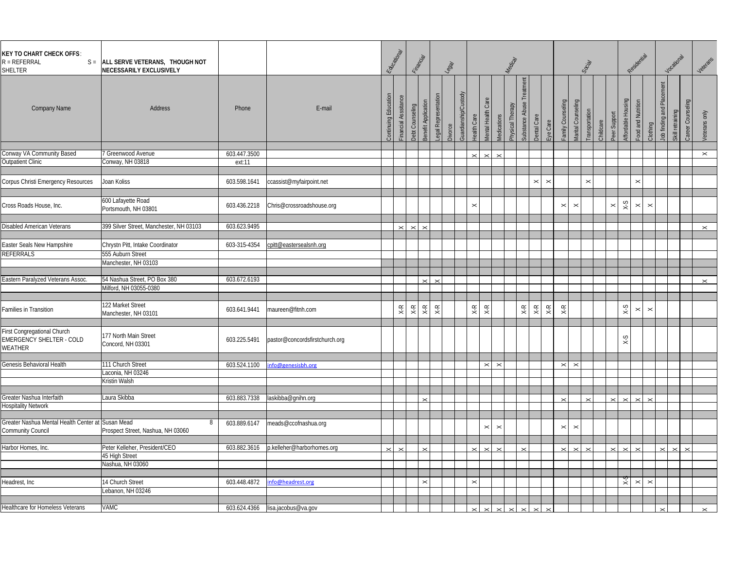| <b>KEY TO CHART CHECK OFFS:</b><br>$R = REFERRAL$<br>$S =$<br>SHELTER     | ALL SERVE VETERANS, THOUGH NOT<br>NECESSARILY EXCLUSIVELY |              |                                  | Educational    |                                              | <b>Financial</b>               |                     | <b>ROST</b> |                      |                                                                  |                    | Medical          |                                |                                |                                |                       | Social        |                           |                    | Residential       |                       |                     | Vocational                            | Veterans              |
|---------------------------------------------------------------------------|-----------------------------------------------------------|--------------|----------------------------------|----------------|----------------------------------------------|--------------------------------|---------------------|-------------|----------------------|------------------------------------------------------------------|--------------------|------------------|--------------------------------|--------------------------------|--------------------------------|-----------------------|---------------|---------------------------|--------------------|-------------------|-----------------------|---------------------|---------------------------------------|-----------------------|
| <b>Company Name</b>                                                       | Address                                                   | Phone        | E-mail                           | Continuing Edu | Financial Asssitan<br>Debt Counseling        | Benefit Application            | egal Representation | Divorce     | Guardianship/Custody | <b><i>Mental</i></b> Health Care<br>lealth Care                  | <b>Medications</b> | Physical Therapy | Substance Abuse Treatment      | <b>Dental Care</b><br>Eye Care | amily Counseling               | Marital Counseling    | ransportation | Peer Support<br>Childcare | Affordable Housing | ood and Nutrition | Clothing              | lob finding and Pla | Career Counseling<br>Skill retraining | Veterans only         |
| Conway VA Community Based                                                 | 7 Greenwood Avenue                                        | 603.447.3500 |                                  |                |                                              |                                |                     |             |                      |                                                                  |                    |                  |                                |                                |                                |                       |               |                           |                    |                   |                       |                     |                                       | $\boldsymbol{\times}$ |
| <b>Outpatient Clinic</b>                                                  | Conway, NH 03818                                          | ext:11       |                                  |                |                                              |                                |                     |             |                      | $\times$<br>$\times$                                             | $\mathbf{\times}$  |                  |                                |                                |                                |                       |               |                           |                    |                   |                       |                     |                                       |                       |
|                                                                           |                                                           |              |                                  |                |                                              |                                |                     |             |                      |                                                                  |                    |                  |                                |                                |                                |                       |               |                           |                    |                   |                       |                     |                                       |                       |
| Corpus Christi Emergency Resources                                        | Joan Koliss                                               | 603.598.1641 | ccassist@myfairpoint.net         |                |                                              |                                |                     |             |                      |                                                                  |                    |                  |                                | $\times$<br>$\mathord{\times}$ |                                |                       | $\times$      |                           |                    | $\times$          |                       |                     |                                       |                       |
| Cross Roads House, Inc.                                                   | 600 Lafayette Road<br>Portsmouth, NH 03801                | 603.436.2218 | Chris@crossroadshouse.org        |                |                                              |                                |                     |             |                      | $\times$                                                         |                    |                  |                                |                                | $\boldsymbol{\times}$          | $\boldsymbol{\times}$ |               | $\pmb{\times}$            | $S-X$              | $\pmb{\times}$    | $\boldsymbol{\times}$ |                     |                                       |                       |
|                                                                           | 399 Silver Street, Manchester, NH 03103                   | 603.623.9495 |                                  |                |                                              |                                |                     |             |                      |                                                                  |                    |                  |                                |                                |                                |                       |               |                           |                    |                   |                       |                     |                                       |                       |
| Disabled American Veterans                                                |                                                           |              |                                  |                | $\boldsymbol{\times}$<br>$\times$            |                                |                     |             |                      |                                                                  |                    |                  |                                |                                |                                |                       |               |                           |                    |                   |                       |                     |                                       | $\mathbf{\times}$     |
|                                                                           |                                                           |              |                                  |                |                                              |                                |                     |             |                      |                                                                  |                    |                  |                                |                                |                                |                       |               |                           |                    |                   |                       |                     |                                       |                       |
| Easter Seals New Hampshire                                                | Chrystn Pitt, Intake Coordinator                          | 603-315-4354 | cpitt@eastersealsnh.org          |                |                                              |                                |                     |             |                      |                                                                  |                    |                  |                                |                                |                                |                       |               |                           |                    |                   |                       |                     |                                       |                       |
| REFERRALS                                                                 | 555 Auburn Street                                         |              |                                  |                |                                              |                                |                     |             |                      |                                                                  |                    |                  |                                |                                |                                |                       |               |                           |                    |                   |                       |                     |                                       |                       |
|                                                                           | Manchester, NH 03103                                      |              |                                  |                |                                              |                                |                     |             |                      |                                                                  |                    |                  |                                |                                |                                |                       |               |                           |                    |                   |                       |                     |                                       |                       |
|                                                                           |                                                           |              |                                  |                |                                              |                                |                     |             |                      |                                                                  |                    |                  |                                |                                |                                |                       |               |                           |                    |                   |                       |                     |                                       |                       |
| Eastern Paralyzed Veterans Assoc                                          | 54 Nashua Street, PO Box 380                              | 603.672.6193 |                                  |                |                                              | $\times$                       | $\times$            |             |                      |                                                                  |                    |                  |                                |                                |                                |                       |               |                           |                    |                   |                       |                     |                                       | $\mathbf{\times}$     |
|                                                                           | Milford, NH 03055-0380                                    |              |                                  |                |                                              |                                |                     |             |                      |                                                                  |                    |                  |                                |                                |                                |                       |               |                           |                    |                   |                       |                     |                                       |                       |
| Families in Transition                                                    | 122 Market Street<br>Manchester, NH 03101                 | 603.641.9441 | maureen@fitnh.com                |                | $\times$ R<br>$\mathsf{X}\text{-}\mathsf{R}$ | $\mathsf{X}\text{-}\mathsf{R}$ | $\times$ R          |             |                      | $\mathsf{X}\text{-}\mathsf{R}$<br>$\mathsf{X}\text{-}\mathsf{R}$ |                    |                  | $\mathsf{X}\text{-}\mathsf{R}$ | $X-R$<br>$\times \mathsf{R}$   | $\mathsf{X}\text{-}\mathsf{R}$ |                       |               |                           | $S-X$              | $\times$          | $\boldsymbol{\times}$ |                     |                                       |                       |
| First Congregational Church<br><b>EMERGENCY SHELTER - COLD</b><br>WEATHER | 177 North Main Street<br>Concord, NH 03301                | 603.225.5491 | pastor@concordsfirstchurch.org   |                |                                              |                                |                     |             |                      |                                                                  |                    |                  |                                |                                |                                |                       |               |                           | $x-x$              |                   |                       |                     |                                       |                       |
| Genesis Behavioral Health                                                 | 111 Church Street                                         |              |                                  |                |                                              |                                |                     |             |                      |                                                                  |                    |                  |                                |                                |                                |                       |               |                           |                    |                   |                       |                     |                                       |                       |
|                                                                           | Laconia, NH 03246                                         | 603.524.1100 | info@genesisbh.org               |                |                                              |                                |                     |             |                      | $\pmb{\times}$                                                   | $\times$           |                  |                                |                                | $\boldsymbol{\times}$          | $\times$              |               |                           |                    |                   |                       |                     |                                       |                       |
|                                                                           | Kristin Walsh                                             |              |                                  |                |                                              |                                |                     |             |                      |                                                                  |                    |                  |                                |                                |                                |                       |               |                           |                    |                   |                       |                     |                                       |                       |
|                                                                           |                                                           |              |                                  |                |                                              |                                |                     |             |                      |                                                                  |                    |                  |                                |                                |                                |                       |               |                           |                    |                   |                       |                     |                                       |                       |
| Greater Nashua Interfaith                                                 | Laura Skibba                                              | 603.883.7338 | laskibba@gnihn.org               |                |                                              |                                |                     |             |                      |                                                                  |                    |                  |                                |                                | $\times$                       |                       | $\checkmark$  | $\times$                  | $\checkmark$       | $\times$          | $\times$              |                     |                                       |                       |
| <b>Hospitality Network</b>                                                |                                                           |              |                                  |                |                                              |                                |                     |             |                      |                                                                  |                    |                  |                                |                                |                                |                       |               |                           |                    |                   |                       |                     |                                       |                       |
|                                                                           |                                                           |              |                                  |                |                                              |                                |                     |             |                      |                                                                  |                    |                  |                                |                                |                                |                       |               |                           |                    |                   |                       |                     |                                       |                       |
| Greater Nashua Mental Health Center at Susan Mead<br>Community Council    | 8<br>Prospect Street, Nashua, NH 03060                    | 603.889.6147 | meads@ccofnashua.org             |                |                                              |                                |                     |             |                      | $\boldsymbol{\times}$                                            | $\times$           |                  |                                |                                | $\boldsymbol{\times}$          | $\boldsymbol{\times}$ |               |                           |                    |                   |                       |                     |                                       |                       |
|                                                                           |                                                           |              |                                  |                |                                              |                                |                     |             |                      |                                                                  |                    |                  |                                |                                |                                |                       |               |                           |                    |                   |                       |                     |                                       |                       |
| Harbor Homes, Inc.                                                        | Peter Kelleher, President/CEO                             | 603.882.3616 | p.kelleher@harborhomes.org       | $\times$       |                                              |                                |                     |             |                      | $\checkmark$                                                     |                    |                  |                                |                                | $\checkmark$                   |                       |               |                           |                    |                   |                       |                     | $\checkmark$                          |                       |
|                                                                           | 45 High Street                                            |              |                                  |                |                                              |                                |                     |             |                      |                                                                  |                    |                  |                                |                                |                                |                       |               |                           |                    |                   |                       |                     |                                       |                       |
|                                                                           | Nashua, NH 03060                                          |              |                                  |                |                                              |                                |                     |             |                      |                                                                  |                    |                  |                                |                                |                                |                       |               |                           |                    |                   |                       |                     |                                       |                       |
|                                                                           |                                                           |              |                                  |                |                                              |                                |                     |             |                      |                                                                  |                    |                  |                                |                                |                                |                       |               |                           |                    |                   |                       |                     |                                       |                       |
| Headrest, Inc                                                             | 14 Church Street                                          | 603.448.4872 | nfo@headrest.org                 |                |                                              |                                |                     |             |                      | $\times$                                                         |                    |                  |                                |                                |                                |                       |               |                           | $\star$            | $\pmb{\times}$    | $\boldsymbol{\times}$ |                     |                                       |                       |
|                                                                           | Lebanon, NH 03246                                         |              |                                  |                |                                              |                                |                     |             |                      |                                                                  |                    |                  |                                |                                |                                |                       |               |                           |                    |                   |                       |                     |                                       |                       |
|                                                                           |                                                           |              |                                  |                |                                              |                                |                     |             |                      |                                                                  |                    |                  |                                |                                |                                |                       |               |                           |                    |                   |                       |                     |                                       |                       |
| Healthcare for Homeless Veterans                                          | VAMC                                                      |              | 603.624.4366 lisa.jacobus@va.gov |                |                                              |                                |                     |             |                      |                                                                  |                    |                  |                                |                                |                                |                       |               |                           |                    |                   |                       |                     |                                       | $\times$              |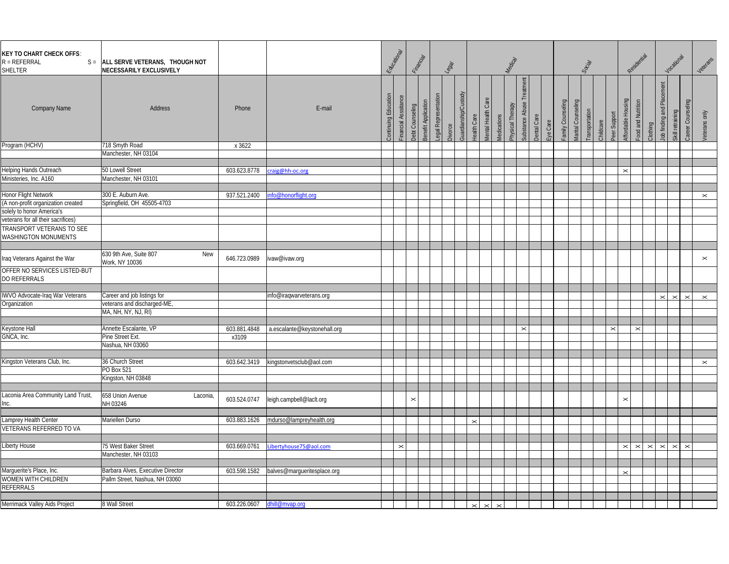| <b>KEY TO CHART CHECK OFFS:</b><br>$R = REFERRAL$<br>$S =$<br>SHELTER | ALL SERVE VETERANS, THOUGH NOT<br>NECESSARILY EXCLUSIVELY  |                             |                              | Educational   |                       | Financial                              |                     | $\frac{1}{3}$  |                      |                                   |                           | Medical          |                          |                         |                  |                    | Social        |                |                                    | Residential           |                       |                                        | Vocational                                 | Veterans              |
|-----------------------------------------------------------------------|------------------------------------------------------------|-----------------------------|------------------------------|---------------|-----------------------|----------------------------------------|---------------------|----------------|----------------------|-----------------------------------|---------------------------|------------------|--------------------------|-------------------------|------------------|--------------------|---------------|----------------|------------------------------------|-----------------------|-----------------------|----------------------------------------|--------------------------------------------|-----------------------|
| <b>Company Name</b>                                                   | Address                                                    | Phone                       | E-mail                       | ontinuing Edu | inancial Asssitance   | senefit Application<br>Debt Counseling | egal Representation | <b>Divorce</b> | Guardianship/Custody | lental Health Care<br>lealth Care | <i><b>Medications</b></i> | Physical Therapy | Substance Abuse Treatmen | Dental Care<br>Eye Care | amily Counseling | Aarital Counseling | ransportation | Childcare      | Affordable Housing<br>Peer Support | ood and Nutrition     | Clothing              | $\overline{5}$<br>lob finding and Plac | ling<br>Career Counsel<br>Skill retraining | Veterans only         |
| Program (HCHV)                                                        | 718 Smyth Road                                             | x 3622                      |                              |               |                       |                                        |                     |                |                      |                                   |                           |                  |                          |                         |                  |                    |               |                |                                    |                       |                       |                                        |                                            |                       |
|                                                                       | Manchester, NH 03104                                       |                             |                              |               |                       |                                        |                     |                |                      |                                   |                           |                  |                          |                         |                  |                    |               |                |                                    |                       |                       |                                        |                                            |                       |
| Helping Hands Outreach                                                | 50 Lowell Street                                           | 603.623.8778                | craig@hh-oc.org              |               |                       |                                        |                     |                |                      |                                   |                           |                  |                          |                         |                  |                    |               |                | $\boldsymbol{\times}$              |                       |                       |                                        |                                            |                       |
| Ministeries, Inc. A160                                                | Manchester, NH 03101                                       |                             |                              |               |                       |                                        |                     |                |                      |                                   |                           |                  |                          |                         |                  |                    |               |                |                                    |                       |                       |                                        |                                            |                       |
|                                                                       |                                                            |                             |                              |               |                       |                                        |                     |                |                      |                                   |                           |                  |                          |                         |                  |                    |               |                |                                    |                       |                       |                                        |                                            |                       |
| Honor Flight Network                                                  | 300 E. Auburn Ave.                                         | 937.521.2400                | info@honorflight.org         |               |                       |                                        |                     |                |                      |                                   |                           |                  |                          |                         |                  |                    |               |                |                                    |                       |                       |                                        |                                            | $\times$              |
| (A non-profit organization created                                    | Springfield, OH 45505-4703                                 |                             |                              |               |                       |                                        |                     |                |                      |                                   |                           |                  |                          |                         |                  |                    |               |                |                                    |                       |                       |                                        |                                            |                       |
| solely to honor America's                                             |                                                            |                             |                              |               |                       |                                        |                     |                |                      |                                   |                           |                  |                          |                         |                  |                    |               |                |                                    |                       |                       |                                        |                                            |                       |
| veterans for all their sacrifices)                                    |                                                            |                             |                              |               |                       |                                        |                     |                |                      |                                   |                           |                  |                          |                         |                  |                    |               |                |                                    |                       |                       |                                        |                                            |                       |
| TRANSPORT VETERANS TO SEE                                             |                                                            |                             |                              |               |                       |                                        |                     |                |                      |                                   |                           |                  |                          |                         |                  |                    |               |                |                                    |                       |                       |                                        |                                            |                       |
| WASHINGTON MONUMENTS                                                  |                                                            |                             |                              |               |                       |                                        |                     |                |                      |                                   |                           |                  |                          |                         |                  |                    |               |                |                                    |                       |                       |                                        |                                            |                       |
|                                                                       | 630 9th Ave, Suite 807<br>New                              |                             |                              |               |                       |                                        |                     |                |                      |                                   |                           |                  |                          |                         |                  |                    |               |                |                                    |                       |                       |                                        |                                            |                       |
| Iraq Veterans Against the War                                         | Work, NY 10036                                             | 646.723.0989                | ivaw@ivaw.org                |               |                       |                                        |                     |                |                      |                                   |                           |                  |                          |                         |                  |                    |               |                |                                    |                       |                       |                                        |                                            | $\boldsymbol{\times}$ |
| OFFER NO SERVICES LISTED-BUT                                          |                                                            |                             |                              |               |                       |                                        |                     |                |                      |                                   |                           |                  |                          |                         |                  |                    |               |                |                                    |                       |                       |                                        |                                            |                       |
| DO REFERRALS                                                          |                                                            |                             |                              |               |                       |                                        |                     |                |                      |                                   |                           |                  |                          |                         |                  |                    |               |                |                                    |                       |                       |                                        |                                            |                       |
|                                                                       |                                                            |                             |                              |               |                       |                                        |                     |                |                      |                                   |                           |                  |                          |                         |                  |                    |               |                |                                    |                       |                       |                                        |                                            |                       |
| IWVO Advocate-Iraq War Veterans<br>Organization                       | Career and job listings for<br>veterans and discharged-ME, |                             | info@iraqwarveterans.org     |               |                       |                                        |                     |                |                      |                                   |                           |                  |                          |                         |                  |                    |               |                |                                    |                       |                       | $\times$                               | $\times$                                   | $\boldsymbol{\times}$ |
|                                                                       | MA, NH, NY, NJ, RI)                                        |                             |                              |               |                       |                                        |                     |                |                      |                                   |                           |                  |                          |                         |                  |                    |               |                |                                    |                       |                       |                                        |                                            |                       |
|                                                                       |                                                            |                             |                              |               |                       |                                        |                     |                |                      |                                   |                           |                  |                          |                         |                  |                    |               |                |                                    |                       |                       |                                        |                                            |                       |
| Keystone Hall                                                         | Annette Escalante, VP                                      | 603.881.4848                | a.escalante@keystonehall.org |               |                       |                                        |                     |                |                      |                                   |                           |                  | $\boldsymbol{\times}$    |                         |                  |                    |               | $\pmb{\times}$ |                                    | $\boldsymbol{\times}$ |                       |                                        |                                            |                       |
| GNCA, Inc.                                                            | Pine Street Ext.                                           | x3109                       |                              |               |                       |                                        |                     |                |                      |                                   |                           |                  |                          |                         |                  |                    |               |                |                                    |                       |                       |                                        |                                            |                       |
|                                                                       | Nashua, NH 03060                                           |                             |                              |               |                       |                                        |                     |                |                      |                                   |                           |                  |                          |                         |                  |                    |               |                |                                    |                       |                       |                                        |                                            |                       |
|                                                                       |                                                            |                             |                              |               |                       |                                        |                     |                |                      |                                   |                           |                  |                          |                         |                  |                    |               |                |                                    |                       |                       |                                        |                                            |                       |
| Kingston Veterans Club, Inc                                           | 36 Church Street                                           | 603.642.3419                | kingstonvetsclub@aol.com     |               |                       |                                        |                     |                |                      |                                   |                           |                  |                          |                         |                  |                    |               |                |                                    |                       |                       |                                        |                                            | $\mathord{\times}$    |
|                                                                       | PO Box 521                                                 |                             |                              |               |                       |                                        |                     |                |                      |                                   |                           |                  |                          |                         |                  |                    |               |                |                                    |                       |                       |                                        |                                            |                       |
|                                                                       | Kingston, NH 03848                                         |                             |                              |               |                       |                                        |                     |                |                      |                                   |                           |                  |                          |                         |                  |                    |               |                |                                    |                       |                       |                                        |                                            |                       |
| Laconia Area Community Land Trust,                                    | 658 Union Avenue<br>Laconia,                               |                             |                              |               |                       |                                        |                     |                |                      |                                   |                           |                  |                          |                         |                  |                    |               |                |                                    |                       |                       |                                        |                                            |                       |
| Inc.                                                                  | NH 03246                                                   | 603.524.0747                | leigh.campbell@laclt.org     |               |                       | $\boldsymbol{\times}$                  |                     |                |                      |                                   |                           |                  |                          |                         |                  |                    |               |                | $\boldsymbol{\times}$              |                       |                       |                                        |                                            |                       |
|                                                                       |                                                            |                             |                              |               |                       |                                        |                     |                |                      |                                   |                           |                  |                          |                         |                  |                    |               |                |                                    |                       |                       |                                        |                                            |                       |
| Lamprey Health Center                                                 | Mariellen Durso                                            | 603.883.1626                | mdurso@lampreyhealth.org     |               |                       |                                        |                     |                |                      |                                   |                           |                  |                          |                         |                  |                    |               |                |                                    |                       |                       |                                        |                                            |                       |
| VETERANS REFERRED TO VA                                               |                                                            |                             |                              |               |                       |                                        |                     |                |                      |                                   |                           |                  |                          |                         |                  |                    |               |                |                                    |                       |                       |                                        |                                            |                       |
|                                                                       |                                                            |                             |                              |               |                       |                                        |                     |                |                      |                                   |                           |                  |                          |                         |                  |                    |               |                |                                    |                       |                       |                                        |                                            |                       |
| Liberty House                                                         | 75 West Baker Street                                       | 603.669.0761                | Libertyhouse75@aol.com       |               | $\boldsymbol{\times}$ |                                        |                     |                |                      |                                   |                           |                  |                          |                         |                  |                    |               |                |                                    | $\boldsymbol{\times}$ | $\boldsymbol{\times}$ | $\boldsymbol{\times}$                  | $\pmb{\times}$<br>$\times$                 |                       |
|                                                                       | Manchester, NH 03103                                       |                             |                              |               |                       |                                        |                     |                |                      |                                   |                           |                  |                          |                         |                  |                    |               |                |                                    |                       |                       |                                        |                                            |                       |
|                                                                       |                                                            |                             |                              |               |                       |                                        |                     |                |                      |                                   |                           |                  |                          |                         |                  |                    |               |                |                                    |                       |                       |                                        |                                            |                       |
| Marguerite's Place, Inc.                                              | Barbara Alves, Executive Director                          | 603.598.1582                | balves@margueritesplace.org  |               |                       |                                        |                     |                |                      |                                   |                           |                  |                          |                         |                  |                    |               |                |                                    |                       |                       |                                        |                                            |                       |
| WOMEN WITH CHILDREN                                                   | Pallm Street, Nashua, NH 03060                             |                             |                              |               |                       |                                        |                     |                |                      |                                   |                           |                  |                          |                         |                  |                    |               |                |                                    |                       |                       |                                        |                                            |                       |
| REFERRALS                                                             |                                                            |                             |                              |               |                       |                                        |                     |                |                      |                                   |                           |                  |                          |                         |                  |                    |               |                |                                    |                       |                       |                                        |                                            |                       |
| Merrimack Valley Aids Project                                         | 8 Wall Street                                              | 603.226.0607 dhill@mvap.org |                              |               |                       |                                        |                     |                |                      |                                   |                           |                  |                          |                         |                  |                    |               |                |                                    |                       |                       |                                        |                                            |                       |
|                                                                       |                                                            |                             |                              |               |                       |                                        |                     |                |                      | $\times$<br>$\boldsymbol{\times}$ | $\times$                  |                  |                          |                         |                  |                    |               |                |                                    |                       |                       |                                        |                                            |                       |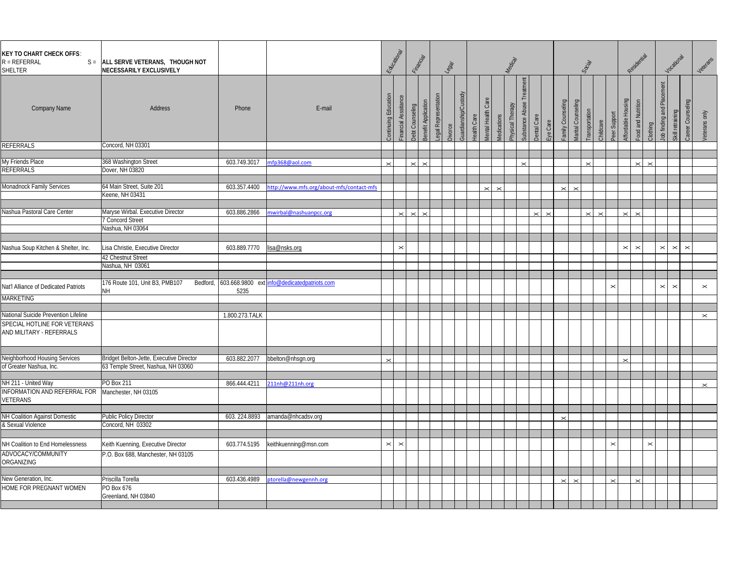| <b>KEY TO CHART CHECK OFFS:</b><br>$R = REFERRAL$<br>SHELTER | S = ALL SERVE VETERANS, THOUGH NOT<br>NECESSARILY EXCLUSIVELY                  |                |                                                      | Educational           |                       | Financial                                     |                     | $\frac{1}{3}$ |                      |                                     |                    | Medical          |                   |                                |                   |                    | Social        |           |              | Residential                                   |                   |                         | Vocational            |                   | Veterans              |
|--------------------------------------------------------------|--------------------------------------------------------------------------------|----------------|------------------------------------------------------|-----------------------|-----------------------|-----------------------------------------------|---------------------|---------------|----------------------|-------------------------------------|--------------------|------------------|-------------------|--------------------------------|-------------------|--------------------|---------------|-----------|--------------|-----------------------------------------------|-------------------|-------------------------|-----------------------|-------------------|-----------------------|
| <b>Company Name</b>                                          | Address                                                                        | Phone          | E-mail                                               | Continuing Edu        | Financial Asssitance  | Benefit Application<br><b>Debt Counseling</b> | egal Representation | Divorce       | Guardianship/Custody | Care<br>lental Health<br>ealth Care | <b>Aedications</b> | Physical Therapy | Substance Abuse   | <b>Dental Care</b><br>Eye Care | amily Counseling  | Aarital Counseling | ransportation | Childcare | Peer Support | -ood and Nutrition<br><b>Affordable Housi</b> | Clothing          | Plac<br>lob finding and | Skill retraining      | Counsel<br>Career | <b>/eterans</b> only  |
| REFERRALS                                                    | Concord, NH 03301                                                              |                |                                                      |                       |                       |                                               |                     |               |                      |                                     |                    |                  |                   |                                |                   |                    |               |           |              |                                               |                   |                         |                       |                   |                       |
|                                                              |                                                                                |                |                                                      |                       |                       |                                               |                     |               |                      |                                     |                    |                  |                   |                                |                   |                    |               |           |              |                                               |                   |                         |                       |                   |                       |
| My Friends Place<br>REFERRALS                                | 368 Washington Street<br>Dover, NH 03820                                       | 603.749.3017   | nfp368@aol.com                                       | $\times$              |                       | $\times$<br>$\times$                          |                     |               |                      |                                     |                    |                  | $\mathbf{\times}$ |                                |                   |                    | $\times$      |           |              | $\mathbf{\times}$                             | $\mathbf{\times}$ |                         |                       |                   |                       |
|                                                              |                                                                                |                |                                                      |                       |                       |                                               |                     |               |                      |                                     |                    |                  |                   |                                |                   |                    |               |           |              |                                               |                   |                         |                       |                   |                       |
| Monadnock Family Services                                    | 64 Main Street, Suite 201                                                      | 603.357.4400   | ttp://www.mfs.org/about-mfs/contact-mfs              |                       |                       |                                               |                     |               |                      | $\times$                            | $\mathbf{\times}$  |                  |                   |                                | $\mathbf{\times}$ | $\mathbb{\times}$  |               |           |              |                                               |                   |                         |                       |                   |                       |
|                                                              | Geene, NH 03431                                                                |                |                                                      |                       |                       |                                               |                     |               |                      |                                     |                    |                  |                   |                                |                   |                    |               |           |              |                                               |                   |                         |                       |                   |                       |
|                                                              |                                                                                |                |                                                      |                       |                       |                                               |                     |               |                      |                                     |                    |                  |                   |                                |                   |                    |               |           |              |                                               |                   |                         |                       |                   |                       |
| Nashua Pastoral Care Center                                  | Maryse Wirbal. Executive Director                                              | 603.886.2866   | nwirbal@nashuanpcc.org                               |                       | $\check{ }$           | $\sim$                                        |                     |               |                      |                                     |                    |                  |                   |                                |                   |                    |               |           |              |                                               |                   |                         |                       |                   |                       |
|                                                              | 7 Concord Street                                                               |                |                                                      |                       |                       |                                               |                     |               |                      |                                     |                    |                  |                   |                                |                   |                    |               |           |              |                                               |                   |                         |                       |                   |                       |
|                                                              | Nashua, NH 03064                                                               |                |                                                      |                       |                       |                                               |                     |               |                      |                                     |                    |                  |                   |                                |                   |                    |               |           |              |                                               |                   |                         |                       |                   |                       |
|                                                              |                                                                                |                |                                                      |                       |                       |                                               |                     |               |                      |                                     |                    |                  |                   |                                |                   |                    |               |           |              |                                               |                   |                         |                       |                   |                       |
| Nashua Soup Kitchen & Shelter, Inc.                          | Lisa Christie, Executive Director                                              | 603.889.7770   | isa@nsks.org                                         |                       | $\boldsymbol{\times}$ |                                               |                     |               |                      |                                     |                    |                  |                   |                                |                   |                    |               |           |              | $\mathbf{\times}$<br>$\times$                 |                   | $\boldsymbol{\times}$   | $\boldsymbol{\times}$ | $\times$          |                       |
|                                                              | 42 Chestnut Street                                                             |                |                                                      |                       |                       |                                               |                     |               |                      |                                     |                    |                  |                   |                                |                   |                    |               |           |              |                                               |                   |                         |                       |                   |                       |
|                                                              | Nashua, NH 03061                                                               |                |                                                      |                       |                       |                                               |                     |               |                      |                                     |                    |                  |                   |                                |                   |                    |               |           |              |                                               |                   |                         |                       |                   |                       |
|                                                              |                                                                                |                |                                                      |                       |                       |                                               |                     |               |                      |                                     |                    |                  |                   |                                |                   |                    |               |           |              |                                               |                   |                         |                       |                   |                       |
| Nat'l Alliance of Dedicated Patriots                         | 176 Route 101, Unit B3, PMB107<br>NH.                                          | 5235           | Bedford, 603.668.9800 ext info@dedicatedpatriots.com |                       |                       |                                               |                     |               |                      |                                     |                    |                  |                   |                                |                   |                    |               |           | $\times$     |                                               |                   | $\mathbf{\times}$       | $\pmb{\times}$        |                   | $\boldsymbol{\times}$ |
| MARKETING                                                    |                                                                                |                |                                                      |                       |                       |                                               |                     |               |                      |                                     |                    |                  |                   |                                |                   |                    |               |           |              |                                               |                   |                         |                       |                   |                       |
|                                                              |                                                                                |                |                                                      |                       |                       |                                               |                     |               |                      |                                     |                    |                  |                   |                                |                   |                    |               |           |              |                                               |                   |                         |                       |                   |                       |
| National Suicide Prevention Lifeline                         |                                                                                | 1.800.273.TALK |                                                      |                       |                       |                                               |                     |               |                      |                                     |                    |                  |                   |                                |                   |                    |               |           |              |                                               |                   |                         |                       |                   | $\mathord{\times}$    |
| SPECIAL HOTLINE FOR VETERANS<br>AND MILITARY - REFERRALS     |                                                                                |                |                                                      |                       |                       |                                               |                     |               |                      |                                     |                    |                  |                   |                                |                   |                    |               |           |              |                                               |                   |                         |                       |                   |                       |
|                                                              |                                                                                |                |                                                      |                       |                       |                                               |                     |               |                      |                                     |                    |                  |                   |                                |                   |                    |               |           |              |                                               |                   |                         |                       |                   |                       |
| Neighborhood Housing Services<br>of Greater Nashua, Inc.     | Bridget Belton-Jette, Executive Director<br>63 Temple Street, Nashua, NH 03060 | 603.882.2077   | bbelton@nhsgn.org                                    | $\mathbb{\times}$     |                       |                                               |                     |               |                      |                                     |                    |                  |                   |                                |                   |                    |               |           |              |                                               |                   |                         |                       |                   |                       |
|                                                              |                                                                                |                |                                                      |                       |                       |                                               |                     |               |                      |                                     |                    |                  |                   |                                |                   |                    |               |           |              |                                               |                   |                         |                       |                   |                       |
| NH 211 - United Way                                          | <sup>2</sup> O Box 211                                                         | 866.444.4211   | 211nh@211nh.org                                      |                       |                       |                                               |                     |               |                      |                                     |                    |                  |                   |                                |                   |                    |               |           |              |                                               |                   |                         |                       |                   | $\mathord{\times}$    |
| INFORMATION AND REFERRAL FOR<br>VETERANS                     | Manchester, NH 03105                                                           |                |                                                      |                       |                       |                                               |                     |               |                      |                                     |                    |                  |                   |                                |                   |                    |               |           |              |                                               |                   |                         |                       |                   |                       |
|                                                              |                                                                                |                |                                                      |                       |                       |                                               |                     |               |                      |                                     |                    |                  |                   |                                |                   |                    |               |           |              |                                               |                   |                         |                       |                   |                       |
| NH Coalition Against Domestic                                | <b>Public Policy Director</b>                                                  | 603.224.8893   | amanda@nhcadsv.org                                   |                       |                       |                                               |                     |               |                      |                                     |                    |                  |                   |                                |                   |                    |               |           |              |                                               |                   |                         |                       |                   |                       |
| & Sexual Violence                                            | Concord, NH 03302                                                              |                |                                                      |                       |                       |                                               |                     |               |                      |                                     |                    |                  |                   |                                |                   |                    |               |           |              |                                               |                   |                         |                       |                   |                       |
|                                                              |                                                                                |                |                                                      |                       |                       |                                               |                     |               |                      |                                     |                    |                  |                   |                                |                   |                    |               |           |              |                                               |                   |                         |                       |                   |                       |
| NH Coalition to End Homelessness                             | Keith Kuenning, Executive Director                                             | 603.774.5195   | keithkuenning@msn.com                                | $\boldsymbol{\times}$ | $\boldsymbol{\times}$ |                                               |                     |               |                      |                                     |                    |                  |                   |                                |                   |                    |               |           | $\times$     |                                               | $\times$          |                         |                       |                   |                       |
| ADVOCACY/COMMUNITY<br>ORGANIZING                             | P.O. Box 688, Manchester, NH 03105                                             |                |                                                      |                       |                       |                                               |                     |               |                      |                                     |                    |                  |                   |                                |                   |                    |               |           |              |                                               |                   |                         |                       |                   |                       |
|                                                              |                                                                                |                |                                                      |                       |                       |                                               |                     |               |                      |                                     |                    |                  |                   |                                |                   |                    |               |           |              |                                               |                   |                         |                       |                   |                       |
| New Generation, Inc.                                         | Priscilla Torella                                                              | 603.436.4989   | otorella@newgennh.org                                |                       |                       |                                               |                     |               |                      |                                     |                    |                  |                   |                                |                   |                    |               |           |              |                                               |                   |                         |                       |                   |                       |
| HOME FOR PREGNANT WOMEN                                      | PO Box 676<br>Greenland, NH 03840                                              |                |                                                      |                       |                       |                                               |                     |               |                      |                                     |                    |                  |                   |                                |                   |                    |               |           |              |                                               |                   |                         |                       |                   |                       |
|                                                              |                                                                                |                |                                                      |                       |                       |                                               |                     |               |                      |                                     |                    |                  |                   |                                |                   |                    |               |           |              |                                               |                   |                         |                       |                   |                       |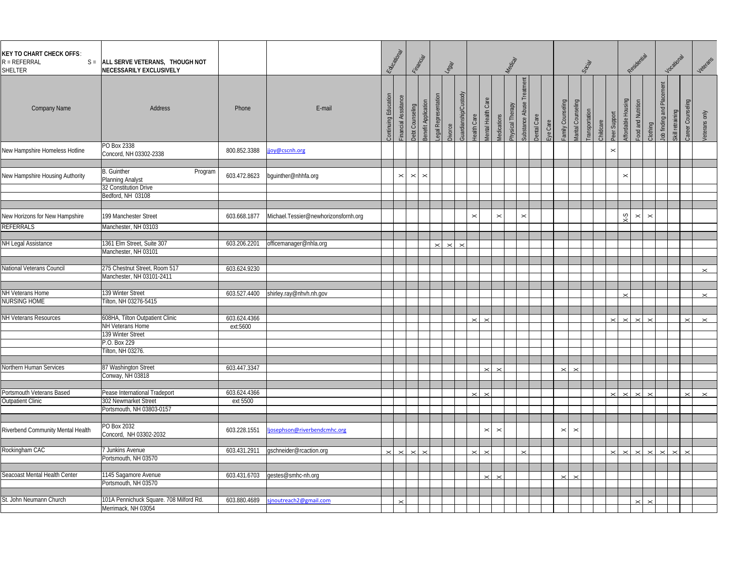| <b>KEY TO CHART CHECK OFFS:</b><br>$R = REFERRAL$<br>SHELTER | S = ALL SERVE VETERANS, THOUGH NOT<br>NECESSARILY EXCLUSIVELY                                                 |                          |                                      | Educational          |                                            | Financial                              |                     | $\frac{1}{6}$ |                      |                                        |                | Medical          |                       |                                |                       |                       | Social        |           |                       | Residential                             |                       |                             | Vocational       |                   | Veterans          |
|--------------------------------------------------------------|---------------------------------------------------------------------------------------------------------------|--------------------------|--------------------------------------|----------------------|--------------------------------------------|----------------------------------------|---------------------|---------------|----------------------|----------------------------------------|----------------|------------------|-----------------------|--------------------------------|-----------------------|-----------------------|---------------|-----------|-----------------------|-----------------------------------------|-----------------------|-----------------------------|------------------|-------------------|-------------------|
| <b>Company Name</b>                                          | Address                                                                                                       | Phone                    | E-mail                               | Continuing Education | Financial Asssitance                       | Benefit Application<br>Debt Counseling | egal Representation | Divorce       | Guardianship/Custody | lental Health Care<br>lealth Care      | Medications    | Physical Therapy | Substance Abuse       | <b>Dental Care</b><br>Eye Care | amily Counseling      | Aarital Counseling    | ransportation | Childcare | Peer Support          | Affordable Housing<br>ood and Nutrition | Clothing              | Ξ<br>lob finding and Placer | Skill retraining | Career Counseling | Veterans only     |
| New Hampshire Homeless Hotline                               | PO Box 2338<br>Concord, NH 03302-2338                                                                         | 800.852.3388             | joy@cscnh.org                        |                      |                                            |                                        |                     |               |                      |                                        |                |                  |                       |                                |                       |                       |               |           | $\boldsymbol{\times}$ |                                         |                       |                             |                  |                   |                   |
| New Hampshire Housing Authority                              | <b>B.</b> Guinther<br>Program<br>Planning Analyst<br>32 Constitution Drive<br>Bedford, NH 03108               | 603.472.8623             | bguinther@nhhfa.org                  |                      | $\mathbb{\times}$<br>$\boldsymbol{\times}$ | $\boldsymbol{\times}$                  |                     |               |                      |                                        |                |                  |                       |                                |                       |                       |               |           |                       | $\times$                                |                       |                             |                  |                   |                   |
| New Horizons for New Hampshire<br>REFERRALS                  | 199 Manchester Street<br>Manchester, NH 03103                                                                 | 603.668.1877             | Michael.Tessier@newhorizonsfornh.org |                      |                                            |                                        |                     |               |                      | $\times$                               | $\pmb{\times}$ |                  | $\boldsymbol{\times}$ |                                |                       |                       |               |           |                       | ζ-λ<br>$\boldsymbol{\times}$            | $\boldsymbol{\times}$ |                             |                  |                   |                   |
| NH Legal Assistance                                          | 1361 Elm Street, Suite 307<br>Manchester, NH 03101                                                            | 603.206.2201             | officemanager@nhla.org               |                      |                                            |                                        |                     | $\times$      |                      |                                        |                |                  |                       |                                |                       |                       |               |           |                       |                                         |                       |                             |                  |                   |                   |
| National Veterans Council                                    | 275 Chestnut Street, Room 517<br>Manchester, NH 03101-2411                                                    | 603.624.9230             |                                      |                      |                                            |                                        |                     |               |                      |                                        |                |                  |                       |                                |                       |                       |               |           |                       |                                         |                       |                             |                  |                   | $\times$          |
| NH Veterans Home<br><b>NURSING HOME</b>                      | 139 Winter Street<br>Tilton, NH 03276-5415                                                                    | 603.527.4400             | shirley.ray@nhvh.nh.gov              |                      |                                            |                                        |                     |               |                      |                                        |                |                  |                       |                                |                       |                       |               |           |                       |                                         |                       |                             |                  |                   | $\times$          |
| NH Veterans Resources                                        | 608HA, Tilton Outpatient Clinic<br>NH Veterans Home<br>139 Winter Street<br>P.O. Box 229<br>Tilton, NH 03276. | 603.624.4366<br>ext:5600 |                                      |                      |                                            |                                        |                     |               |                      | $\mathbf{\times}$<br>$\mathbf{\times}$ |                |                  |                       |                                |                       |                       |               |           | $\times$              | $\times$                                |                       |                             |                  | $\times$          | $\times$          |
| Northern Human Services                                      | 87 Washington Street<br>Conway, NH 03818                                                                      | 603.447.3347             |                                      |                      |                                            |                                        |                     |               |                      | $\times$                               | $\times$       |                  |                       |                                | $\mathbf{\times}$     | $\times$              |               |           |                       |                                         |                       |                             |                  |                   |                   |
| Portsmouth Veterans Based<br><b>Outpatient Clinic</b>        | Pease International Tradeport<br>302 Newmarket Street<br>Portsmouth, NH 03803-0157                            | 603.624.4366<br>ext 5500 |                                      |                      |                                            |                                        |                     |               |                      | $\times$<br>$\times$                   |                |                  |                       |                                |                       |                       |               |           | $\times$              | $\times$                                |                       |                             |                  | $\times$          | $\mathbf{\times}$ |
| Riverbend Community Mental Health                            | PO Box 2032<br>Concord, NH 03302-2032                                                                         | 603.228.1551             | josephson@riverbendcmhc.org          |                      |                                            |                                        |                     |               |                      | $\times$                               | $\pmb{\times}$ |                  |                       |                                | $\boldsymbol{\times}$ | $\boldsymbol{\times}$ |               |           |                       |                                         |                       |                             |                  |                   |                   |
| Rockingham CAC                                               | 7 Junkins Avenue<br>Portsmouth, NH 03570                                                                      | 603.431.2911             | qschneider@rcaction.org              |                      | $\checkmark$<br>$\times$                   |                                        |                     |               |                      |                                        |                |                  |                       |                                |                       |                       |               |           |                       |                                         |                       |                             |                  |                   |                   |
| Seacoast Mental Health Center                                | 1145 Sagamore Avenue<br>Portsmouth, NH 03570                                                                  | 603.431.6703             | gestes@smhc-nh.org                   |                      |                                            |                                        |                     |               |                      |                                        |                |                  |                       |                                |                       |                       |               |           |                       |                                         |                       |                             |                  |                   |                   |
| St. John Neumann Church                                      | 101A Pennichuck Square. 708 Milford Rd.<br>Merrimack, NH 03054                                                | 603.880.4689             | sinoutreach2@gmail.com               |                      |                                            |                                        |                     |               |                      |                                        |                |                  |                       |                                |                       |                       |               |           |                       |                                         |                       |                             |                  |                   |                   |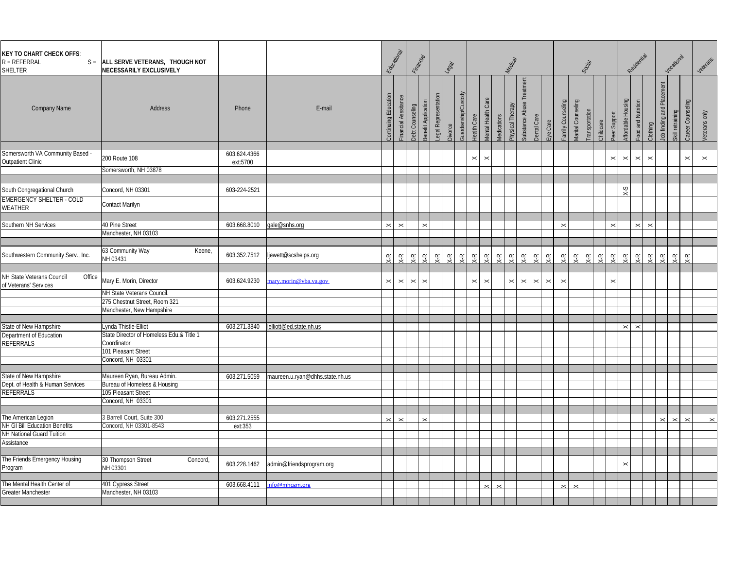| <b>KEY TO CHART CHECK OFFS:</b><br>$R = REFERRAL$<br>SHELTER            | S = ALL SERVE VETERANS, THOUGH NOT<br><b>NECESSARILY EXCLUSIVELY</b>                    |                          |                                 | Eduardon                       |                       | Financial          |                     | $\frac{1}{3}$                      |                          |                                           |                   | Medical                 |                          |                                   |                          |                           | Social                |            |                    | Residential                              |                   |                       | Vocational       |                   | Veterans              |
|-------------------------------------------------------------------------|-----------------------------------------------------------------------------------------|--------------------------|---------------------------------|--------------------------------|-----------------------|--------------------|---------------------|------------------------------------|--------------------------|-------------------------------------------|-------------------|-------------------------|--------------------------|-----------------------------------|--------------------------|---------------------------|-----------------------|------------|--------------------|------------------------------------------|-------------------|-----------------------|------------------|-------------------|-----------------------|
| <b>Company Name</b>                                                     | <b>Address</b>                                                                          | Phone                    | E-mail                          | Continuing Edu                 | Financial Asssitance  | Debt Counseling    | Benefit Application | egal Representation<br>Divorce     | Guardianship/Custody     | <b>Mental Health Care</b><br>lealth Care  | Medications       | Physical Therapy        | Substance Abuse Treatm   | Dental Care<br>Eye Care           | Family Counseling        | Marital Counseling        | <b>Transportation</b> | Childcare  | Peer Support       | Affordable Housing<br>-ood and Nutrition | Clothing          | Job finding and Place | Skill retraining | Career Counseling | Veterans only         |
| Somersworth VA Community Based -<br>Outpatient Clinic                   | 200 Route 108<br>Somersworth, NH 03878                                                  | 603.624.4366<br>ext:5700 |                                 |                                |                       |                    |                     |                                    |                          | $\times$<br>$\boldsymbol{\times}$         |                   |                         |                          |                                   |                          |                           |                       |            | $\times$           | $\boldsymbol{\times}$<br>$\times$        | $\pmb{\times}$    |                       |                  | $\times$          | $\boldsymbol{\times}$ |
| South Congregational Church                                             | Concord, NH 03301                                                                       | 603-224-2521             |                                 |                                |                       |                    |                     |                                    |                          |                                           |                   |                         |                          |                                   |                          |                           |                       |            |                    | $S-X$                                    |                   |                       |                  |                   |                       |
| EMERGENCY SHELTER - COLD<br>WEATHER                                     | Contact Marilyn                                                                         |                          |                                 |                                |                       |                    |                     |                                    |                          |                                           |                   |                         |                          |                                   |                          |                           |                       |            |                    |                                          |                   |                       |                  |                   |                       |
| Southern NH Services                                                    | 40 Pine Street                                                                          | 603.668.8010             | gale@snhs.org                   | $\times$ $\times$              |                       |                    | $\times$            |                                    |                          |                                           |                   |                         |                          |                                   | $\boldsymbol{\times}$    |                           |                       |            | $\mathord{\times}$ |                                          | $\times$ $\times$ |                       |                  |                   |                       |
|                                                                         | Manchester, NH 03103                                                                    |                          |                                 |                                |                       |                    |                     |                                    |                          |                                           |                   |                         |                          |                                   |                          |                           |                       |            |                    |                                          |                   |                       |                  |                   |                       |
| Southwestern Community Serv., Inc.                                      | 63 Community Way<br>Keene,<br>NH 03431                                                  | 603.352.7512             | ljewett@scshelps.org            | $\mathsf{X}\text{-}\mathsf{R}$ | $\widetilde{\cdot}$   | $\widetilde{\div}$ | 뜻                   | $\overline{\overline{S}}$<br>$\xi$ | $\overline{\mathcal{C}}$ | $x - R$<br>$\mathsf{X}\text{-}\mathsf{R}$ | $x - k$           | $\overline{\mathsf{K}}$ | $\overline{\mathcal{X}}$ | $x - k$<br>$x - K$                | $\overline{\mathcal{C}}$ | $\widetilde{\mathcal{X}}$ | $\zeta$ -R            | $\zeta$ -R | $X - R$            | $x \rightarrow x$<br>$\xi$               | $\xi$             | $x - k$               | $X-R$            | $\times$ R        |                       |
| NH State Veterans Council<br>Office<br>of Veterans' Services            | Mary E. Morin, Director                                                                 | 603.624.9230             | nary.morin@vba.va.gov           | $\boldsymbol{\times}$          | $\boldsymbol{\times}$ | $\,\times\,$       | $\mathbf{\times}$   |                                    |                          | $\times$<br>$\boldsymbol{\times}$         |                   | $\boldsymbol{\times}$   | $\vert \times \vert$     | $\times$<br>$\boldsymbol{\times}$ | $\boldsymbol{\times}$    |                           |                       |            | $\times$           |                                          |                   |                       |                  |                   |                       |
|                                                                         | NH State Veterans Council<br>275 Chestnut Street, Room 321<br>Manchester, New Hampshire |                          |                                 |                                |                       |                    |                     |                                    |                          |                                           |                   |                         |                          |                                   |                          |                           |                       |            |                    |                                          |                   |                       |                  |                   |                       |
| State of New Hampshire                                                  | ynda Thistle-Elliot                                                                     | 603.271.3840             | elliott@ed.state.nh.us          |                                |                       |                    |                     |                                    |                          |                                           |                   |                         |                          |                                   |                          |                           |                       |            |                    | $\boldsymbol{\times}$                    |                   |                       |                  |                   |                       |
| Department of Education<br>REFERRALS                                    | State Director of Homeless Edu.& Title 1<br>Coordinator                                 |                          |                                 |                                |                       |                    |                     |                                    |                          |                                           |                   |                         |                          |                                   |                          |                           |                       |            |                    | $\boldsymbol{\times}$                    |                   |                       |                  |                   |                       |
|                                                                         | 101 Pleasant Street<br>Concord, NH 03301                                                |                          |                                 |                                |                       |                    |                     |                                    |                          |                                           |                   |                         |                          |                                   |                          |                           |                       |            |                    |                                          |                   |                       |                  |                   |                       |
| State of New Hampshire<br>Dept. of Health & Human Services<br>REFERRALS | Maureen Ryan, Bureau Admin.<br>Bureau of Homeless & Housing<br>105 Pleasant Street      | 603.271.5059             | maureen.u.ryan@dhhs.state.nh.us |                                |                       |                    |                     |                                    |                          |                                           |                   |                         |                          |                                   |                          |                           |                       |            |                    |                                          |                   |                       |                  |                   |                       |
|                                                                         | Concord, NH 03301                                                                       |                          |                                 |                                |                       |                    |                     |                                    |                          |                                           |                   |                         |                          |                                   |                          |                           |                       |            |                    |                                          |                   |                       |                  |                   |                       |
| The American Legion<br>NH GI Bill Education Benefits                    | 3 Barrell Court, Suite 300<br>Concord, NH 03301-8543                                    | 603.271.2555<br>ext:353  |                                 | $\boldsymbol{\times}$          | $\times$              |                    |                     |                                    |                          |                                           |                   |                         |                          |                                   |                          |                           |                       |            |                    |                                          |                   | $\checkmark$          | $\times$         | $\checkmark$      |                       |
| NH National Guard Tuition<br>Assistance                                 |                                                                                         |                          |                                 |                                |                       |                    |                     |                                    |                          |                                           |                   |                         |                          |                                   |                          |                           |                       |            |                    |                                          |                   |                       |                  |                   |                       |
| The Friends Emergency Housing<br>Program                                | 30 Thompson Street<br>Concord,<br>NH 03301                                              | 603.228.1462             | admin@friendsprogram.org        |                                |                       |                    |                     |                                    |                          |                                           |                   |                         |                          |                                   |                          |                           |                       |            |                    | $\boldsymbol{\times}$                    |                   |                       |                  |                   |                       |
| The Mental Health Center of                                             | 401 Cypress Street                                                                      | 603.668.4111             | nfo@mhcgm.org                   |                                |                       |                    |                     |                                    |                          | $\times$                                  | $\mathbb{\times}$ |                         |                          |                                   | $\boldsymbol{\times}$    | $\mathbf{\times}$         |                       |            |                    |                                          |                   |                       |                  |                   |                       |
| Greater Manchester                                                      | Manchester, NH 03103                                                                    |                          |                                 |                                |                       |                    |                     |                                    |                          |                                           |                   |                         |                          |                                   |                          |                           |                       |            |                    |                                          |                   |                       |                  |                   |                       |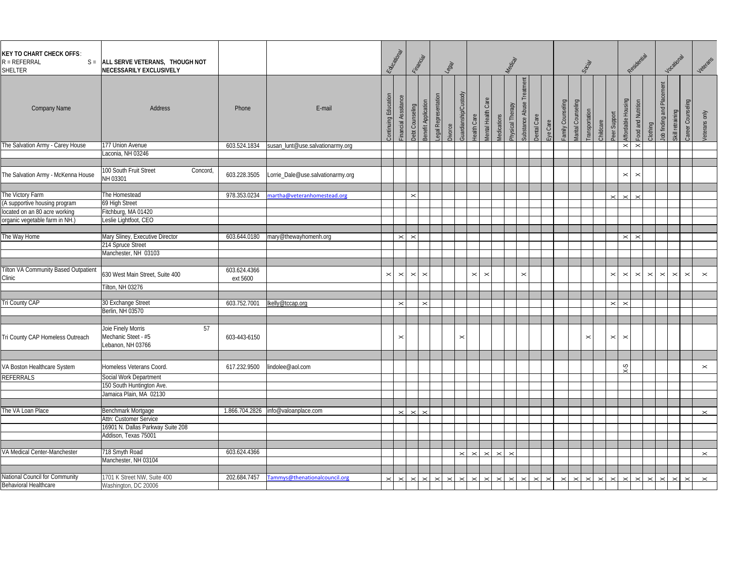| <b>KEY TO CHART CHECK OFFS:</b><br>$R = REFERRAL$<br>SHELTER | S = ALL SERVE VETERANS, THOUGH NOT<br>NECESSARILY EXCLUSIVELY        |                          |                                   | Eatient               |                          | Financial                               |                     | $\sqrt{8g^2}$ |                       |                |                                                 | Medical          |                               |             |          |                  | Social                              |           |                       | Residential                                |                                         |                             | Vocational       |                       | Veterans              |
|--------------------------------------------------------------|----------------------------------------------------------------------|--------------------------|-----------------------------------|-----------------------|--------------------------|-----------------------------------------|---------------------|---------------|-----------------------|----------------|-------------------------------------------------|------------------|-------------------------------|-------------|----------|------------------|-------------------------------------|-----------|-----------------------|--------------------------------------------|-----------------------------------------|-----------------------------|------------------|-----------------------|-----------------------|
| <b>Company Name</b>                                          | Address                                                              | Phone                    | E-mail                            | Continuing Edu        | Financial Asssitance     | Benefit Application<br>Debt Counseling  | egal Representation | Divorce       | Guardianship/Custody  | lealth Care    | <b><i>Mental</i></b> Health Care<br>Medications | Physical Therapy | reatmer<br>Substance Abuse Ti | Dental Care | Eye Care | amily Counseling | Marital Counseling<br>ransportation | Childcare | Peer Support          | Affordable Housing                         | ood and Nutrition<br>Clothing           | Ξ<br>Job finding and Placen | Skill retraining | Career Counseling     | <b>Veterans</b> only  |
| The Salvation Army - Carey House                             | 177 Union Avenue                                                     | 603.524.1834             | susan_lunt@use.salvationarmy.org  |                       |                          |                                         |                     |               |                       |                |                                                 |                  |                               |             |          |                  |                                     |           |                       | $\mathbb{\times}$<br>$\boldsymbol{\times}$ |                                         |                             |                  |                       |                       |
|                                                              | aconia, NH 03246                                                     |                          |                                   |                       |                          |                                         |                     |               |                       |                |                                                 |                  |                               |             |          |                  |                                     |           |                       |                                            |                                         |                             |                  |                       |                       |
|                                                              |                                                                      |                          |                                   |                       |                          |                                         |                     |               |                       |                |                                                 |                  |                               |             |          |                  |                                     |           |                       |                                            |                                         |                             |                  |                       |                       |
| The Salvation Army - McKenna House                           | 100 South Fruit Street<br>Concord<br>NH 03301                        | 603.228.3505             | Lorrie_Dale@use.salvationarmy.org |                       |                          |                                         |                     |               |                       |                |                                                 |                  |                               |             |          |                  |                                     |           |                       | $\boldsymbol{\times}$                      | $\,\times\,$                            |                             |                  |                       |                       |
| The Victory Farm                                             | The Homestead                                                        | 978.353.0234             | martha@veteranhomestead.org       |                       |                          | $\boldsymbol{\times}$                   |                     |               |                       |                |                                                 |                  |                               |             |          |                  |                                     |           |                       |                                            |                                         |                             |                  |                       |                       |
| (A supportive housing program                                | 69 High Street                                                       |                          |                                   |                       |                          |                                         |                     |               |                       |                |                                                 |                  |                               |             |          |                  |                                     |           |                       |                                            |                                         |                             |                  |                       |                       |
| located on an 80 acre working                                | Fitchburg, MA 01420                                                  |                          |                                   |                       |                          |                                         |                     |               |                       |                |                                                 |                  |                               |             |          |                  |                                     |           |                       |                                            |                                         |                             |                  |                       |                       |
| organic vegetable farm in NH.)                               | Leslie Lightfoot, CEO                                                |                          |                                   |                       |                          |                                         |                     |               |                       |                |                                                 |                  |                               |             |          |                  |                                     |           |                       |                                            |                                         |                             |                  |                       |                       |
|                                                              |                                                                      |                          |                                   |                       |                          |                                         |                     |               |                       |                |                                                 |                  |                               |             |          |                  |                                     |           |                       |                                            |                                         |                             |                  |                       |                       |
| The Way Home                                                 | Mary Sliney, Executive Director                                      | 603.644.0180             |                                   |                       | $\mathbf{\times}$        | $\,\times\,$                            |                     |               |                       |                |                                                 |                  |                               |             |          |                  |                                     |           |                       | $\boldsymbol{\times}$                      | $\,\times\,$                            |                             |                  |                       |                       |
|                                                              | 214 Spruce Street                                                    |                          | mary@thewayhomenh.org             |                       |                          |                                         |                     |               |                       |                |                                                 |                  |                               |             |          |                  |                                     |           |                       |                                            |                                         |                             |                  |                       |                       |
|                                                              | Manchester, NH 03103                                                 |                          |                                   |                       |                          |                                         |                     |               |                       |                |                                                 |                  |                               |             |          |                  |                                     |           |                       |                                            |                                         |                             |                  |                       |                       |
|                                                              |                                                                      |                          |                                   |                       |                          |                                         |                     |               |                       |                |                                                 |                  |                               |             |          |                  |                                     |           |                       |                                            |                                         |                             |                  |                       |                       |
| Tilton VA Community Based Outpatient<br>Clinic               | 630 West Main Street, Suite 400                                      | 603.624.4366<br>ext 5600 |                                   | $\boldsymbol{\times}$ | $\boldsymbol{\times}$    | $\boldsymbol{\times}$<br>$\pmb{\times}$ |                     |               |                       | $\pmb{\times}$ | $\boldsymbol{\times}$                           |                  | $\pmb{\times}$                |             |          |                  |                                     |           | $\times$              | $\boldsymbol{\times}$                      | $\boldsymbol{\times}$<br>$\pmb{\times}$ | $\boldsymbol{\times}$       | $\times$         | $\boldsymbol{\times}$ | $\boldsymbol{\times}$ |
|                                                              | Tilton, NH 03276                                                     |                          |                                   |                       |                          |                                         |                     |               |                       |                |                                                 |                  |                               |             |          |                  |                                     |           |                       |                                            |                                         |                             |                  |                       |                       |
|                                                              |                                                                      |                          |                                   |                       |                          |                                         |                     |               |                       |                |                                                 |                  |                               |             |          |                  |                                     |           |                       |                                            |                                         |                             |                  |                       |                       |
| Tri County CAP                                               | 30 Exchange Street                                                   | 603.752.7001             | lkelly@tccap.org                  |                       | $\boldsymbol{\times}$    | $\boldsymbol{\times}$                   |                     |               |                       |                |                                                 |                  |                               |             |          |                  |                                     |           | $\boldsymbol{\times}$ | $\boldsymbol{\times}$                      |                                         |                             |                  |                       |                       |
|                                                              | Berlin, NH 03570                                                     |                          |                                   |                       |                          |                                         |                     |               |                       |                |                                                 |                  |                               |             |          |                  |                                     |           |                       |                                            |                                         |                             |                  |                       |                       |
|                                                              |                                                                      |                          |                                   |                       |                          |                                         |                     |               |                       |                |                                                 |                  |                               |             |          |                  |                                     |           |                       |                                            |                                         |                             |                  |                       |                       |
| Tri County CAP Homeless Outreach                             | 57<br>Joie Finely Morris<br>Mechanic Steet - #5<br>Lebanon, NH 03766 | 603-443-6150             |                                   |                       | $\boldsymbol{\times}$    |                                         |                     |               | $\boldsymbol{\times}$ |                |                                                 |                  |                               |             |          |                  | $\pmb{\times}$                      |           | $\boldsymbol{\times}$ | $\boldsymbol{\times}$                      |                                         |                             |                  |                       |                       |
|                                                              |                                                                      |                          |                                   |                       |                          |                                         |                     |               |                       |                |                                                 |                  |                               |             |          |                  |                                     |           |                       |                                            |                                         |                             |                  |                       |                       |
| VA Boston Healthcare System                                  | Homeless Veterans Coord.                                             | 617.232.9500             | lindolee@aol.com                  |                       |                          |                                         |                     |               |                       |                |                                                 |                  |                               |             |          |                  |                                     |           |                       | ζ-λ                                        |                                         |                             |                  |                       | $\boldsymbol{\times}$ |
| REFERRALS                                                    | Social Work Department                                               |                          |                                   |                       |                          |                                         |                     |               |                       |                |                                                 |                  |                               |             |          |                  |                                     |           |                       |                                            |                                         |                             |                  |                       |                       |
|                                                              | 150 South Huntington Ave.                                            |                          |                                   |                       |                          |                                         |                     |               |                       |                |                                                 |                  |                               |             |          |                  |                                     |           |                       |                                            |                                         |                             |                  |                       |                       |
|                                                              | Jamaica Plain, MA 02130                                              |                          |                                   |                       |                          |                                         |                     |               |                       |                |                                                 |                  |                               |             |          |                  |                                     |           |                       |                                            |                                         |                             |                  |                       |                       |
|                                                              |                                                                      |                          |                                   |                       |                          |                                         |                     |               |                       |                |                                                 |                  |                               |             |          |                  |                                     |           |                       |                                            |                                         |                             |                  |                       |                       |
| The VA Loan Place                                            | Benchmark Mortgage                                                   | 1.866.704.2826           | info@valoanplace.com              |                       | $\overline{\phantom{0}}$ | $\checkmark$                            |                     |               |                       |                |                                                 |                  |                               |             |          |                  |                                     |           |                       |                                            |                                         |                             |                  |                       | $\times$              |
|                                                              | Attn: Customer Service                                               |                          |                                   |                       |                          |                                         |                     |               |                       |                |                                                 |                  |                               |             |          |                  |                                     |           |                       |                                            |                                         |                             |                  |                       |                       |
|                                                              | 16901 N. Dallas Parkway Suite 208                                    |                          |                                   |                       |                          |                                         |                     |               |                       |                |                                                 |                  |                               |             |          |                  |                                     |           |                       |                                            |                                         |                             |                  |                       |                       |
|                                                              | Addison, Texas 75001                                                 |                          |                                   |                       |                          |                                         |                     |               |                       |                |                                                 |                  |                               |             |          |                  |                                     |           |                       |                                            |                                         |                             |                  |                       |                       |
|                                                              |                                                                      |                          |                                   |                       |                          |                                         |                     |               |                       |                |                                                 |                  |                               |             |          |                  |                                     |           |                       |                                            |                                         |                             |                  |                       |                       |
| VA Medical Center-Manchester                                 | 718 Smyth Road                                                       | 603.624.4366             |                                   |                       |                          |                                         |                     |               |                       |                |                                                 |                  |                               |             |          |                  |                                     |           |                       |                                            |                                         |                             |                  |                       | $\times$              |
|                                                              | Manchester, NH 03104                                                 |                          |                                   |                       |                          |                                         |                     |               |                       |                |                                                 |                  |                               |             |          |                  |                                     |           |                       |                                            |                                         |                             |                  |                       |                       |
|                                                              |                                                                      |                          |                                   |                       |                          |                                         |                     |               |                       |                |                                                 |                  |                               |             |          |                  |                                     |           |                       |                                            |                                         |                             |                  |                       |                       |
| National Council for Community                               | 1701 K Street NW, Suite 400                                          | 202.684.7457             | Tammys@thenationalcouncil.org     |                       |                          |                                         |                     |               |                       |                |                                                 |                  |                               |             |          |                  |                                     |           |                       |                                            |                                         |                             |                  |                       | $\times$              |
| Behavioral Healthcare                                        | Washington, DC 20006                                                 |                          |                                   |                       |                          |                                         |                     |               |                       |                |                                                 |                  |                               |             |          |                  |                                     |           |                       |                                            |                                         |                             |                  |                       |                       |